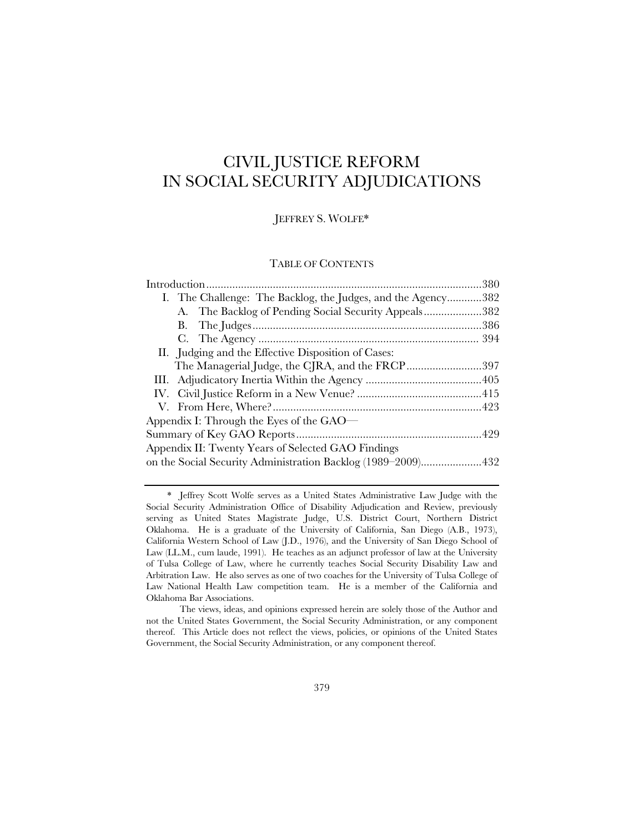# CIVIL JUSTICE REFORM IN SOCIAL SECURITY ADJUDICATIONS

### JEFFREY S. WOLFE\*

### TABLE OF CONTENTS

| I. The Challenge: The Backlog, the Judges, and the Agency382 |
|--------------------------------------------------------------|
| A. The Backlog of Pending Social Security Appeals382         |
|                                                              |
|                                                              |
| II. Judging and the Effective Disposition of Cases:          |
| The Managerial Judge, the CJRA, and the FRCP397              |
|                                                              |
|                                                              |
|                                                              |
| Appendix I: Through the Eyes of the $GAO$                    |
|                                                              |
| Appendix II: Twenty Years of Selected GAO Findings           |
| on the Social Security Administration Backlog (1989–2009)432 |

 <sup>\*</sup> Jeffrey Scott Wolfe serves as a United States Administrative Law Judge with the Social Security Administration Office of Disability Adjudication and Review, previously serving as United States Magistrate Judge, U.S. District Court, Northern District Oklahoma. He is a graduate of the University of California, San Diego (A.B., 1973), California Western School of Law (J.D., 1976), and the University of San Diego School of Law (LL.M., cum laude, 1991). He teaches as an adjunct professor of law at the University of Tulsa College of Law, where he currently teaches Social Security Disability Law and Arbitration Law. He also serves as one of two coaches for the University of Tulsa College of Law National Health Law competition team. He is a member of the California and Oklahoma Bar Associations.

The views, ideas, and opinions expressed herein are solely those of the Author and not the United States Government, the Social Security Administration, or any component thereof. This Article does not reflect the views, policies, or opinions of the United States Government, the Social Security Administration, or any component thereof.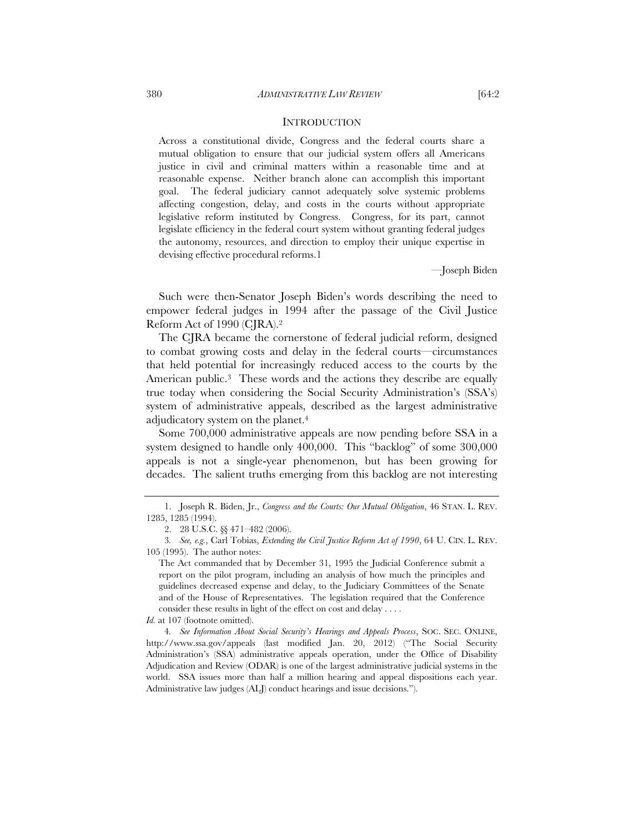#### **INTRODUCTION**

Across a constitutional divide, Congress and the federal courts share a mutual obligation to ensure that our judicial system offers all Americans justice in civil and criminal matters within a reasonable time and at reasonable expense. Neither branch alone can accomplish this important goal. The federal judiciary cannot adequately solve systemic problems affecting congestion, delay, and costs in the courts without appropriate legislative reform instituted by Congress. Congress, for its part, cannot legislate efficiency in the federal court system without granting federal judges the autonomy, resources, and direction to employ their unique expertise in devising effective procedural reforms.1

—Joseph Biden

Such were then-Senator Joseph Biden's words describing the need to empower federal judges in 1994 after the passage of the Civil Justice Reform Act of 1990 (CJRA).2

The CJRA became the cornerstone of federal judicial reform, designed to combat growing costs and delay in the federal courts—circumstances that held potential for increasingly reduced access to the courts by the American public.<sup>3</sup> These words and the actions they describe are equally true today when considering the Social Security Administration's (SSA's) system of administrative appeals, described as the largest administrative adjudicatory system on the planet.4

Some 700,000 administrative appeals are now pending before SSA in a system designed to handle only 400,000. This "backlog" of some 300,000 appeals is not a single-year phenomenon, but has been growing for decades. The salient truths emerging from this backlog are not interesting

 <sup>1.</sup> Joseph R. Biden, Jr., *Congress and the Courts: Our Mutual Obligation*, 46 STAN. L. REV. 1285, 1285 (1994).

 <sup>2. 28</sup> U.S.C. §§ 471–482 (2006).

<sup>3</sup>*. See, e.g.*, Carl Tobias, *Extending the Civil Justice Reform Act of 1990*, 64 U. CIN. L. REV. 105 (1995). The author notes:

The Act commanded that by December 31, 1995 the Judicial Conference submit a report on the pilot program, including an analysis of how much the principles and guidelines decreased expense and delay, to the Judiciary Committees of the Senate and of the House of Representatives. The legislation required that the Conference consider these results in light of the effect on cost and delay . . . .

*Id.* at 107 (footnote omitted).

<sup>4</sup>*. See Information About Social Security's Hearings and Appeals Process*, SOC. SEC. ONLINE, http://www.ssa.gov/appeals (last modified Jan. 20, 2012) ("The Social Security Administration's (SSA) administrative appeals operation, under the Office of Disability Adjudication and Review (ODAR) is one of the largest administrative judicial systems in the world. SSA issues more than half a million hearing and appeal dispositions each year. Administrative law judges (ALJ) conduct hearings and issue decisions.").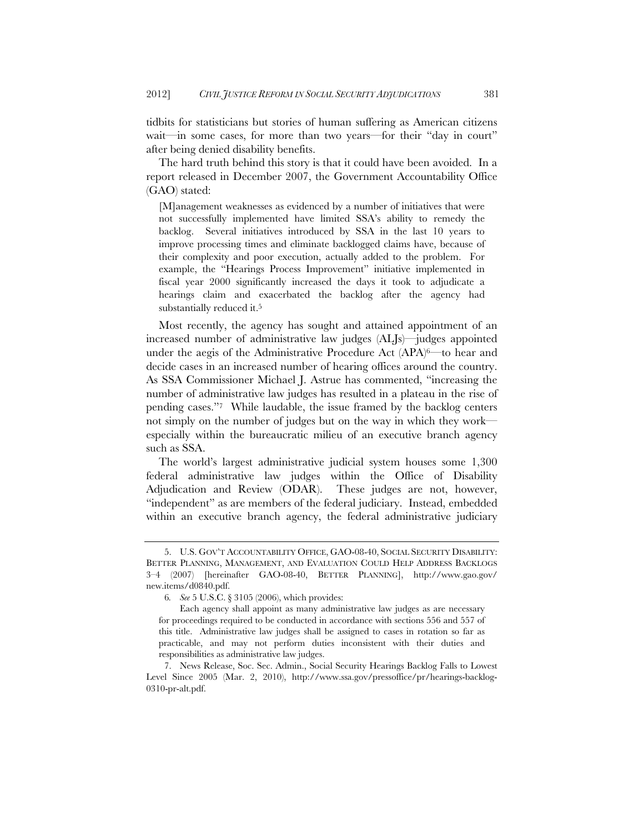tidbits for statisticians but stories of human suffering as American citizens wait—in some cases, for more than two years—for their "day in court" after being denied disability benefits.

The hard truth behind this story is that it could have been avoided. In a report released in December 2007, the Government Accountability Office (GAO) stated:

[M]anagement weaknesses as evidenced by a number of initiatives that were not successfully implemented have limited SSA's ability to remedy the backlog. Several initiatives introduced by SSA in the last 10 years to improve processing times and eliminate backlogged claims have, because of their complexity and poor execution, actually added to the problem. For example, the "Hearings Process Improvement" initiative implemented in fiscal year 2000 significantly increased the days it took to adjudicate a hearings claim and exacerbated the backlog after the agency had substantially reduced it.5

Most recently, the agency has sought and attained appointment of an increased number of administrative law judges (ALJs)—judges appointed under the aegis of the Administrative Procedure Act (APA)<sup>6—</sup>to hear and decide cases in an increased number of hearing offices around the country. As SSA Commissioner Michael J. Astrue has commented, "increasing the number of administrative law judges has resulted in a plateau in the rise of pending cases."7 While laudable, the issue framed by the backlog centers not simply on the number of judges but on the way in which they work especially within the bureaucratic milieu of an executive branch agency such as SSA.

The world's largest administrative judicial system houses some 1,300 federal administrative law judges within the Office of Disability Adjudication and Review (ODAR). These judges are not, however, "independent" as are members of the federal judiciary. Instead, embedded within an executive branch agency, the federal administrative judiciary

 <sup>5.</sup> U.S. GOV'T ACCOUNTABILITY OFFICE, GAO-08-40, SOCIAL SECURITY DISABILITY: BETTER PLANNING, MANAGEMENT, AND EVALUATION COULD HELP ADDRESS BACKLOGS 3–4 (2007) [hereinafter GAO-08-40, BETTER PLANNING], http://www.gao.gov/ new.items/d0840.pdf.

<sup>6</sup>*. See* 5 U.S.C. § 3105 (2006), which provides:

Each agency shall appoint as many administrative law judges as are necessary for proceedings required to be conducted in accordance with sections 556 and 557 of this title. Administrative law judges shall be assigned to cases in rotation so far as practicable, and may not perform duties inconsistent with their duties and responsibilities as administrative law judges.

 <sup>7.</sup> News Release, Soc. Sec. Admin., Social Security Hearings Backlog Falls to Lowest Level Since 2005 (Mar. 2, 2010), http://www.ssa.gov/pressoffice/pr/hearings-backlog-0310-pr-alt.pdf.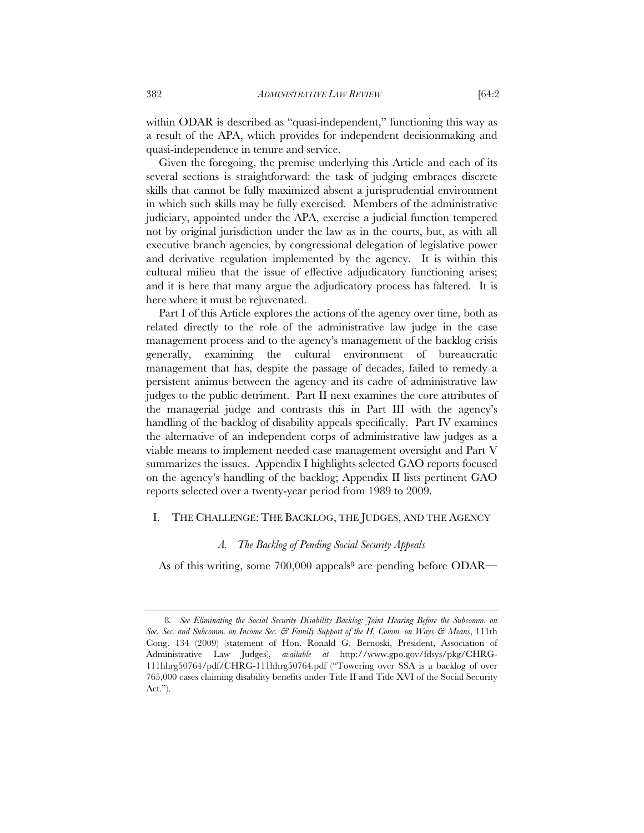within ODAR is described as "quasi-independent," functioning this way as a result of the APA, which provides for independent decisionmaking and quasi-independence in tenure and service.

Given the foregoing, the premise underlying this Article and each of its several sections is straightforward: the task of judging embraces discrete skills that cannot be fully maximized absent a jurisprudential environment in which such skills may be fully exercised. Members of the administrative judiciary, appointed under the APA, exercise a judicial function tempered not by original jurisdiction under the law as in the courts, but, as with all executive branch agencies, by congressional delegation of legislative power and derivative regulation implemented by the agency. It is within this cultural milieu that the issue of effective adjudicatory functioning arises; and it is here that many argue the adjudicatory process has faltered. It is here where it must be rejuvenated.

Part I of this Article explores the actions of the agency over time, both as related directly to the role of the administrative law judge in the case management process and to the agency's management of the backlog crisis generally, examining the cultural environment of bureaucratic management that has, despite the passage of decades, failed to remedy a persistent animus between the agency and its cadre of administrative law judges to the public detriment. Part II next examines the core attributes of the managerial judge and contrasts this in Part III with the agency's handling of the backlog of disability appeals specifically. Part IV examines the alternative of an independent corps of administrative law judges as a viable means to implement needed case management oversight and Part V summarizes the issues. Appendix I highlights selected GAO reports focused on the agency's handling of the backlog; Appendix II lists pertinent GAO reports selected over a twenty-year period from 1989 to 2009.

### I. THE CHALLENGE: THE BACKLOG, THE JUDGES, AND THE AGENCY

### *A. The Backlog of Pending Social Security Appeals*

As of this writing, some  $700,000$  appeals<sup>8</sup> are pending before ODAR—

<sup>8</sup>*. See Eliminating the Social Security Disability Backlog: Joint Hearing Before the Subcomm. on Soc. Sec. and Subcomm. on Income Sec. & Family Support of the H. Comm. on Ways & Means*, 111th Cong. 134 (2009) (statement of Hon. Ronald G. Bernoski, President, Association of Administrative Law Judges), *available at* http://www.gpo.gov/fdsys/pkg/CHRG-111hhrg50764/pdf/CHRG-111hhrg50764.pdf ("Towering over SSA is a backlog of over 765,000 cases claiming disability benefits under Title II and Title XVI of the Social Security Act.").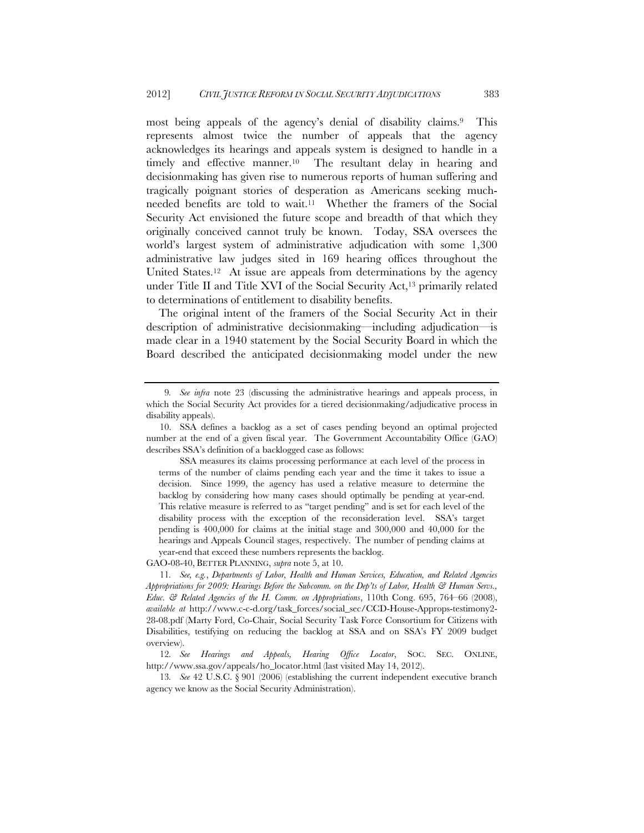most being appeals of the agency's denial of disability claims.9 This represents almost twice the number of appeals that the agency acknowledges its hearings and appeals system is designed to handle in a timely and effective manner.10 The resultant delay in hearing and decisionmaking has given rise to numerous reports of human suffering and tragically poignant stories of desperation as Americans seeking muchneeded benefits are told to wait.11 Whether the framers of the Social Security Act envisioned the future scope and breadth of that which they originally conceived cannot truly be known. Today, SSA oversees the world's largest system of administrative adjudication with some 1,300 administrative law judges sited in 169 hearing offices throughout the United States.12 At issue are appeals from determinations by the agency under Title II and Title XVI of the Social Security  $Act<sub>13</sub>$  primarily related to determinations of entitlement to disability benefits.

The original intent of the framers of the Social Security Act in their description of administrative decisionmaking—including adjudication—is made clear in a 1940 statement by the Social Security Board in which the Board described the anticipated decisionmaking model under the new

GAO-08-40, BETTER PLANNING, *supra* note 5, at 10.

<sup>9</sup>*. See infra* note 23 (discussing the administrative hearings and appeals process, in which the Social Security Act provides for a tiered decisionmaking/adjudicative process in disability appeals).

 <sup>10.</sup> SSA defines a backlog as a set of cases pending beyond an optimal projected number at the end of a given fiscal year. The Government Accountability Office (GAO) describes SSA's definition of a backlogged case as follows:

SSA measures its claims processing performance at each level of the process in terms of the number of claims pending each year and the time it takes to issue a decision. Since 1999, the agency has used a relative measure to determine the backlog by considering how many cases should optimally be pending at year-end. This relative measure is referred to as "target pending" and is set for each level of the disability process with the exception of the reconsideration level. SSA's target pending is 400,000 for claims at the initial stage and 300,000 and 40,000 for the hearings and Appeals Council stages, respectively. The number of pending claims at year-end that exceed these numbers represents the backlog.

<sup>11</sup>*. See, e.g.*, *Departments of Labor, Health and Human Services, Education, and Related Agencies Appropriations for 2009: Hearings Before the Subcomm. on the Dep'ts of Labor, Health & Human Servs., Educ. & Related Agencies of the H. Comm. on Appropriations*, 110th Cong. 695, 764–66 (2008), *available at* http://www.c-c-d.org/task\_forces/social\_sec/CCD-House-Approps-testimony2- 28-08.pdf (Marty Ford, Co-Chair, Social Security Task Force Consortium for Citizens with Disabilities, testifying on reducing the backlog at SSA and on SSA's FY 2009 budget overview).

<sup>12</sup>*. See Hearings and Appeals, Hearing Office Locator*, SOC. SEC. ONLINE, http://www.ssa.gov/appeals/ho\_locator.html (last visited May 14, 2012).

<sup>13</sup>*. See* 42 U.S.C. § 901 (2006) (establishing the current independent executive branch agency we know as the Social Security Administration).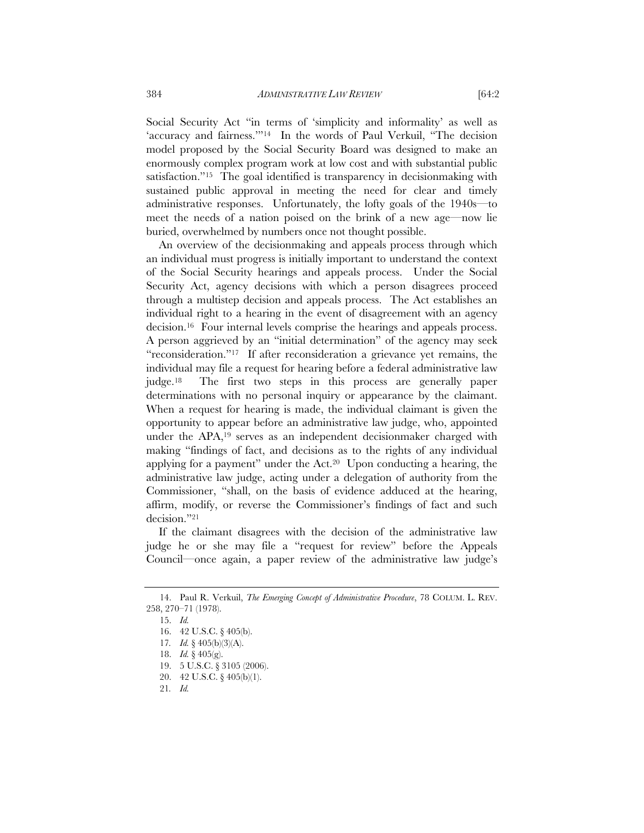Social Security Act "in terms of 'simplicity and informality' as well as 'accuracy and fairness."<sup>14</sup> In the words of Paul Verkuil, "The decision model proposed by the Social Security Board was designed to make an enormously complex program work at low cost and with substantial public satisfaction."15 The goal identified is transparency in decisionmaking with sustained public approval in meeting the need for clear and timely administrative responses. Unfortunately, the lofty goals of the 1940s—to meet the needs of a nation poised on the brink of a new age—now lie buried, overwhelmed by numbers once not thought possible.

An overview of the decisionmaking and appeals process through which an individual must progress is initially important to understand the context of the Social Security hearings and appeals process. Under the Social Security Act, agency decisions with which a person disagrees proceed through a multistep decision and appeals process. The Act establishes an individual right to a hearing in the event of disagreement with an agency decision.16 Four internal levels comprise the hearings and appeals process. A person aggrieved by an "initial determination" of the agency may seek "reconsideration."17 If after reconsideration a grievance yet remains, the individual may file a request for hearing before a federal administrative law judge.18 The first two steps in this process are generally paper determinations with no personal inquiry or appearance by the claimant. When a request for hearing is made, the individual claimant is given the opportunity to appear before an administrative law judge, who, appointed under the APA,19 serves as an independent decisionmaker charged with making "findings of fact, and decisions as to the rights of any individual applying for a payment" under the  $Act<sup>20</sup>$  Upon conducting a hearing, the administrative law judge, acting under a delegation of authority from the Commissioner, "shall, on the basis of evidence adduced at the hearing, affirm, modify, or reverse the Commissioner's findings of fact and such decision."21

If the claimant disagrees with the decision of the administrative law judge he or she may file a "request for review" before the Appeals Council—once again, a paper review of the administrative law judge's

 <sup>14.</sup> Paul R. Verkuil, *The Emerging Concept of Administrative Procedure*, 78 COLUM. L. REV. 258, 270–71 (1978).

 <sup>15.</sup> *Id.* 

 <sup>16. 42</sup> U.S.C. § 405(b).

<sup>17</sup>*. Id.* § 405(b)(3)(A).

 <sup>18.</sup> *Id.* § 405(g).

 <sup>19. 5</sup> U.S.C. § 3105 (2006).

 <sup>20. 42</sup> U.S.C. § 405(b)(1).

<sup>21</sup>*. Id.*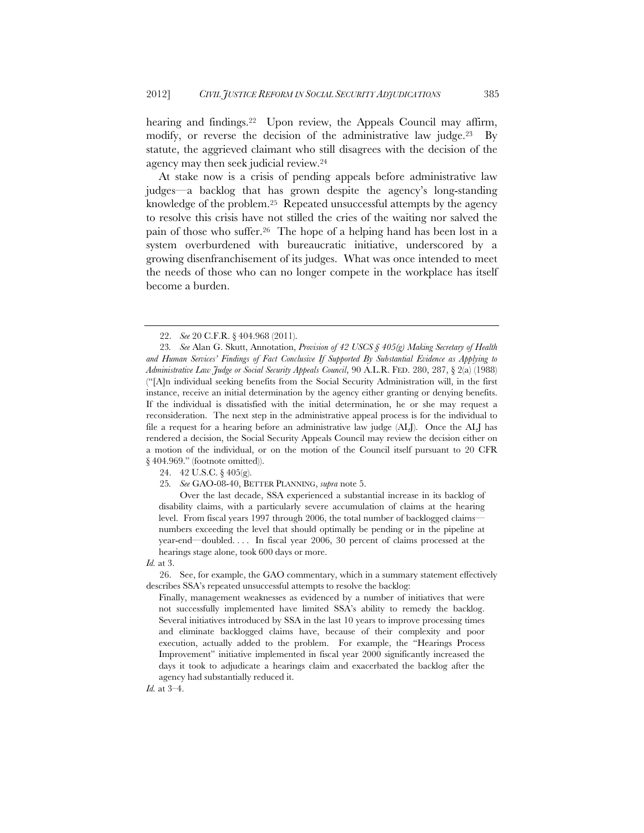hearing and findings.<sup>22</sup> Upon review, the Appeals Council may affirm, modify, or reverse the decision of the administrative law judge.<sup>23</sup> By statute, the aggrieved claimant who still disagrees with the decision of the agency may then seek judicial review.24

At stake now is a crisis of pending appeals before administrative law judges—a backlog that has grown despite the agency's long-standing knowledge of the problem.25 Repeated unsuccessful attempts by the agency to resolve this crisis have not stilled the cries of the waiting nor salved the pain of those who suffer.26 The hope of a helping hand has been lost in a system overburdened with bureaucratic initiative, underscored by a growing disenfranchisement of its judges. What was once intended to meet the needs of those who can no longer compete in the workplace has itself become a burden.

24. 42 U.S.C. § 405(g).

 Over the last decade, SSA experienced a substantial increase in its backlog of disability claims, with a particularly severe accumulation of claims at the hearing level. From fiscal years 1997 through 2006, the total number of backlogged claims numbers exceeding the level that should optimally be pending or in the pipeline at year-end—doubled. . . . In fiscal year 2006, 30 percent of claims processed at the hearings stage alone, took 600 days or more.

*Id.* at 3.

 26. See, for example, the GAO commentary, which in a summary statement effectively describes SSA's repeated unsuccessful attempts to resolve the backlog:

Finally, management weaknesses as evidenced by a number of initiatives that were not successfully implemented have limited SSA's ability to remedy the backlog. Several initiatives introduced by SSA in the last 10 years to improve processing times and eliminate backlogged claims have, because of their complexity and poor execution, actually added to the problem. For example, the "Hearings Process Improvement" initiative implemented in fiscal year 2000 significantly increased the days it took to adjudicate a hearings claim and exacerbated the backlog after the agency had substantially reduced it.

*Id.* at 3–4.

 <sup>22.</sup> *See* 20 C.F.R. § 404.968 (2011).

<sup>23</sup>*. See* Alan G. Skutt, Annotation, *Provision of 42 USCS § 405(g) Making Secretary of Health and Human Services' Findings of Fact Conclusive If Supported By Substantial Evidence as Applying to Administrative Law Judge or Social Security Appeals Council*, 90 A.L.R. FED. 280, 287, § 2(a) (1988) ("[A]n individual seeking benefits from the Social Security Administration will, in the first instance, receive an initial determination by the agency either granting or denying benefits. If the individual is dissatisfied with the initial determination, he or she may request a reconsideration. The next step in the administrative appeal process is for the individual to file a request for a hearing before an administrative law judge (ALJ). Once the ALJ has rendered a decision, the Social Security Appeals Council may review the decision either on a motion of the individual, or on the motion of the Council itself pursuant to 20 CFR § 404.969." (footnote omitted)).

<sup>25</sup>*. See* GAO-08-40, BETTER PLANNING, *supra* note 5.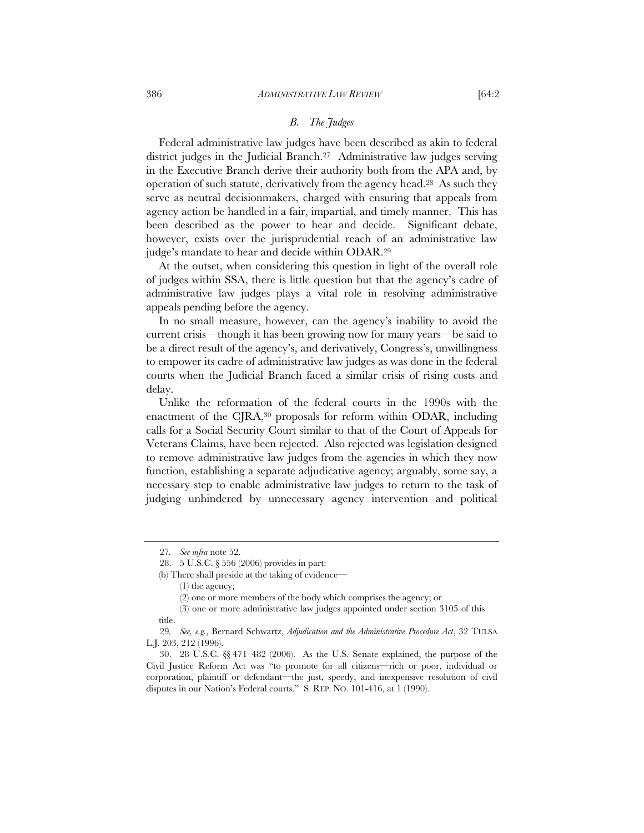### *B. The Judges*

Federal administrative law judges have been described as akin to federal district judges in the Judicial Branch.27 Administrative law judges serving in the Executive Branch derive their authority both from the APA and, by operation of such statute, derivatively from the agency head.28 As such they serve as neutral decisionmakers, charged with ensuring that appeals from agency action be handled in a fair, impartial, and timely manner. This has been described as the power to hear and decide. Significant debate, however, exists over the jurisprudential reach of an administrative law judge's mandate to hear and decide within ODAR.29

At the outset, when considering this question in light of the overall role of judges within SSA, there is little question but that the agency's cadre of administrative law judges plays a vital role in resolving administrative appeals pending before the agency.

In no small measure, however, can the agency's inability to avoid the current crisis—though it has been growing now for many years—be said to be a direct result of the agency's, and derivatively, Congress's, unwillingness to empower its cadre of administrative law judges as was done in the federal courts when the Judicial Branch faced a similar crisis of rising costs and delay.

Unlike the reformation of the federal courts in the 1990s with the enactment of the CJRA,<sup>30</sup> proposals for reform within ODAR, including calls for a Social Security Court similar to that of the Court of Appeals for Veterans Claims, have been rejected. Also rejected was legislation designed to remove administrative law judges from the agencies in which they now function, establishing a separate adjudicative agency; arguably, some say, a necessary step to enable administrative law judges to return to the task of judging unhindered by unnecessary agency intervention and political

<sup>27</sup>*. See infra* note 52.

 <sup>28. 5</sup> U.S.C. § 556 (2006) provides in part:

<sup>(</sup>b) There shall preside at the taking of evidence—

 <sup>(1)</sup> the agency;

 <sup>(2)</sup> one or more members of the body which comprises the agency; or

 <sup>(3)</sup> one or more administrative law judges appointed under section 3105 of this title.

<sup>29</sup>*. See, e.g.*, Bernard Schwartz, *Adjudication and the Administrative Procedure Act*, 32 TULSA L.J. 203, 212 (1996).

 <sup>30. 28</sup> U.S.C. §§ 471–482 (2006). As the U.S. Senate explained, the purpose of the Civil Justice Reform Act was "to promote for all citizens—rich or poor, individual or corporation, plaintiff or defendant—the just, speedy, and inexpensive resolution of civil disputes in our Nation's Federal courts." S. REP. NO. 101-416, at 1 (1990).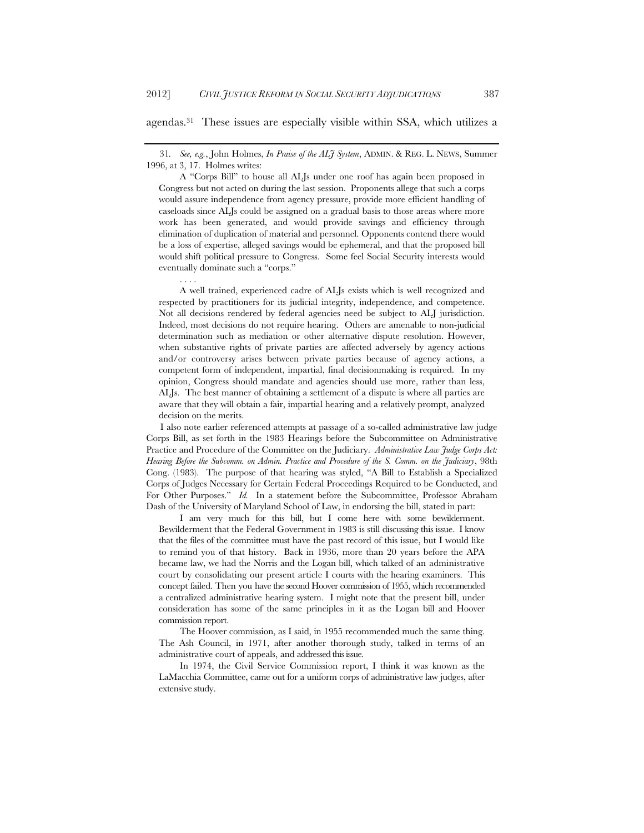agendas.31 These issues are especially visible within SSA, which utilizes a

31*. See, e.g.*, John Holmes, *In Praise of the ALJ System*, ADMIN. & REG. L. NEWS, Summer 1996, at 3, 17. Holmes writes:

 A "Corps Bill" to house all ALJs under one roof has again been proposed in Congress but not acted on during the last session. Proponents allege that such a corps would assure independence from agency pressure, provide more efficient handling of caseloads since ALJs could be assigned on a gradual basis to those areas where more work has been generated, and would provide savings and efficiency through elimination of duplication of material and personnel. Opponents contend there would be a loss of expertise, alleged savings would be ephemeral, and that the proposed bill would shift political pressure to Congress. Some feel Social Security interests would eventually dominate such a "corps."

 A well trained, experienced cadre of ALJs exists which is well recognized and respected by practitioners for its judicial integrity, independence, and competence. Not all decisions rendered by federal agencies need be subject to ALJ jurisdiction. Indeed, most decisions do not require hearing. Others are amenable to non-judicial determination such as mediation or other alternative dispute resolution. However, when substantive rights of private parties are affected adversely by agency actions and/or controversy arises between private parties because of agency actions, a competent form of independent, impartial, final decisionmaking is required. In my opinion, Congress should mandate and agencies should use more, rather than less, ALJs. The best manner of obtaining a settlement of a dispute is where all parties are aware that they will obtain a fair, impartial hearing and a relatively prompt, analyzed decision on the merits.

I also note earlier referenced attempts at passage of a so-called administrative law judge Corps Bill, as set forth in the 1983 Hearings before the Subcommittee on Administrative Practice and Procedure of the Committee on the Judiciary. *Administrative Law Judge Corps Act: Hearing Before the Subcomm. on Admin. Practice and Procedure of the S. Comm. on the Judiciary*, 98th Cong. (1983). The purpose of that hearing was styled, "A Bill to Establish a Specialized Corps of Judges Necessary for Certain Federal Proceedings Required to be Conducted, and For Other Purposes." *Id.* In a statement before the Subcommittee, Professor Abraham Dash of the University of Maryland School of Law, in endorsing the bill, stated in part:

 I am very much for this bill, but I come here with some bewilderment. Bewilderment that the Federal Government in 1983 is still discussing this issue. I know that the files of the committee must have the past record of this issue, but I would like to remind you of that history. Back in 1936, more than 20 years before the APA became law, we had the Norris and the Logan bill, which talked of an administrative court by consolidating our present article I courts with the hearing examiners. This concept failed. Then you have the second Hoover commission of 1955, which recommended a centralized administrative hearing system. I might note that the present bill, under consideration has some of the same principles in it as the Logan bill and Hoover commission report.

 The Hoover commission, as I said, in 1955 recommended much the same thing. The Ash Council, in 1971, after another thorough study, talked in terms of an administrative court of appeals, and addressed this issue.

 In 1974, the Civil Service Commission report, I think it was known as the LaMacchia Committee, came out for a uniform corps of administrative law judges, after extensive study.

 <sup>. . . .</sup>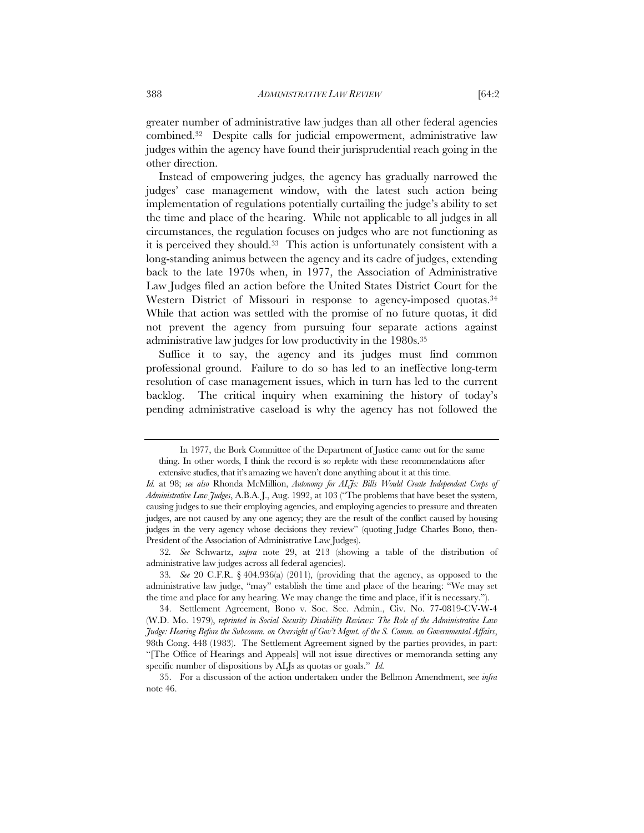greater number of administrative law judges than all other federal agencies combined.32 Despite calls for judicial empowerment, administrative law judges within the agency have found their jurisprudential reach going in the other direction.

Instead of empowering judges, the agency has gradually narrowed the judges' case management window, with the latest such action being implementation of regulations potentially curtailing the judge's ability to set the time and place of the hearing. While not applicable to all judges in all circumstances, the regulation focuses on judges who are not functioning as it is perceived they should.33 This action is unfortunately consistent with a long-standing animus between the agency and its cadre of judges, extending back to the late 1970s when, in 1977, the Association of Administrative Law Judges filed an action before the United States District Court for the Western District of Missouri in response to agency-imposed quotas.<sup>34</sup> While that action was settled with the promise of no future quotas, it did not prevent the agency from pursuing four separate actions against administrative law judges for low productivity in the 1980s.35

Suffice it to say, the agency and its judges must find common professional ground. Failure to do so has led to an ineffective long-term resolution of case management issues, which in turn has led to the current backlog. The critical inquiry when examining the history of today's pending administrative caseload is why the agency has not followed the

In 1977, the Bork Committee of the Department of Justice came out for the same thing. In other words, I think the record is so replete with these recommendations after extensive studies, that it's amazing we haven't done anything about it at this time.

*Id.* at 98; *see also* Rhonda McMillion, *Autonomy for ALJs: Bills Would Create Independent Corps of Administrative Law Judges*, A.B.A.J., Aug. 1992, at 103 ("The problems that have beset the system, causing judges to sue their employing agencies, and employing agencies to pressure and threaten judges, are not caused by any one agency; they are the result of the conflict caused by housing judges in the very agency whose decisions they review" (quoting Judge Charles Bono, then-President of the Association of Administrative Law Judges).

<sup>32</sup>*. See* Schwartz, *supra* note 29, at 213 (showing a table of the distribution of administrative law judges across all federal agencies).

<sup>33</sup>*. See* 20 C.F.R. § 404.936(a) (2011), (providing that the agency, as opposed to the administrative law judge, "may" establish the time and place of the hearing: "We may set the time and place for any hearing. We may change the time and place, if it is necessary.").

 <sup>34.</sup> Settlement Agreement, Bono v. Soc. Sec. Admin., Civ. No. 77-0819-CV-W-4 (W.D. Mo. 1979), *reprinted in Social Security Disability Reviews: The Role of the Administrative Law Judge: Hearing Before the Subcomm. on Oversight of Gov't Mgmt. of the S. Comm. on Governmental Affairs*, 98th Cong. 448 (1983). The Settlement Agreement signed by the parties provides, in part: "[The Office of Hearings and Appeals] will not issue directives or memoranda setting any specific number of dispositions by ALJs as quotas or goals." *Id.*

 <sup>35.</sup> For a discussion of the action undertaken under the Bellmon Amendment, see *infra* note 46.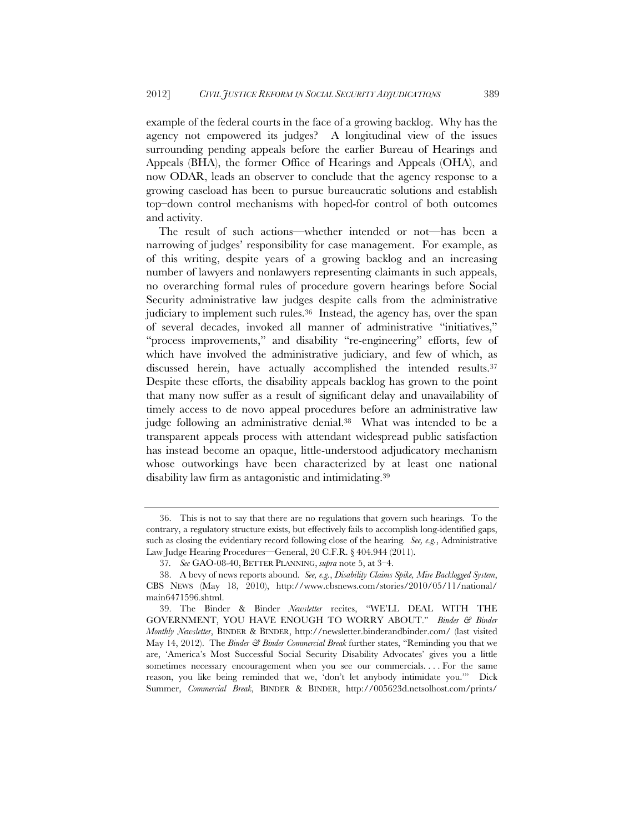example of the federal courts in the face of a growing backlog. Why has the agency not empowered its judges? A longitudinal view of the issues surrounding pending appeals before the earlier Bureau of Hearings and Appeals (BHA), the former Office of Hearings and Appeals (OHA), and now ODAR, leads an observer to conclude that the agency response to a growing caseload has been to pursue bureaucratic solutions and establish top–down control mechanisms with hoped-for control of both outcomes and activity.

The result of such actions—whether intended or not—has been a narrowing of judges' responsibility for case management. For example, as of this writing, despite years of a growing backlog and an increasing number of lawyers and nonlawyers representing claimants in such appeals, no overarching formal rules of procedure govern hearings before Social Security administrative law judges despite calls from the administrative judiciary to implement such rules.36 Instead, the agency has, over the span of several decades, invoked all manner of administrative "initiatives," "process improvements," and disability "re-engineering" efforts, few of which have involved the administrative judiciary, and few of which, as discussed herein, have actually accomplished the intended results.<sup>37</sup> Despite these efforts, the disability appeals backlog has grown to the point that many now suffer as a result of significant delay and unavailability of timely access to de novo appeal procedures before an administrative law judge following an administrative denial.38 What was intended to be a transparent appeals process with attendant widespread public satisfaction has instead become an opaque, little-understood adjudicatory mechanism whose outworkings have been characterized by at least one national disability law firm as antagonistic and intimidating.39

 <sup>36.</sup> This is not to say that there are no regulations that govern such hearings. To the contrary, a regulatory structure exists, but effectively fails to accomplish long-identified gaps, such as closing the evidentiary record following close of the hearing*. See, e.g.*, Administrative Law Judge Hearing Procedures—General, 20 C.F.R. § 404.944 (2011).

<sup>37</sup>*. See* GAO-08-40, BETTER PLANNING, *supra* note 5, at 3–4.

 <sup>38.</sup> A bevy of news reports abound. *See, e.g.*, *Disability Claims Spike, Mire Backlogged System*, CBS NEWS (May 18, 2010), http://www.cbsnews.com/stories/2010/05/11/national/ main6471596.shtml.

 <sup>39.</sup> The Binder & Binder *Newsletter* recites, "WE'LL DEAL WITH THE GOVERNMENT, YOU HAVE ENOUGH TO WORRY ABOUT." *Binder & Binder Monthly Newsletter*, BINDER & BINDER, http://newsletter.binderandbinder.com/ (last visited May 14, 2012). The *Binder & Binder Commercial Break* further states, "Reminding you that we are, 'America's Most Successful Social Security Disability Advocates' gives you a little sometimes necessary encouragement when you see our commercials. . . . For the same reason, you like being reminded that we, 'don't let anybody intimidate you.'" Dick Summer, *Commercial Break*, BINDER & BINDER, http://005623d.netsolhost.com/prints/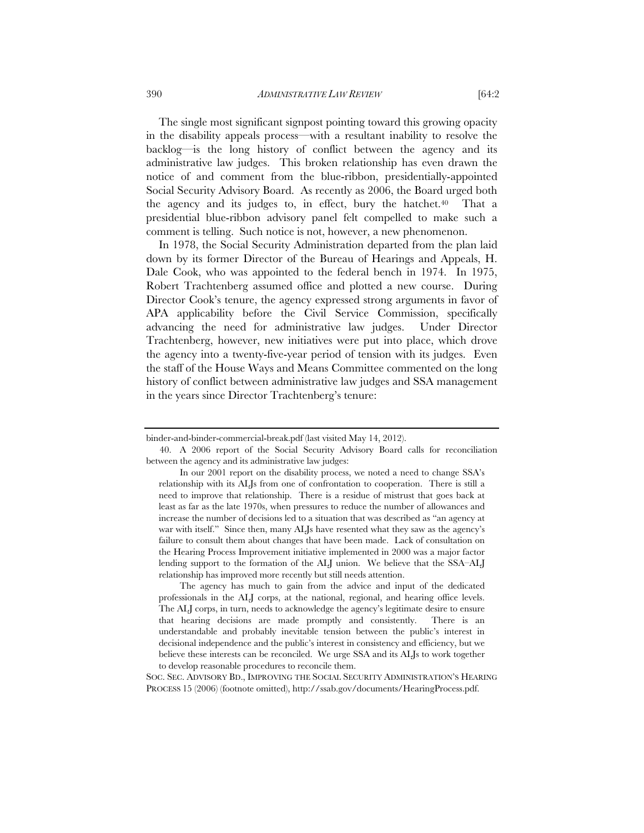The single most significant signpost pointing toward this growing opacity in the disability appeals process—with a resultant inability to resolve the backlog—is the long history of conflict between the agency and its administrative law judges. This broken relationship has even drawn the notice of and comment from the blue-ribbon, presidentially-appointed Social Security Advisory Board. As recently as 2006, the Board urged both the agency and its judges to, in effect, bury the hatchet.40 That a presidential blue-ribbon advisory panel felt compelled to make such a comment is telling. Such notice is not, however, a new phenomenon.

In 1978, the Social Security Administration departed from the plan laid down by its former Director of the Bureau of Hearings and Appeals, H. Dale Cook, who was appointed to the federal bench in 1974. In 1975, Robert Trachtenberg assumed office and plotted a new course. During Director Cook's tenure, the agency expressed strong arguments in favor of APA applicability before the Civil Service Commission, specifically advancing the need for administrative law judges. Under Director Trachtenberg, however, new initiatives were put into place, which drove the agency into a twenty-five-year period of tension with its judges. Even the staff of the House Ways and Means Committee commented on the long history of conflict between administrative law judges and SSA management in the years since Director Trachtenberg's tenure:

 The agency has much to gain from the advice and input of the dedicated professionals in the ALJ corps, at the national, regional, and hearing office levels. The ALJ corps, in turn, needs to acknowledge the agency's legitimate desire to ensure that hearing decisions are made promptly and consistently. There is an understandable and probably inevitable tension between the public's interest in decisional independence and the public's interest in consistency and efficiency, but we believe these interests can be reconciled. We urge SSA and its ALJs to work together to develop reasonable procedures to reconcile them.

SOC. SEC. ADVISORY BD., IMPROVING THE SOCIAL SECURITY ADMINISTRATION'S HEARING PROCESS 15 (2006) (footnote omitted), http://ssab.gov/documents/HearingProcess.pdf.

binder-and-binder-commercial-break.pdf (last visited May 14, 2012).

 <sup>40.</sup> A 2006 report of the Social Security Advisory Board calls for reconciliation between the agency and its administrative law judges:

In our 2001 report on the disability process, we noted a need to change SSA's relationship with its ALJs from one of confrontation to cooperation. There is still a need to improve that relationship. There is a residue of mistrust that goes back at least as far as the late 1970s, when pressures to reduce the number of allowances and increase the number of decisions led to a situation that was described as "an agency at war with itself." Since then, many ALJs have resented what they saw as the agency's failure to consult them about changes that have been made. Lack of consultation on the Hearing Process Improvement initiative implemented in 2000 was a major factor lending support to the formation of the ALJ union. We believe that the SSA–ALJ relationship has improved more recently but still needs attention.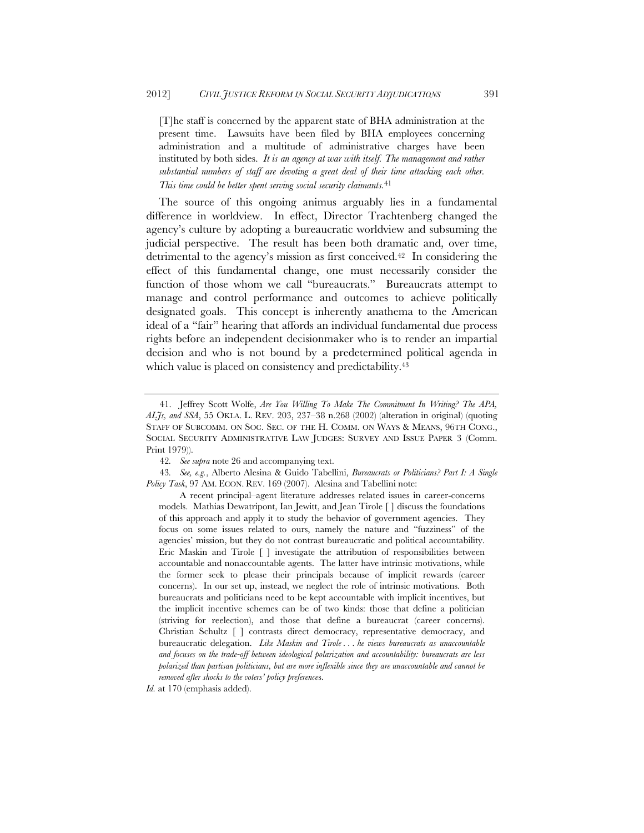[T]he staff is concerned by the apparent state of BHA administration at the present time. Lawsuits have been filed by BHA employees concerning administration and a multitude of administrative charges have been instituted by both sides. *It is an agency at war with itself. The management and rather substantial numbers of staff are devoting a great deal of their time attacking each other. This time could be better spent serving social security claimants.*<sup>41</sup>

The source of this ongoing animus arguably lies in a fundamental difference in worldview. In effect, Director Trachtenberg changed the agency's culture by adopting a bureaucratic worldview and subsuming the judicial perspective. The result has been both dramatic and, over time, detrimental to the agency's mission as first conceived.42 In considering the effect of this fundamental change, one must necessarily consider the function of those whom we call "bureaucrats." Bureaucrats attempt to manage and control performance and outcomes to achieve politically designated goals. This concept is inherently anathema to the American ideal of a "fair" hearing that affords an individual fundamental due process rights before an independent decisionmaker who is to render an impartial decision and who is not bound by a predetermined political agenda in which value is placed on consistency and predictability.<sup>43</sup>

43*. See, e.g.*, Alberto Alesina & Guido Tabellini, *Bureaucrats or Politicians? Part I: A Single Policy Task*, 97 AM. ECON. REV. 169 (2007). Alesina and Tabellini note:

 <sup>41.</sup> Jeffrey Scott Wolfe, *Are You Willing To Make The Commitment In Writing? The APA, ALJs, and SSA*, 55 OKLA. L. REV. 203, 237–38 n.268 (2002) (alteration in original) (quoting STAFF OF SUBCOMM. ON SOC. SEC. OF THE H. COMM. ON WAYS & MEANS, 96TH CONG., SOCIAL SECURITY ADMINISTRATIVE LAW JUDGES: SURVEY AND ISSUE PAPER 3 (Comm. Print 1979)).

<sup>42</sup>*. See supra* note 26 and accompanying text.

A recent principal–agent literature addresses related issues in career-concerns models. Mathias Dewatripont, Ian Jewitt, and Jean Tirole [ ] discuss the foundations of this approach and apply it to study the behavior of government agencies. They focus on some issues related to ours, namely the nature and "fuzziness" of the agencies' mission, but they do not contrast bureaucratic and political accountability. Eric Maskin and Tirole [ ] investigate the attribution of responsibilities between accountable and nonaccountable agents. The latter have intrinsic motivations, while the former seek to please their principals because of implicit rewards (career concerns). In our set up, instead, we neglect the role of intrinsic motivations. Both bureaucrats and politicians need to be kept accountable with implicit incentives, but the implicit incentive schemes can be of two kinds: those that define a politician (striving for reelection), and those that define a bureaucrat (career concerns). Christian Schultz [ ] contrasts direct democracy, representative democracy, and bureaucratic delegation. *Like Maskin and Tirole . . . he views bureaucrats as unaccountable and focuses on the trade-off between ideological polarization and accountability: bureaucrats are less polarized than partisan politicians, but are more inflexible since they are unaccountable and cannot be removed after shocks to the voters' policy preference*s.

*Id.* at 170 (emphasis added).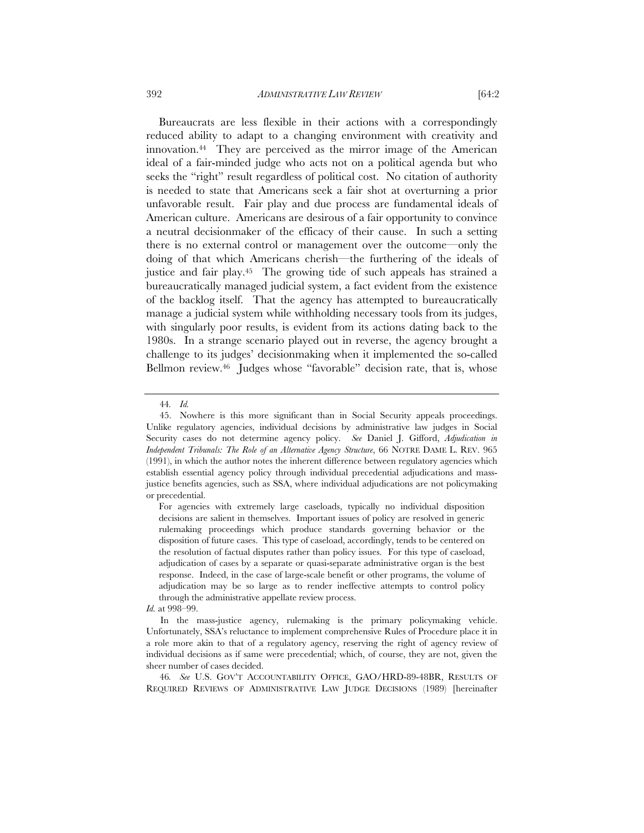Bureaucrats are less flexible in their actions with a correspondingly reduced ability to adapt to a changing environment with creativity and innovation.44 They are perceived as the mirror image of the American ideal of a fair-minded judge who acts not on a political agenda but who seeks the "right" result regardless of political cost. No citation of authority is needed to state that Americans seek a fair shot at overturning a prior unfavorable result. Fair play and due process are fundamental ideals of American culture. Americans are desirous of a fair opportunity to convince a neutral decisionmaker of the efficacy of their cause. In such a setting there is no external control or management over the outcome—only the doing of that which Americans cherish—the furthering of the ideals of justice and fair play.45 The growing tide of such appeals has strained a bureaucratically managed judicial system, a fact evident from the existence of the backlog itself. That the agency has attempted to bureaucratically manage a judicial system while withholding necessary tools from its judges, with singularly poor results, is evident from its actions dating back to the 1980s. In a strange scenario played out in reverse, the agency brought a challenge to its judges' decisionmaking when it implemented the so-called Bellmon review.46 Judges whose "favorable" decision rate, that is, whose

<sup>44</sup>*. Id.*

 <sup>45.</sup> Nowhere is this more significant than in Social Security appeals proceedings. Unlike regulatory agencies, individual decisions by administrative law judges in Social Security cases do not determine agency policy. *See* Daniel J. Gifford, *Adjudication in Independent Tribunals: The Role of an Alternative Agency Structure*, 66 NOTRE DAME L. REV. 965 (1991), in which the author notes the inherent difference between regulatory agencies which establish essential agency policy through individual precedential adjudications and massjustice benefits agencies, such as SSA, where individual adjudications are not policymaking or precedential.

For agencies with extremely large caseloads, typically no individual disposition decisions are salient in themselves. Important issues of policy are resolved in generic rulemaking proceedings which produce standards governing behavior or the disposition of future cases. This type of caseload, accordingly, tends to be centered on the resolution of factual disputes rather than policy issues. For this type of caseload, adjudication of cases by a separate or quasi-separate administrative organ is the best response. Indeed, in the case of large-scale benefit or other programs, the volume of adjudication may be so large as to render ineffective attempts to control policy through the administrative appellate review process.

*Id.* at 998–99.

In the mass-justice agency, rulemaking is the primary policymaking vehicle. Unfortunately, SSA's reluctance to implement comprehensive Rules of Procedure place it in a role more akin to that of a regulatory agency, reserving the right of agency review of individual decisions as if same were precedential; which, of course, they are not, given the sheer number of cases decided.

<sup>46</sup>*. See* U.S. GOV'T ACCOUNTABILITY OFFICE, GAO/HRD-89-48BR, RESULTS OF REQUIRED REVIEWS OF ADMINISTRATIVE LAW JUDGE DECISIONS (1989) [hereinafter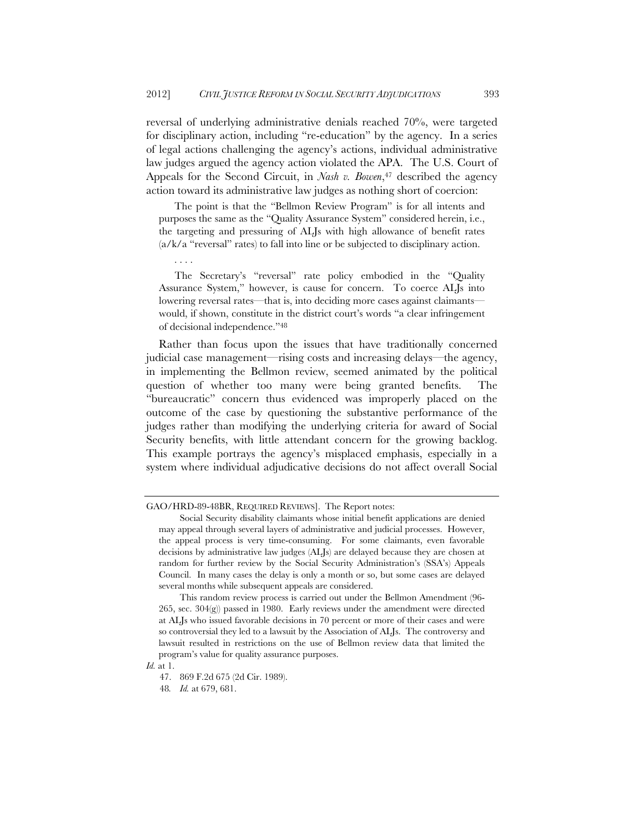reversal of underlying administrative denials reached 70%, were targeted for disciplinary action, including "re-education" by the agency. In a series of legal actions challenging the agency's actions, individual administrative law judges argued the agency action violated the APA. The U.S. Court of Appeals for the Second Circuit, in *Nash v. Bowen*<sup>47</sup> described the agency action toward its administrative law judges as nothing short of coercion:

The point is that the "Bellmon Review Program" is for all intents and purposes the same as the "Quality Assurance System" considered herein, i.e., the targeting and pressuring of ALJs with high allowance of benefit rates  $(a/k/a$  "reversal" rates) to fall into line or be subjected to disciplinary action.

The Secretary's "reversal" rate policy embodied in the "Quality Assurance System," however, is cause for concern. To coerce ALJs into lowering reversal rates—that is, into deciding more cases against claimants would, if shown, constitute in the district court's words "a clear infringement of decisional independence."48

Rather than focus upon the issues that have traditionally concerned judicial case management—rising costs and increasing delays—the agency, in implementing the Bellmon review, seemed animated by the political question of whether too many were being granted benefits. The "bureaucratic" concern thus evidenced was improperly placed on the outcome of the case by questioning the substantive performance of the judges rather than modifying the underlying criteria for award of Social Security benefits, with little attendant concern for the growing backlog. This example portrays the agency's misplaced emphasis, especially in a system where individual adjudicative decisions do not affect overall Social

. . . .

GAO/HRD-89-48BR, REQUIRED REVIEWS]. The Report notes:

Social Security disability claimants whose initial benefit applications are denied may appeal through several layers of administrative and judicial processes. However, the appeal process is very time-consuming. For some claimants, even favorable decisions by administrative law judges (ALJs) are delayed because they are chosen at random for further review by the Social Security Administration's (SSA's) Appeals Council. In many cases the delay is only a month or so, but some cases are delayed several months while subsequent appeals are considered.

This random review process is carried out under the Bellmon Amendment (96- 265, sec. 304(g)) passed in 1980. Early reviews under the amendment were directed at ALJs who issued favorable decisions in 70 percent or more of their cases and were so controversial they led to a lawsuit by the Association of ALJs. The controversy and lawsuit resulted in restrictions on the use of Bellmon review data that limited the program's value for quality assurance purposes.

*Id.* at 1.

 <sup>47. 869</sup> F.2d 675 (2d Cir. 1989).

<sup>48</sup>*. Id.* at 679, 681.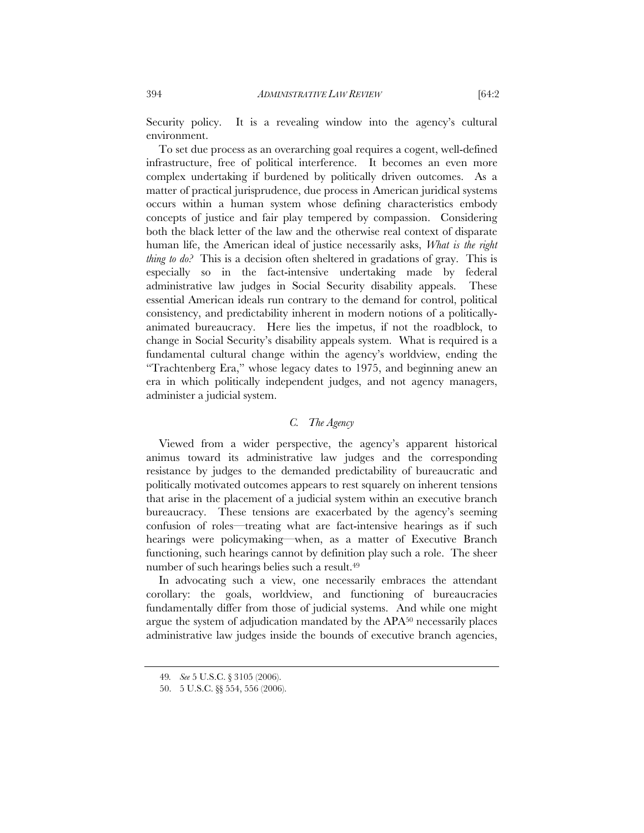Security policy. It is a revealing window into the agency's cultural environment.

To set due process as an overarching goal requires a cogent, well-defined infrastructure, free of political interference. It becomes an even more complex undertaking if burdened by politically driven outcomes. As a matter of practical jurisprudence, due process in American juridical systems occurs within a human system whose defining characteristics embody concepts of justice and fair play tempered by compassion. Considering both the black letter of the law and the otherwise real context of disparate human life, the American ideal of justice necessarily asks, *What is the right thing to do?* This is a decision often sheltered in gradations of gray. This is especially so in the fact-intensive undertaking made by federal administrative law judges in Social Security disability appeals. These essential American ideals run contrary to the demand for control, political consistency, and predictability inherent in modern notions of a politicallyanimated bureaucracy. Here lies the impetus, if not the roadblock, to change in Social Security's disability appeals system. What is required is a fundamental cultural change within the agency's worldview, ending the "Trachtenberg Era," whose legacy dates to 1975, and beginning anew an era in which politically independent judges, and not agency managers, administer a judicial system.

# *C. The Agency*

Viewed from a wider perspective, the agency's apparent historical animus toward its administrative law judges and the corresponding resistance by judges to the demanded predictability of bureaucratic and politically motivated outcomes appears to rest squarely on inherent tensions that arise in the placement of a judicial system within an executive branch bureaucracy. These tensions are exacerbated by the agency's seeming confusion of roles—treating what are fact-intensive hearings as if such hearings were policymaking—when, as a matter of Executive Branch functioning, such hearings cannot by definition play such a role. The sheer number of such hearings belies such a result.49

In advocating such a view, one necessarily embraces the attendant corollary: the goals, worldview, and functioning of bureaucracies fundamentally differ from those of judicial systems. And while one might argue the system of adjudication mandated by the APA50 necessarily places administrative law judges inside the bounds of executive branch agencies,

<sup>49</sup>*. See* 5 U.S.C. § 3105 (2006).

 <sup>50. 5</sup> U.S.C. §§ 554, 556 (2006).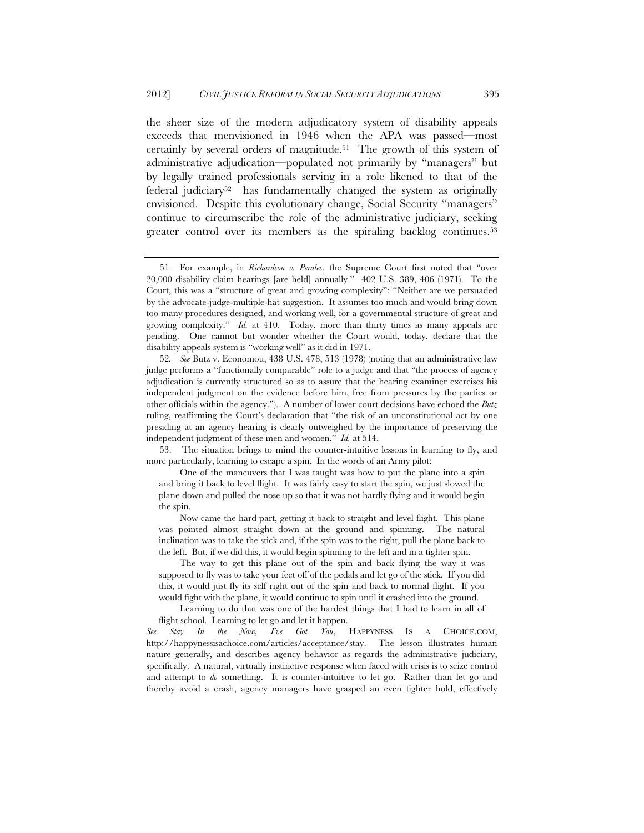the sheer size of the modern adjudicatory system of disability appeals exceeds that menvisioned in 1946 when the APA was passed—most certainly by several orders of magnitude.51 The growth of this system of administrative adjudication—populated not primarily by "managers" but by legally trained professionals serving in a role likened to that of the federal judiciary52—has fundamentally changed the system as originally envisioned. Despite this evolutionary change, Social Security "managers" continue to circumscribe the role of the administrative judiciary, seeking greater control over its members as the spiraling backlog continues.<sup>53</sup>

 The way to get this plane out of the spin and back flying the way it was supposed to fly was to take your feet off of the pedals and let go of the stick. If you did this, it would just fly its self right out of the spin and back to normal flight. If you would fight with the plane, it would continue to spin until it crashed into the ground.

 <sup>51.</sup> For example, in *Richardson v. Perales*, the Supreme Court first noted that "over 20,000 disability claim hearings [are held] annually." 402 U.S. 389, 406 (1971). To the Court, this was a "structure of great and growing complexity": "Neither are we persuaded by the advocate-judge-multiple-hat suggestion. It assumes too much and would bring down too many procedures designed, and working well, for a governmental structure of great and growing complexity." *Id.* at 410. Today, more than thirty times as many appeals are pending. One cannot but wonder whether the Court would, today, declare that the disability appeals system is "working well" as it did in 1971.

<sup>52</sup>*. See* Butz v. Economou, 438 U.S. 478, 513 (1978) (noting that an administrative law judge performs a "functionally comparable" role to a judge and that "the process of agency adjudication is currently structured so as to assure that the hearing examiner exercises his independent judgment on the evidence before him, free from pressures by the parties or other officials within the agency."). A number of lower court decisions have echoed the *Butz*  ruling, reaffirming the Court's declaration that "the risk of an unconstitutional act by one presiding at an agency hearing is clearly outweighed by the importance of preserving the independent judgment of these men and women." *Id.* at 514.

 <sup>53.</sup> The situation brings to mind the counter-intuitive lessons in learning to fly, and more particularly, learning to escape a spin. In the words of an Army pilot:

One of the maneuvers that I was taught was how to put the plane into a spin and bring it back to level flight. It was fairly easy to start the spin, we just slowed the plane down and pulled the nose up so that it was not hardly flying and it would begin the spin.

Now came the hard part, getting it back to straight and level flight. This plane was pointed almost straight down at the ground and spinning. The natural inclination was to take the stick and, if the spin was to the right, pull the plane back to the left. But, if we did this, it would begin spinning to the left and in a tighter spin.

Learning to do that was one of the hardest things that I had to learn in all of flight school. Learning to let go and let it happen.

*See Stay In the Now, I've Got You*, HAPPYNESS IS A CHOICE.COM, http://happynessisachoice.com/articles/acceptance/stay. The lesson illustrates human nature generally, and describes agency behavior as regards the administrative judiciary, specifically. A natural, virtually instinctive response when faced with crisis is to seize control and attempt to *do* something. It is counter-intuitive to let go. Rather than let go and thereby avoid a crash, agency managers have grasped an even tighter hold, effectively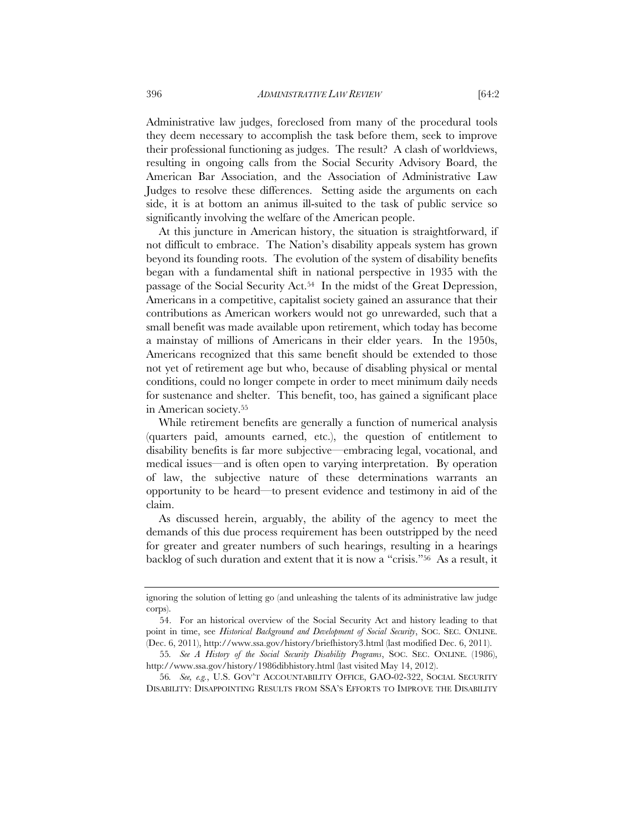Administrative law judges, foreclosed from many of the procedural tools they deem necessary to accomplish the task before them, seek to improve their professional functioning as judges. The result? A clash of worldviews, resulting in ongoing calls from the Social Security Advisory Board, the American Bar Association, and the Association of Administrative Law Judges to resolve these differences. Setting aside the arguments on each side, it is at bottom an animus ill-suited to the task of public service so significantly involving the welfare of the American people.

At this juncture in American history, the situation is straightforward, if not difficult to embrace. The Nation's disability appeals system has grown beyond its founding roots. The evolution of the system of disability benefits began with a fundamental shift in national perspective in 1935 with the passage of the Social Security Act.54 In the midst of the Great Depression, Americans in a competitive, capitalist society gained an assurance that their contributions as American workers would not go unrewarded, such that a small benefit was made available upon retirement, which today has become a mainstay of millions of Americans in their elder years. In the 1950s, Americans recognized that this same benefit should be extended to those not yet of retirement age but who, because of disabling physical or mental conditions, could no longer compete in order to meet minimum daily needs for sustenance and shelter. This benefit, too, has gained a significant place in American society.55

While retirement benefits are generally a function of numerical analysis (quarters paid, amounts earned, etc.), the question of entitlement to disability benefits is far more subjective—embracing legal, vocational, and medical issues—and is often open to varying interpretation. By operation of law, the subjective nature of these determinations warrants an opportunity to be heard—to present evidence and testimony in aid of the claim.

As discussed herein, arguably, the ability of the agency to meet the demands of this due process requirement has been outstripped by the need for greater and greater numbers of such hearings, resulting in a hearings backlog of such duration and extent that it is now a "crisis."56 As a result, it

56*. See, e.g.*, U.S. GOV'T ACCOUNTABILITY OFFICE, GAO-02-322, SOCIAL SECURITY DISABILITY: DISAPPOINTING RESULTS FROM SSA'S EFFORTS TO IMPROVE THE DISABILITY

ignoring the solution of letting go (and unleashing the talents of its administrative law judge corps).

<sup>54.</sup> For an historical overview of the Social Security Act and history leading to that point in time, see *Historical Background and Development of Social Security*, SOC. SEC. ONLINE. (Dec. 6, 2011), http://www.ssa.gov/history/briefhistory3.html (last modified Dec. 6, 2011).

<sup>55</sup>*. See A History of the Social Security Disability Programs*, SOC. SEC. ONLINE. (1986), http://www.ssa.gov/history/1986dibhistory.html (last visited May 14, 2012).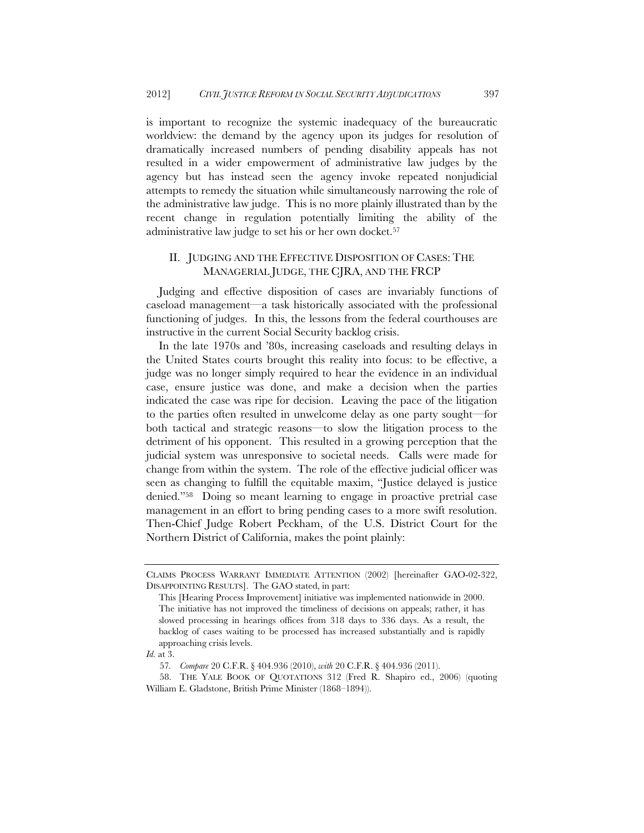is important to recognize the systemic inadequacy of the bureaucratic worldview: the demand by the agency upon its judges for resolution of dramatically increased numbers of pending disability appeals has not resulted in a wider empowerment of administrative law judges by the agency but has instead seen the agency invoke repeated nonjudicial attempts to remedy the situation while simultaneously narrowing the role of the administrative law judge. This is no more plainly illustrated than by the recent change in regulation potentially limiting the ability of the administrative law judge to set his or her own docket.57

### II. JUDGING AND THE EFFECTIVE DISPOSITION OF CASES: THE MANAGERIAL JUDGE, THE CJRA, AND THE FRCP

Judging and effective disposition of cases are invariably functions of caseload management—a task historically associated with the professional functioning of judges. In this, the lessons from the federal courthouses are instructive in the current Social Security backlog crisis.

In the late 1970s and '80s, increasing caseloads and resulting delays in the United States courts brought this reality into focus: to be effective, a judge was no longer simply required to hear the evidence in an individual case, ensure justice was done, and make a decision when the parties indicated the case was ripe for decision. Leaving the pace of the litigation to the parties often resulted in unwelcome delay as one party sought—for both tactical and strategic reasons—to slow the litigation process to the detriment of his opponent. This resulted in a growing perception that the judicial system was unresponsive to societal needs. Calls were made for change from within the system. The role of the effective judicial officer was seen as changing to fulfill the equitable maxim, "Justice delayed is justice denied."58 Doing so meant learning to engage in proactive pretrial case management in an effort to bring pending cases to a more swift resolution. Then-Chief Judge Robert Peckham, of the U.S. District Court for the Northern District of California, makes the point plainly:

CLAIMS PROCESS WARRANT IMMEDIATE ATTENTION (2002) [hereinafter GAO-02-322, DISAPPOINTING RESULTS].The GAO stated, in part:

This [Hearing Process Improvement] initiative was implemented nationwide in 2000. The initiative has not improved the timeliness of decisions on appeals; rather, it has slowed processing in hearings offices from 318 days to 336 days. As a result, the backlog of cases waiting to be processed has increased substantially and is rapidly approaching crisis levels.

*Id.* at 3.

<sup>57</sup>*. Compare* 20 C.F.R. § 404.936 (2010), *with* 20 C.F.R. § 404.936 (2011).

 <sup>58.</sup> THE YALE BOOK OF QUOTATIONS 312 (Fred R. Shapiro ed., 2006) (quoting William E. Gladstone, British Prime Minister (1868–1894)).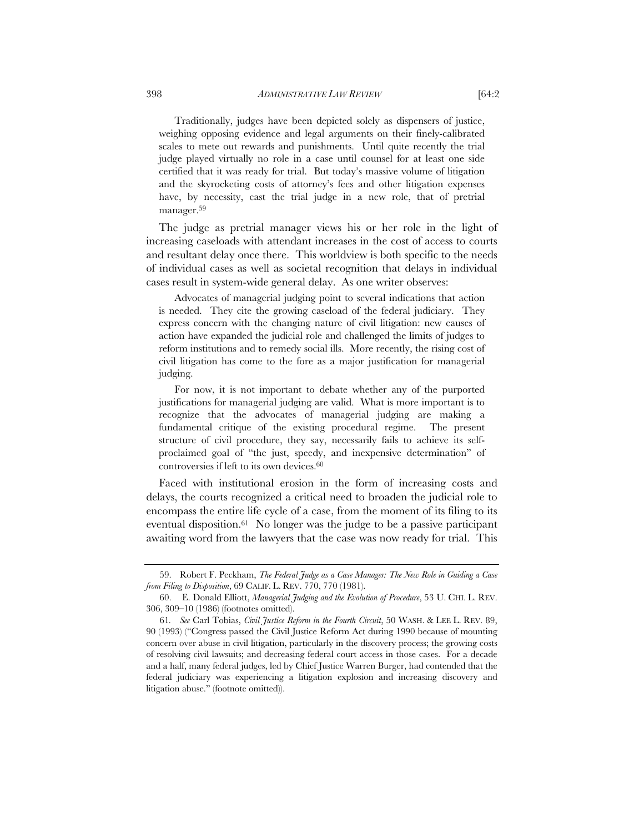Traditionally, judges have been depicted solely as dispensers of justice, weighing opposing evidence and legal arguments on their finely-calibrated scales to mete out rewards and punishments. Until quite recently the trial judge played virtually no role in a case until counsel for at least one side certified that it was ready for trial. But today's massive volume of litigation and the skyrocketing costs of attorney's fees and other litigation expenses have, by necessity, cast the trial judge in a new role, that of pretrial manager.59

The judge as pretrial manager views his or her role in the light of increasing caseloads with attendant increases in the cost of access to courts and resultant delay once there. This worldview is both specific to the needs of individual cases as well as societal recognition that delays in individual cases result in system-wide general delay. As one writer observes:

Advocates of managerial judging point to several indications that action is needed. They cite the growing caseload of the federal judiciary. They express concern with the changing nature of civil litigation: new causes of action have expanded the judicial role and challenged the limits of judges to reform institutions and to remedy social ills. More recently, the rising cost of civil litigation has come to the fore as a major justification for managerial judging.

For now, it is not important to debate whether any of the purported justifications for managerial judging are valid. What is more important is to recognize that the advocates of managerial judging are making a fundamental critique of the existing procedural regime. The present structure of civil procedure, they say, necessarily fails to achieve its selfproclaimed goal of "the just, speedy, and inexpensive determination" of controversies if left to its own devices.60

Faced with institutional erosion in the form of increasing costs and delays, the courts recognized a critical need to broaden the judicial role to encompass the entire life cycle of a case, from the moment of its filing to its eventual disposition.61 No longer was the judge to be a passive participant awaiting word from the lawyers that the case was now ready for trial. This

 <sup>59.</sup> Robert F. Peckham, *The Federal Judge as a Case Manager: The New Role in Guiding a Case from Filing to Disposition*, 69 CALIF. L. REV. 770, 770 (1981).

 <sup>60.</sup> E. Donald Elliott, *Managerial Judging and the Evolution of Procedure*, 53 U. CHI. L. REV. 306, 309–10 (1986) (footnotes omitted).

<sup>61</sup>*. See* Carl Tobias, *Civil Justice Reform in the Fourth Circuit*, 50 WASH. & LEE L. REV. 89, 90 (1993) ("Congress passed the Civil Justice Reform Act during 1990 because of mounting concern over abuse in civil litigation, particularly in the discovery process; the growing costs of resolving civil lawsuits; and decreasing federal court access in those cases. For a decade and a half, many federal judges, led by Chief Justice Warren Burger, had contended that the federal judiciary was experiencing a litigation explosion and increasing discovery and litigation abuse." (footnote omitted)).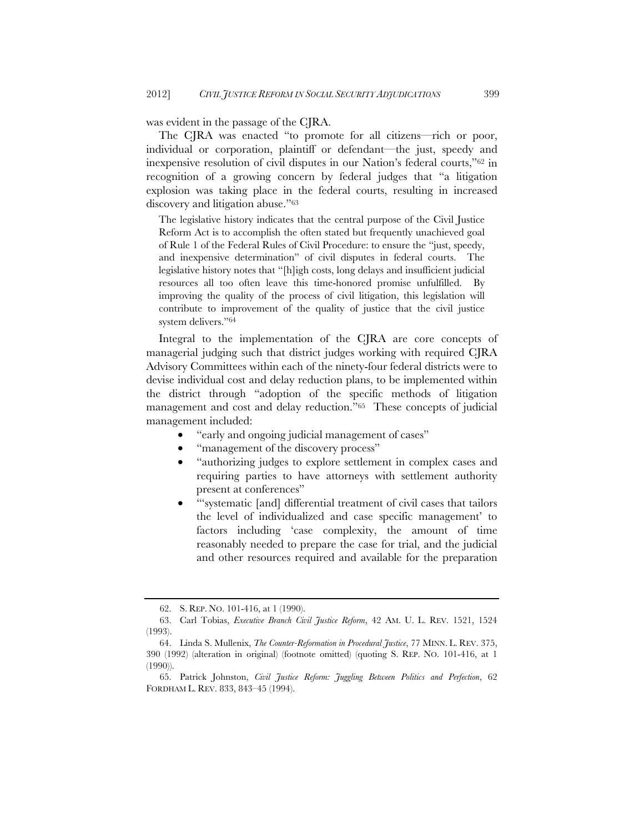was evident in the passage of the CJRA.

The CJRA was enacted "to promote for all citizens—rich or poor, individual or corporation, plaintiff or defendant—the just, speedy and inexpensive resolution of civil disputes in our Nation's federal courts,"62 in recognition of a growing concern by federal judges that "a litigation explosion was taking place in the federal courts, resulting in increased discovery and litigation abuse."63

The legislative history indicates that the central purpose of the Civil Justice Reform Act is to accomplish the often stated but frequently unachieved goal of Rule 1 of the Federal Rules of Civil Procedure: to ensure the "just, speedy, and inexpensive determination" of civil disputes in federal courts. The legislative history notes that "[h]igh costs, long delays and insufficient judicial resources all too often leave this time-honored promise unfulfilled. By improving the quality of the process of civil litigation, this legislation will contribute to improvement of the quality of justice that the civil justice system delivers."64

Integral to the implementation of the CJRA are core concepts of managerial judging such that district judges working with required CJRA Advisory Committees within each of the ninety-four federal districts were to devise individual cost and delay reduction plans, to be implemented within the district through "adoption of the specific methods of litigation management and cost and delay reduction."65 These concepts of judicial management included:

- "early and ongoing judicial management of cases"
- "management of the discovery process"
- "authorizing judges to explore settlement in complex cases and requiring parties to have attorneys with settlement authority present at conferences"
- "'systematic [and] differential treatment of civil cases that tailors the level of individualized and case specific management' to factors including 'case complexity, the amount of time reasonably needed to prepare the case for trial, and the judicial and other resources required and available for the preparation

 <sup>62.</sup> S. REP. NO. 101-416, at 1 (1990).

 <sup>63.</sup> Carl Tobias, *Executive Branch Civil Justice Reform*, 42 AM. U. L. REV. 1521, 1524 (1993).

 <sup>64.</sup> Linda S. Mullenix, *The Counter-Reformation in Procedural Justice*, 77 MINN. L. REV. 375, 390 (1992) (alteration in original) (footnote omitted) (quoting S. REP. NO. 101-416, at 1 (1990)).

 <sup>65.</sup> Patrick Johnston, *Civil Justice Reform: Juggling Between Politics and Perfection*, 62 FORDHAM L. REV. 833, 843–45 (1994).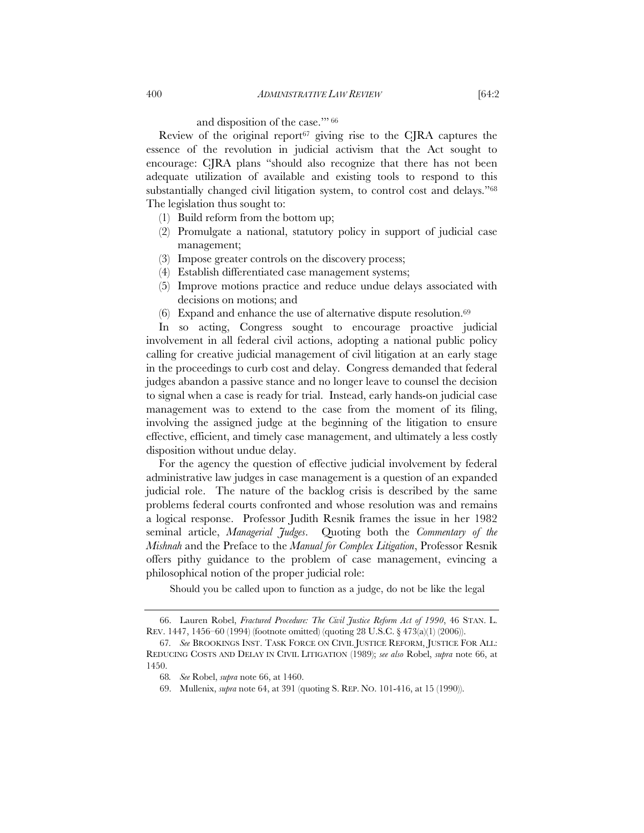# and disposition of the case.'" 66

Review of the original report<sup> $67$ </sup> giving rise to the CJRA captures the essence of the revolution in judicial activism that the Act sought to encourage: CJRA plans "should also recognize that there has not been adequate utilization of available and existing tools to respond to this substantially changed civil litigation system, to control cost and delays."<sup>68</sup> The legislation thus sought to:

- (1) Build reform from the bottom up;
- (2) Promulgate a national, statutory policy in support of judicial case management;
- (3) Impose greater controls on the discovery process;
- (4) Establish differentiated case management systems;
- (5) Improve motions practice and reduce undue delays associated with decisions on motions; and
- $(6)$  Expand and enhance the use of alternative dispute resolution.<sup>69</sup>

In so acting, Congress sought to encourage proactive judicial involvement in all federal civil actions, adopting a national public policy calling for creative judicial management of civil litigation at an early stage in the proceedings to curb cost and delay. Congress demanded that federal judges abandon a passive stance and no longer leave to counsel the decision to signal when a case is ready for trial. Instead, early hands-on judicial case management was to extend to the case from the moment of its filing, involving the assigned judge at the beginning of the litigation to ensure effective, efficient, and timely case management, and ultimately a less costly disposition without undue delay.

For the agency the question of effective judicial involvement by federal administrative law judges in case management is a question of an expanded judicial role. The nature of the backlog crisis is described by the same problems federal courts confronted and whose resolution was and remains a logical response. Professor Judith Resnik frames the issue in her 1982 seminal article, *Managerial Judges*. Quoting both the *Commentary of the Mishnah* and the Preface to the *Manual for Complex Litigation*, Professor Resnik offers pithy guidance to the problem of case management, evincing a philosophical notion of the proper judicial role:

Should you be called upon to function as a judge, do not be like the legal

 <sup>66.</sup> Lauren Robel, *Fractured Procedure: The Civil Justice Reform Act of 1990*, 46 STAN. L. REV. 1447, 1456–60 (1994) (footnote omitted) (quoting 28 U.S.C. § 473(a)(1) (2006)).

<sup>67</sup>*. See* BROOKINGS INST. TASK FORCE ON CIVIL JUSTICE REFORM, JUSTICE FOR ALL: REDUCING COSTS AND DELAY IN CIVIL LITIGATION (1989); *see also* Robel, *supra* note 66, at 1450.

<sup>68</sup>*. See* Robel, *supra* note 66, at 1460.

 <sup>69.</sup> Mullenix, *supra* note 64, at 391 (quoting S. REP. NO. 101-416, at 15 (1990)).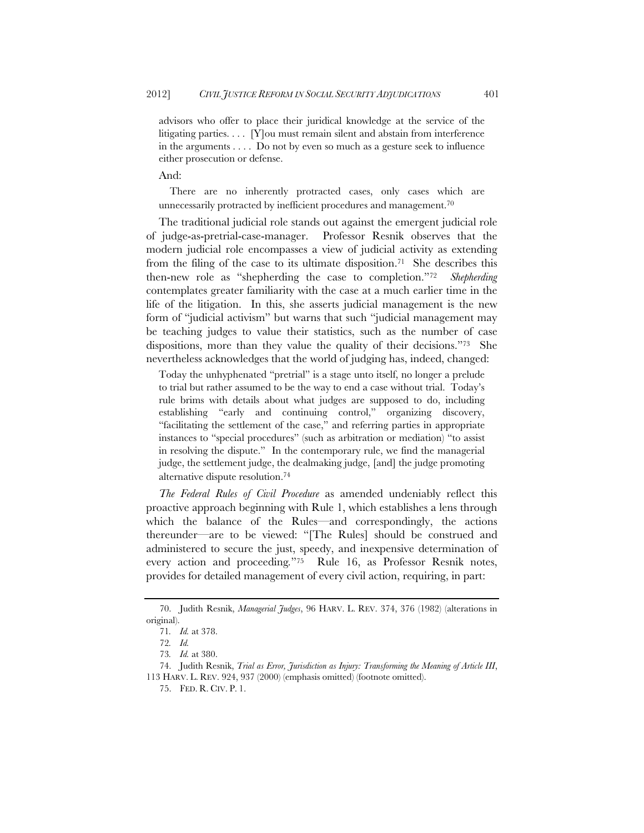advisors who offer to place their juridical knowledge at the service of the litigating parties. . . . [Y]ou must remain silent and abstain from interference in the arguments . . . . Do not by even so much as a gesture seek to influence either prosecution or defense.

And:

There are no inherently protracted cases, only cases which are unnecessarily protracted by inefficient procedures and management.<sup>70</sup>

The traditional judicial role stands out against the emergent judicial role of judge-as-pretrial-case-manager. Professor Resnik observes that the modern judicial role encompasses a view of judicial activity as extending from the filing of the case to its ultimate disposition.71 She describes this then-new role as "shepherding the case to completion."72 *Shepherding* contemplates greater familiarity with the case at a much earlier time in the life of the litigation. In this, she asserts judicial management is the new form of "judicial activism" but warns that such "judicial management may be teaching judges to value their statistics, such as the number of case dispositions, more than they value the quality of their decisions."73 She nevertheless acknowledges that the world of judging has, indeed, changed:

Today the unhyphenated "pretrial" is a stage unto itself, no longer a prelude to trial but rather assumed to be the way to end a case without trial. Today's rule brims with details about what judges are supposed to do, including establishing "early and continuing control," organizing discovery, "facilitating the settlement of the case," and referring parties in appropriate instances to "special procedures" (such as arbitration or mediation) "to assist in resolving the dispute." In the contemporary rule, we find the managerial judge, the settlement judge, the dealmaking judge, [and] the judge promoting alternative dispute resolution.74

*The Federal Rules of Civil Procedure* as amended undeniably reflect this proactive approach beginning with Rule 1, which establishes a lens through which the balance of the Rules—and correspondingly, the actions thereunder—are to be viewed: "[The Rules] should be construed and administered to secure the just, speedy, and inexpensive determination of every action and proceeding*.*"75 Rule 16, as Professor Resnik notes, provides for detailed management of every civil action, requiring, in part:

 <sup>70.</sup> Judith Resnik, *Managerial Judges*, 96 HARV. L. REV. 374, 376 (1982) (alterations in original).

<sup>71</sup>*. Id.* at 378.

<sup>72</sup>*. Id.*

<sup>73</sup>*. Id.* at 380.

 <sup>74.</sup> Judith Resnik, *Trial as Error, Jurisdiction as Injury: Transforming the Meaning of Article III*, 113 HARV. L. REV. 924, 937 (2000) (emphasis omitted) (footnote omitted).

 <sup>75.</sup> FED. R. CIV. P. 1.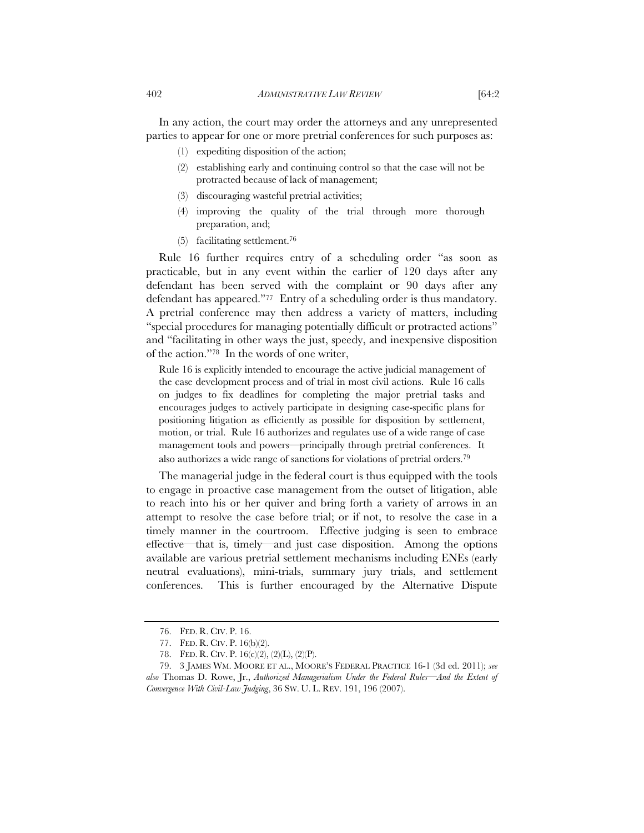In any action, the court may order the attorneys and any unrepresented parties to appear for one or more pretrial conferences for such purposes as:

- (1) expediting disposition of the action;
- (2) establishing early and continuing control so that the case will not be protracted because of lack of management;
- (3) discouraging wasteful pretrial activities;
- (4) improving the quality of the trial through more thorough preparation, and;
- (5) facilitating settlement.76

Rule 16 further requires entry of a scheduling order "as soon as practicable, but in any event within the earlier of 120 days after any defendant has been served with the complaint or 90 days after any defendant has appeared."77 Entry of a scheduling order is thus mandatory. A pretrial conference may then address a variety of matters, including "special procedures for managing potentially difficult or protracted actions" and "facilitating in other ways the just, speedy, and inexpensive disposition of the action."78In the words of one writer,

Rule 16 is explicitly intended to encourage the active judicial management of the case development process and of trial in most civil actions. Rule 16 calls on judges to fix deadlines for completing the major pretrial tasks and encourages judges to actively participate in designing case-specific plans for positioning litigation as efficiently as possible for disposition by settlement, motion, or trial. Rule 16 authorizes and regulates use of a wide range of case management tools and powers—principally through pretrial conferences. It also authorizes a wide range of sanctions for violations of pretrial orders.79

The managerial judge in the federal court is thus equipped with the tools to engage in proactive case management from the outset of litigation, able to reach into his or her quiver and bring forth a variety of arrows in an attempt to resolve the case before trial; or if not, to resolve the case in a timely manner in the courtroom. Effective judging is seen to embrace effective—that is, timely—and just case disposition. Among the options available are various pretrial settlement mechanisms including ENEs (early neutral evaluations), mini-trials, summary jury trials, and settlement conferences. This is further encouraged by the Alternative Dispute

 <sup>76.</sup> FED. R. CIV. P. 16.

 <sup>77.</sup> FED. R. CIV. P. 16(b)(2).

 <sup>78.</sup> FED. R. CIV. P. 16(c)(2), (2)(L), (2)(P).

 <sup>79. 3</sup> JAMES WM. MOORE ET AL., MOORE'S FEDERAL PRACTICE 16-1 (3d ed. 2011); *see also* Thomas D. Rowe, Jr., *Authorized Managerialism Under the Federal Rules—And the Extent of Convergence With Civil-Law Judging*, 36 SW. U. L. REV. 191, 196 (2007).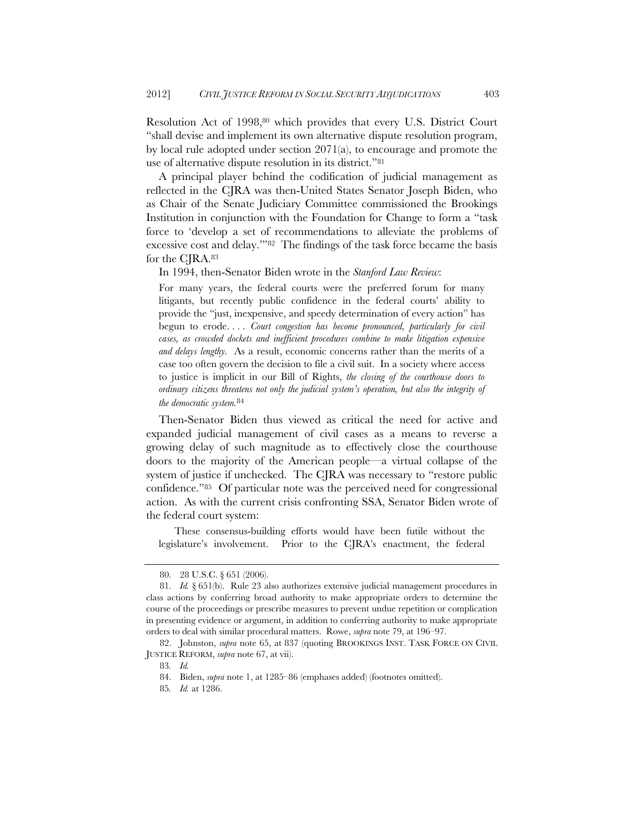Resolution Act of 1998,80 which provides that every U.S. District Court "shall devise and implement its own alternative dispute resolution program, by local rule adopted under section 2071(a), to encourage and promote the use of alternative dispute resolution in its district."81

A principal player behind the codification of judicial management as reflected in the CJRA was then-United States Senator Joseph Biden, who as Chair of the Senate Judiciary Committee commissioned the Brookings Institution in conjunction with the Foundation for Change to form a "task force to 'develop a set of recommendations to alleviate the problems of excessive cost and delay.'"82 The findings of the task force became the basis for the CJRA.83

In 1994, then-Senator Biden wrote in the *Stanford Law Review*:

For many years, the federal courts were the preferred forum for many litigants, but recently public confidence in the federal courts' ability to provide the "just, inexpensive, and speedy determination of every action" has begun to erode. . . . *Court congestion has become pronounced, particularly for civil cases, as crowded dockets and inefficient procedures combine to make litigation expensive and delays lengthy.* As a result, economic concerns rather than the merits of a case too often govern the decision to file a civil suit. In a society where access to justice is implicit in our Bill of Rights, *the closing of the courthouse doors to ordinary citizens threatens not only the judicial system's operation, but also the integrity of the democratic system.*<sup>84</sup>

Then-Senator Biden thus viewed as critical the need for active and expanded judicial management of civil cases as a means to reverse a growing delay of such magnitude as to effectively close the courthouse doors to the majority of the American people—a virtual collapse of the system of justice if unchecked. The CJRA was necessary to "restore public confidence."85 Of particular note was the perceived need for congressional action. As with the current crisis confronting SSA, Senator Biden wrote of the federal court system:

These consensus-building efforts would have been futile without the legislature's involvement. Prior to the CJRA's enactment, the federal

 <sup>80. 28</sup> U.S.C. § 651 (2006).

 <sup>81.</sup> *Id.* § 651(b). Rule 23 also authorizes extensive judicial management procedures in class actions by conferring broad authority to make appropriate orders to determine the course of the proceedings or prescribe measures to prevent undue repetition or complication in presenting evidence or argument, in addition to conferring authority to make appropriate orders to deal with similar procedural matters. Rowe, *supra* note 79, at 196–97.

 <sup>82.</sup> Johnston, *supra* note 65, at 837 (quoting BROOKINGS INST. TASK FORCE ON CIVIL JUSTICE REFORM, *supra* note 67, at vii).

<sup>83</sup>*. Id.*

 <sup>84.</sup> Biden, *supra* note 1, at 1285–86 (emphases added) (footnotes omitted).

<sup>85</sup>*. Id.* at 1286.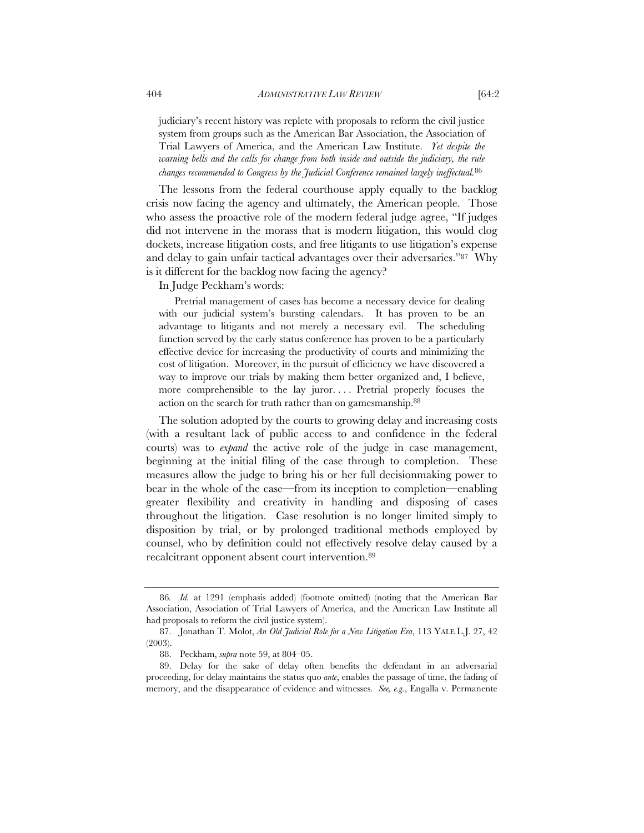judiciary's recent history was replete with proposals to reform the civil justice system from groups such as the American Bar Association, the Association of Trial Lawyers of America, and the American Law Institute. *Yet despite the warning bells and the calls for change from both inside and outside the judiciary, the rule changes recommended to Congress by the Judicial Conference remained largely ineffectual.*<sup>86</sup>

The lessons from the federal courthouse apply equally to the backlog crisis now facing the agency and ultimately, the American people. Those who assess the proactive role of the modern federal judge agree, "If judges did not intervene in the morass that is modern litigation, this would clog dockets, increase litigation costs, and free litigants to use litigation's expense and delay to gain unfair tactical advantages over their adversaries."87 Why is it different for the backlog now facing the agency?

In Judge Peckham's words:

Pretrial management of cases has become a necessary device for dealing with our judicial system's bursting calendars. It has proven to be an advantage to litigants and not merely a necessary evil. The scheduling function served by the early status conference has proven to be a particularly effective device for increasing the productivity of courts and minimizing the cost of litigation. Moreover, in the pursuit of efficiency we have discovered a way to improve our trials by making them better organized and, I believe, more comprehensible to the lay juror.... Pretrial properly focuses the action on the search for truth rather than on gamesmanship.88

The solution adopted by the courts to growing delay and increasing costs (with a resultant lack of public access to and confidence in the federal courts) was to *expand* the active role of the judge in case management, beginning at the initial filing of the case through to completion. These measures allow the judge to bring his or her full decisionmaking power to bear in the whole of the case—from its inception to completion—enabling greater flexibility and creativity in handling and disposing of cases throughout the litigation. Case resolution is no longer limited simply to disposition by trial, or by prolonged traditional methods employed by counsel, who by definition could not effectively resolve delay caused by a recalcitrant opponent absent court intervention.89

<sup>86</sup>*. Id.* at 1291 (emphasis added) (footnote omitted) (noting that the American Bar Association, Association of Trial Lawyers of America, and the American Law Institute all had proposals to reform the civil justice system).

 <sup>87.</sup> Jonathan T. Molot, *An Old Judicial Role for a New Litigation Era*, 113 YALE L.J. 27, 42 (2003).

 <sup>88.</sup> Peckham, *supra* note 59, at 804–05.

 <sup>89.</sup> Delay for the sake of delay often benefits the defendant in an adversarial proceeding, for delay maintains the status quo *ante*, enables the passage of time, the fading of memory, and the disappearance of evidence and witnesses. *See, e.g.*, Engalla v. Permanente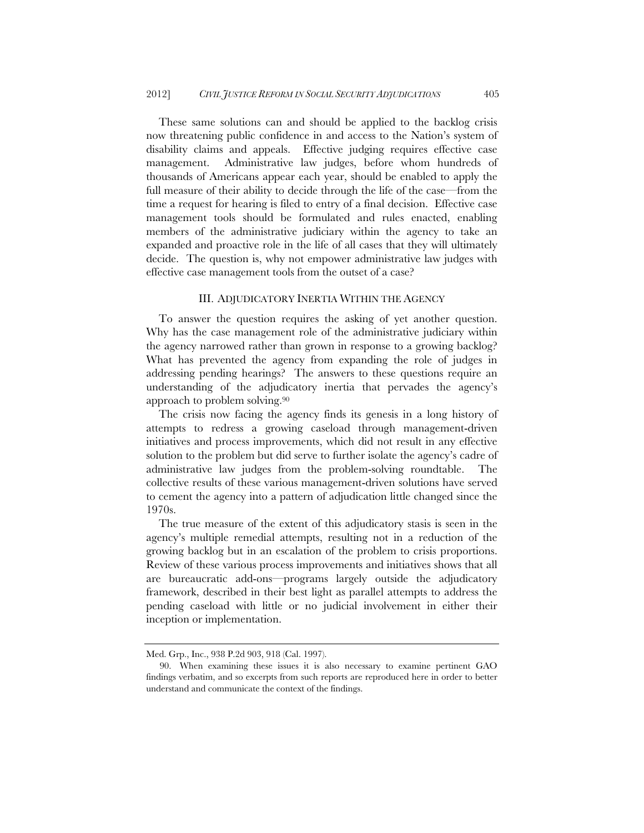These same solutions can and should be applied to the backlog crisis now threatening public confidence in and access to the Nation's system of disability claims and appeals. Effective judging requires effective case management. Administrative law judges, before whom hundreds of thousands of Americans appear each year, should be enabled to apply the full measure of their ability to decide through the life of the case—from the time a request for hearing is filed to entry of a final decision. Effective case management tools should be formulated and rules enacted, enabling members of the administrative judiciary within the agency to take an expanded and proactive role in the life of all cases that they will ultimately decide. The question is, why not empower administrative law judges with effective case management tools from the outset of a case?

#### III. ADJUDICATORY INERTIA WITHIN THE AGENCY

To answer the question requires the asking of yet another question. Why has the case management role of the administrative judiciary within the agency narrowed rather than grown in response to a growing backlog? What has prevented the agency from expanding the role of judges in addressing pending hearings? The answers to these questions require an understanding of the adjudicatory inertia that pervades the agency's approach to problem solving.90

The crisis now facing the agency finds its genesis in a long history of attempts to redress a growing caseload through management-driven initiatives and process improvements, which did not result in any effective solution to the problem but did serve to further isolate the agency's cadre of administrative law judges from the problem-solving roundtable. collective results of these various management-driven solutions have served to cement the agency into a pattern of adjudication little changed since the 1970s.

The true measure of the extent of this adjudicatory stasis is seen in the agency's multiple remedial attempts, resulting not in a reduction of the growing backlog but in an escalation of the problem to crisis proportions. Review of these various process improvements and initiatives shows that all are bureaucratic add-ons—programs largely outside the adjudicatory framework, described in their best light as parallel attempts to address the pending caseload with little or no judicial involvement in either their inception or implementation.

Med. Grp., Inc., 938 P.2d 903, 918 (Cal. 1997).

 <sup>90.</sup> When examining these issues it is also necessary to examine pertinent GAO findings verbatim, and so excerpts from such reports are reproduced here in order to better understand and communicate the context of the findings.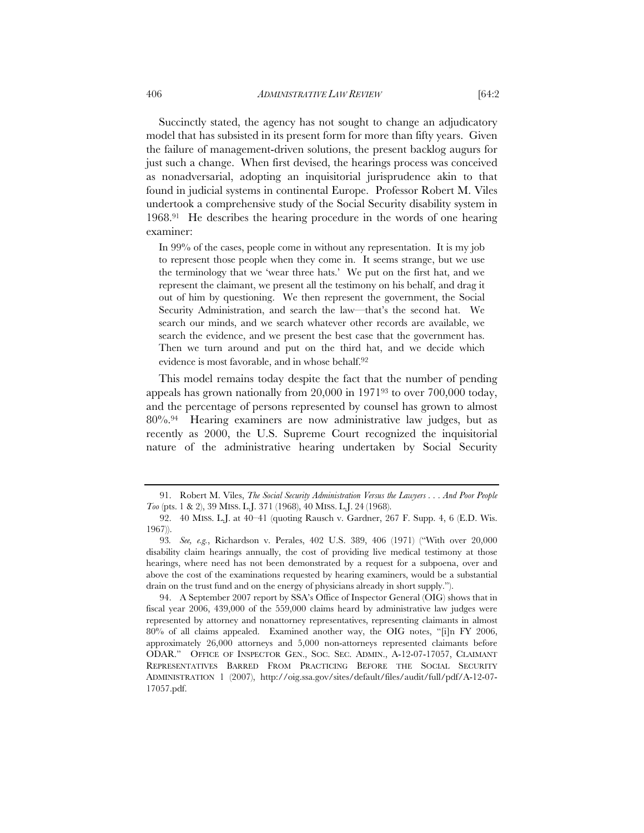Succinctly stated, the agency has not sought to change an adjudicatory model that has subsisted in its present form for more than fifty years. Given the failure of management-driven solutions, the present backlog augurs for just such a change. When first devised, the hearings process was conceived as nonadversarial, adopting an inquisitorial jurisprudence akin to that

found in judicial systems in continental Europe. Professor Robert M. Viles undertook a comprehensive study of the Social Security disability system in 1968.91 He describes the hearing procedure in the words of one hearing examiner:

In 99% of the cases, people come in without any representation. It is my job to represent those people when they come in. It seems strange, but we use the terminology that we 'wear three hats.' We put on the first hat, and we represent the claimant, we present all the testimony on his behalf, and drag it out of him by questioning. We then represent the government, the Social Security Administration, and search the law—that's the second hat. We search our minds, and we search whatever other records are available, we search the evidence, and we present the best case that the government has. Then we turn around and put on the third hat, and we decide which evidence is most favorable, and in whose behalf.<sup>92</sup>

This model remains today despite the fact that the number of pending appeals has grown nationally from 20,000 in 197193 to over 700,000 today, and the percentage of persons represented by counsel has grown to almost 80%.94 Hearing examiners are now administrative law judges, but as recently as 2000, the U.S. Supreme Court recognized the inquisitorial nature of the administrative hearing undertaken by Social Security

 <sup>91.</sup> Robert M. Viles, *The Social Security Administration Versus the Lawyers . . . And Poor People Too* (pts. 1 & 2), 39 MISS. L.J. 371 (1968), 40 MISS. L.J. 24 (1968).

 <sup>92. 40</sup> MISS. L.J. at 40–41 (quoting Rausch v. Gardner, 267 F. Supp. 4, 6 (E.D. Wis. 1967)).

<sup>93</sup>*. See, e.g.*, Richardson v. Perales, 402 U.S. 389, 406 (1971) ("With over 20,000 disability claim hearings annually, the cost of providing live medical testimony at those hearings, where need has not been demonstrated by a request for a subpoena, over and above the cost of the examinations requested by hearing examiners, would be a substantial drain on the trust fund and on the energy of physicians already in short supply.").

 <sup>94.</sup> A September 2007 report by SSA's Office of Inspector General (OIG) shows that in fiscal year 2006, 439,000 of the 559,000 claims heard by administrative law judges were represented by attorney and nonattorney representatives, representing claimants in almost 80% of all claims appealed. Examined another way, the OIG notes, "[i]n FY 2006, approximately 26,000 attorneys and 5,000 non-attorneys represented claimants before ODAR." OFFICE OF INSPECTOR GEN., SOC. SEC. ADMIN., A-12-07-17057, CLAIMANT REPRESENTATIVES BARRED FROM PRACTICING BEFORE THE SOCIAL SECURITY ADMINISTRATION 1 (2007), http://oig.ssa.gov/sites/default/files/audit/full/pdf/A-12-07- 17057.pdf.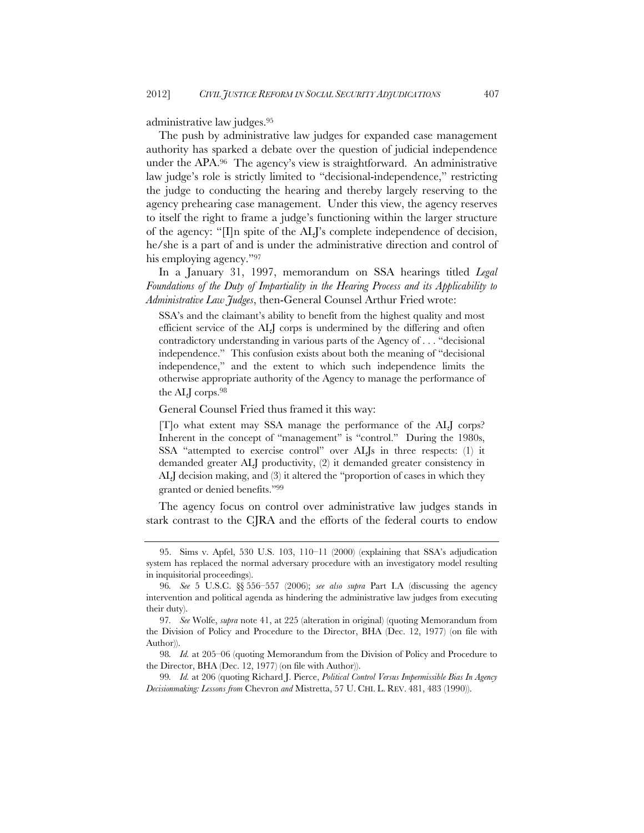administrative law judges.95

The push by administrative law judges for expanded case management authority has sparked a debate over the question of judicial independence under the APA.96 The agency's view is straightforward. An administrative law judge's role is strictly limited to "decisional-independence," restricting the judge to conducting the hearing and thereby largely reserving to the agency prehearing case management. Under this view, the agency reserves to itself the right to frame a judge's functioning within the larger structure of the agency: "[I]n spite of the ALJ's complete independence of decision, he/she is a part of and is under the administrative direction and control of his employing agency."97

In a January 31, 1997, memorandum on SSA hearings titled *Legal Foundations of the Duty of Impartiality in the Hearing Process and its Applicability to Administrative Law Judges*, then-General Counsel Arthur Fried wrote:

SSA's and the claimant's ability to benefit from the highest quality and most efficient service of the ALJ corps is undermined by the differing and often contradictory understanding in various parts of the Agency of . . . "decisional independence." This confusion exists about both the meaning of "decisional independence," and the extent to which such independence limits the otherwise appropriate authority of the Agency to manage the performance of the ALJ corps.98

General Counsel Fried thus framed it this way:

[T]o what extent may SSA manage the performance of the ALJ corps? Inherent in the concept of "management" is "control." During the 1980s, SSA "attempted to exercise control" over ALJs in three respects: (1) it demanded greater ALJ productivity, (2) it demanded greater consistency in ALJ decision making, and (3) it altered the "proportion of cases in which they granted or denied benefits."99

The agency focus on control over administrative law judges stands in stark contrast to the CJRA and the efforts of the federal courts to endow

 <sup>95.</sup> Sims v. Apfel, 530 U.S. 103, 110–11 (2000) (explaining that SSA's adjudication system has replaced the normal adversary procedure with an investigatory model resulting in inquisitorial proceedings).

<sup>96</sup>*. See* 5 U.S.C. §§ 556–557 (2006); *see also supra* Part I.A (discussing the agency intervention and political agenda as hindering the administrative law judges from executing their duty).

<sup>97</sup>*. See* Wolfe, *supra* note 41, at 225 (alteration in original) (quoting Memorandum from the Division of Policy and Procedure to the Director, BHA (Dec. 12, 1977) (on file with Author)).

<sup>98</sup>*. Id.* at 205–06 (quoting Memorandum from the Division of Policy and Procedure to the Director, BHA (Dec. 12, 1977) (on file with Author)).

<sup>99</sup>*. Id.* at 206 (quoting Richard J. Pierce, *Political Control Versus Impermissible Bias In Agency Decisionmaking: Lessons from* Chevron *and* Mistretta, 57 U. CHI. L. REV. 481, 483 (1990)).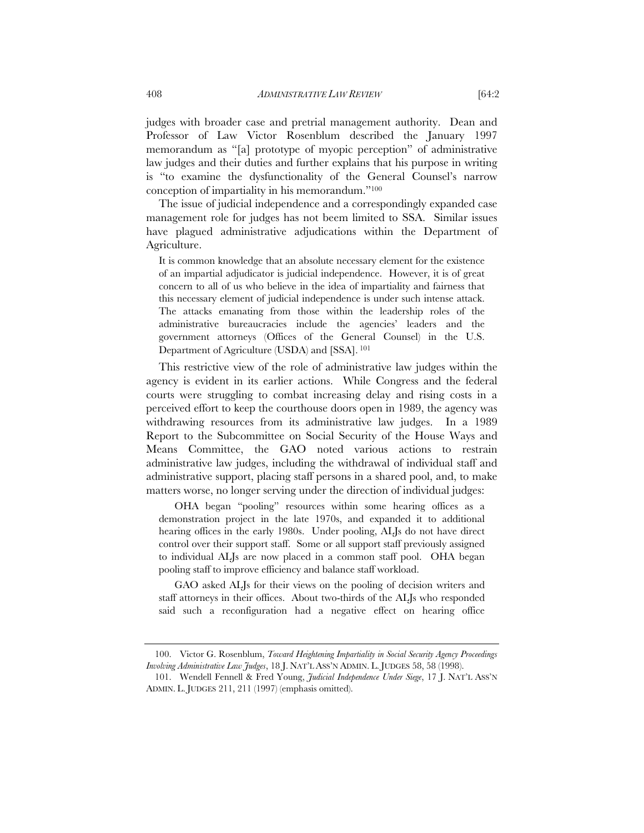judges with broader case and pretrial management authority. Dean and Professor of Law Victor Rosenblum described the January 1997 memorandum as "[a] prototype of myopic perception" of administrative law judges and their duties and further explains that his purpose in writing is "to examine the dysfunctionality of the General Counsel's narrow conception of impartiality in his memorandum."100

The issue of judicial independence and a correspondingly expanded case management role for judges has not beem limited to SSA. Similar issues have plagued administrative adjudications within the Department of Agriculture.

It is common knowledge that an absolute necessary element for the existence of an impartial adjudicator is judicial independence. However, it is of great concern to all of us who believe in the idea of impartiality and fairness that this necessary element of judicial independence is under such intense attack. The attacks emanating from those within the leadership roles of the administrative bureaucracies include the agencies' leaders and the government attorneys (Offices of the General Counsel) in the U.S. Department of Agriculture (USDA) and [SSA]. <sup>101</sup>

This restrictive view of the role of administrative law judges within the agency is evident in its earlier actions. While Congress and the federal courts were struggling to combat increasing delay and rising costs in a perceived effort to keep the courthouse doors open in 1989, the agency was withdrawing resources from its administrative law judges. In a 1989 Report to the Subcommittee on Social Security of the House Ways and Means Committee, the GAO noted various actions to restrain administrative law judges, including the withdrawal of individual staff and administrative support, placing staff persons in a shared pool, and, to make matters worse, no longer serving under the direction of individual judges:

OHA began "pooling" resources within some hearing offices as a demonstration project in the late 1970s, and expanded it to additional hearing offices in the early 1980s. Under pooling, ALJs do not have direct control over their support staff. Some or all support staff previously assigned to individual ALJs are now placed in a common staff pool. OHA began pooling staff to improve efficiency and balance staff workload.

GAO asked ALJs for their views on the pooling of decision writers and staff attorneys in their offices. About two-thirds of the ALJs who responded said such a reconfiguration had a negative effect on hearing office

 <sup>100.</sup> Victor G. Rosenblum, *Toward Heightening Impartiality in Social Security Agency Proceedings Involving Administrative Law Judges*, 18 J. NAT'L ASS'N ADMIN. L. JUDGES 58, 58 (1998).

 <sup>101.</sup> Wendell Fennell & Fred Young, *Judicial Independence Under Siege*, 17 J. NAT'L ASS'N ADMIN. L. JUDGES 211, 211 (1997) (emphasis omitted).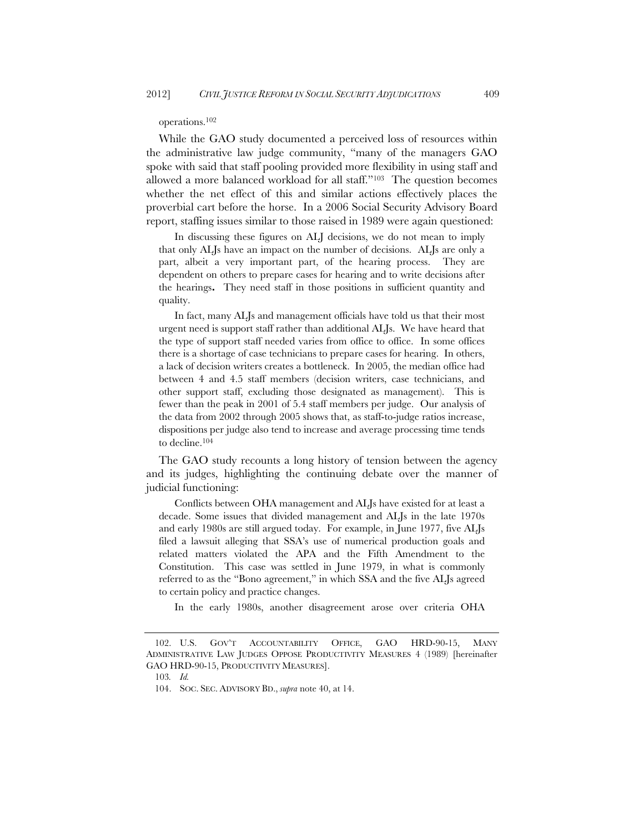operations.102

While the GAO study documented a perceived loss of resources within the administrative law judge community, "many of the managers GAO spoke with said that staff pooling provided more flexibility in using staff and allowed a more balanced workload for all staff."103 The question becomes whether the net effect of this and similar actions effectively places the proverbial cart before the horse. In a 2006 Social Security Advisory Board report, staffing issues similar to those raised in 1989 were again questioned:

In discussing these figures on ALJ decisions, we do not mean to imply that only ALJs have an impact on the number of decisions. ALJs are only a part, albeit a very important part, of the hearing process. They are dependent on others to prepare cases for hearing and to write decisions after the hearings**.** They need staff in those positions in sufficient quantity and quality.

In fact, many ALJs and management officials have told us that their most urgent need is support staff rather than additional ALJs. We have heard that the type of support staff needed varies from office to office. In some offices there is a shortage of case technicians to prepare cases for hearing. In others, a lack of decision writers creates a bottleneck. In 2005, the median office had between 4 and 4.5 staff members (decision writers, case technicians, and other support staff, excluding those designated as management). This is fewer than the peak in 2001 of 5.4 staff members per judge. Our analysis of the data from 2002 through 2005 shows that, as staff-to-judge ratios increase, dispositions per judge also tend to increase and average processing time tends to decline.104

The GAO study recounts a long history of tension between the agency and its judges, highlighting the continuing debate over the manner of judicial functioning:

Conflicts between OHA management and ALJs have existed for at least a decade. Some issues that divided management and ALJs in the late 1970s and early 1980s are still argued today. For example, in June 1977, five ALJs filed a lawsuit alleging that SSA's use of numerical production goals and related matters violated the APA and the Fifth Amendment to the Constitution. This case was settled in June 1979, in what is commonly referred to as the "Bono agreement," in which SSA and the five ALJs agreed to certain policy and practice changes.

In the early 1980s, another disagreement arose over criteria OHA

 <sup>102.</sup> U.S. GOV'T ACCOUNTABILITY OFFICE, GAO HRD-90-15, MANY ADMINISTRATIVE LAW JUDGES OPPOSE PRODUCTIVITY MEASURES 4 (1989) [hereinafter GAO HRD-90-15, PRODUCTIVITY MEASURES].

<sup>103</sup>*. Id.*

 <sup>104.</sup> SOC. SEC. ADVISORY BD., *supra* note 40, at 14.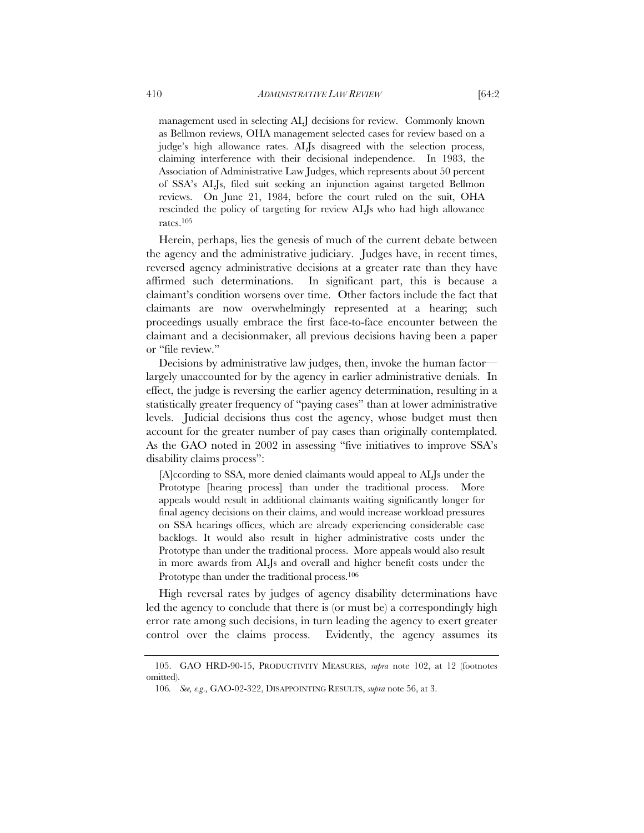management used in selecting ALJ decisions for review. Commonly known as Bellmon reviews, OHA management selected cases for review based on a judge's high allowance rates. ALJs disagreed with the selection process, claiming interference with their decisional independence. In 1983, the Association of Administrative Law Judges, which represents about 50 percent of SSA's ALJs, filed suit seeking an injunction against targeted Bellmon reviews. On June 21, 1984, before the court ruled on the suit, OHA rescinded the policy of targeting for review ALJs who had high allowance rates.105

Herein, perhaps, lies the genesis of much of the current debate between the agency and the administrative judiciary. Judges have, in recent times, reversed agency administrative decisions at a greater rate than they have affirmed such determinations. In significant part, this is because a claimant's condition worsens over time. Other factors include the fact that claimants are now overwhelmingly represented at a hearing; such proceedings usually embrace the first face-to-face encounter between the claimant and a decisionmaker, all previous decisions having been a paper or "file review."

Decisions by administrative law judges, then, invoke the human factor largely unaccounted for by the agency in earlier administrative denials. In effect, the judge is reversing the earlier agency determination, resulting in a statistically greater frequency of "paying cases" than at lower administrative levels. Judicial decisions thus cost the agency, whose budget must then account for the greater number of pay cases than originally contemplated. As the GAO noted in 2002 in assessing "five initiatives to improve SSA's disability claims process":

[A]ccording to SSA, more denied claimants would appeal to ALJs under the Prototype [hearing process] than under the traditional process. More appeals would result in additional claimants waiting significantly longer for final agency decisions on their claims, and would increase workload pressures on SSA hearings offices, which are already experiencing considerable case backlogs. It would also result in higher administrative costs under the Prototype than under the traditional process. More appeals would also result in more awards from ALJs and overall and higher benefit costs under the Prototype than under the traditional process.<sup>106</sup>

High reversal rates by judges of agency disability determinations have led the agency to conclude that there is (or must be) a correspondingly high error rate among such decisions, in turn leading the agency to exert greater control over the claims process. Evidently, the agency assumes its

 <sup>105.</sup> GAO HRD-90-15, PRODUCTIVITY MEASURES, *supra* note 102, at 12 (footnotes omitted).

<sup>106</sup>*. See, e.g*., GAO-02-322, DISAPPOINTING RESULTS, *supra* note 56, at 3.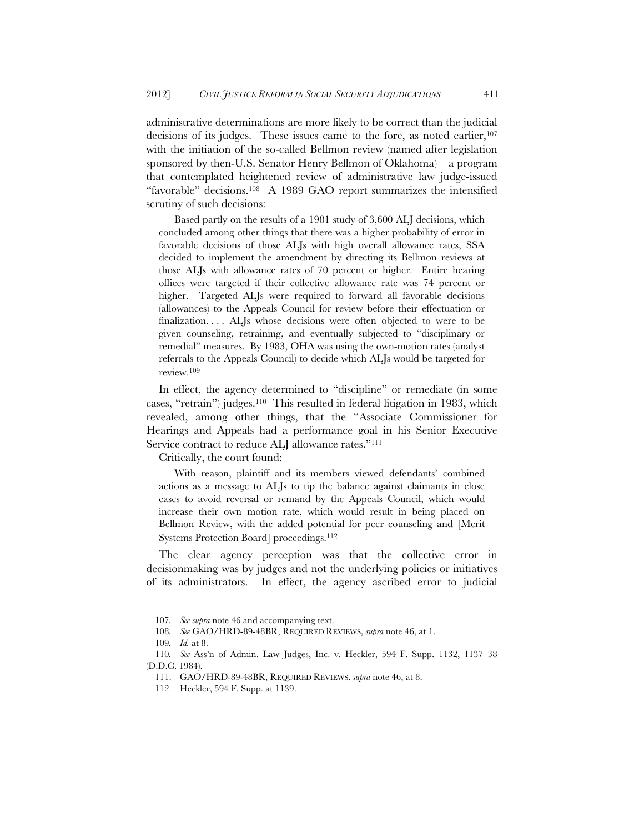administrative determinations are more likely to be correct than the judicial decisions of its judges. These issues came to the fore, as noted earlier,  $107$ with the initiation of the so-called Bellmon review (named after legislation sponsored by then-U.S. Senator Henry Bellmon of Oklahoma)—a program that contemplated heightened review of administrative law judge-issued "favorable" decisions.108 A 1989 GAO report summarizes the intensified scrutiny of such decisions:

Based partly on the results of a 1981 study of 3,600 ALJ decisions, which concluded among other things that there was a higher probability of error in favorable decisions of those ALJs with high overall allowance rates, SSA decided to implement the amendment by directing its Bellmon reviews at those ALJs with allowance rates of 70 percent or higher. Entire hearing offices were targeted if their collective allowance rate was 74 percent or higher. Targeted ALJs were required to forward all favorable decisions (allowances) to the Appeals Council for review before their effectuation or finalization.... ALJs whose decisions were often objected to were to be given counseling, retraining, and eventually subjected to "disciplinary or remedial" measures. By 1983, OHA was using the own-motion rates (analyst referrals to the Appeals Council) to decide which ALJs would be targeted for review.109

In effect, the agency determined to "discipline" or remediate (in some cases, "retrain") judges.110 This resulted in federal litigation in 1983, which revealed, among other things, that the "Associate Commissioner for Hearings and Appeals had a performance goal in his Senior Executive Service contract to reduce ALJ allowance rates."<sup>111</sup>

Critically, the court found:

With reason, plaintiff and its members viewed defendants' combined actions as a message to ALJs to tip the balance against claimants in close cases to avoid reversal or remand by the Appeals Council, which would increase their own motion rate, which would result in being placed on Bellmon Review, with the added potential for peer counseling and [Merit Systems Protection Board] proceedings.<sup>112</sup>

The clear agency perception was that the collective error in decisionmaking was by judges and not the underlying policies or initiatives of its administrators. In effect, the agency ascribed error to judicial

<sup>107</sup>*. See supra* note 46 and accompanying text.

<sup>108</sup>*. See* GAO/HRD-89-48BR, REQUIRED REVIEWS, *supra* note 46, at 1.

<sup>109</sup>*. Id.* at 8.

<sup>110</sup>*. See* Ass'n of Admin. Law Judges, Inc. v. Heckler, 594 F. Supp. 1132, 1137–38 (D.D.C. 1984).

 <sup>111.</sup> GAO/HRD-89-48BR, REQUIRED REVIEWS, *supra* note 46, at 8.

 <sup>112.</sup> Heckler, 594 F. Supp. at 1139.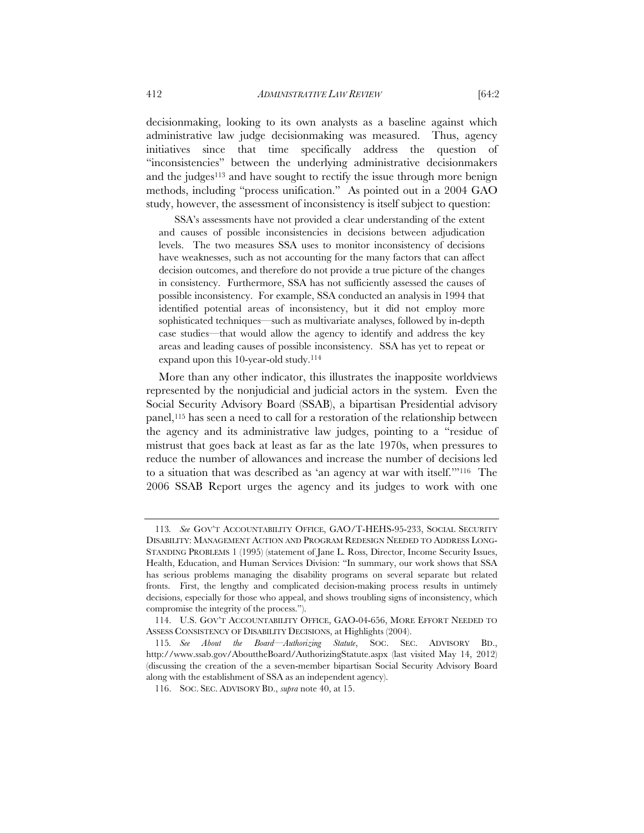decisionmaking, looking to its own analysts as a baseline against which administrative law judge decisionmaking was measured. Thus, agency initiatives since that time specifically address the question of "inconsistencies" between the underlying administrative decisionmakers and the judges<sup>113</sup> and have sought to rectify the issue through more benign methods, including "process unification." As pointed out in a 2004 GAO study, however, the assessment of inconsistency is itself subject to question:

SSA's assessments have not provided a clear understanding of the extent and causes of possible inconsistencies in decisions between adjudication levels. The two measures SSA uses to monitor inconsistency of decisions have weaknesses, such as not accounting for the many factors that can affect decision outcomes, and therefore do not provide a true picture of the changes in consistency. Furthermore, SSA has not sufficiently assessed the causes of possible inconsistency. For example, SSA conducted an analysis in 1994 that identified potential areas of inconsistency, but it did not employ more sophisticated techniques—such as multivariate analyses, followed by in-depth case studies—that would allow the agency to identify and address the key areas and leading causes of possible inconsistency. SSA has yet to repeat or expand upon this 10-year-old study.114

More than any other indicator, this illustrates the inapposite worldviews represented by the nonjudicial and judicial actors in the system. Even the Social Security Advisory Board (SSAB), a bipartisan Presidential advisory panel,115 has seen a need to call for a restoration of the relationship between the agency and its administrative law judges, pointing to a "residue of mistrust that goes back at least as far as the late 1970s, when pressures to reduce the number of allowances and increase the number of decisions led to a situation that was described as 'an agency at war with itself.'"116 The 2006 SSAB Report urges the agency and its judges to work with one

<sup>113</sup>*. See* GOV'T ACCOUNTABILITY OFFICE, GAO/T-HEHS-95-233, SOCIAL SECURITY DISABILITY: MANAGEMENT ACTION AND PROGRAM REDESIGN NEEDED TO ADDRESS LONG-STANDING PROBLEMS 1 (1995) (statement of Jane L. Ross, Director, Income Security Issues, Health, Education, and Human Services Division: "In summary, our work shows that SSA has serious problems managing the disability programs on several separate but related fronts. First, the lengthy and complicated decision-making process results in untimely decisions, especially for those who appeal, and shows troubling signs of inconsistency, which compromise the integrity of the process.").

 <sup>114.</sup> U.S. GOV'T ACCOUNTABILITY OFFICE, GAO-04-656, MORE EFFORT NEEDED TO ASSESS CONSISTENCY OF DISABILITY DECISIONS, at Highlights (2004).

<sup>115</sup>*. See About the Board—Authorizing Statute*, SOC. SEC. ADVISORY BD., http://www.ssab.gov/AbouttheBoard/AuthorizingStatute.aspx (last visited May 14, 2012) (discussing the creation of the a seven-member bipartisan Social Security Advisory Board along with the establishment of SSA as an independent agency).

 <sup>116.</sup> SOC. SEC. ADVISORY BD., *supra* note 40, at 15.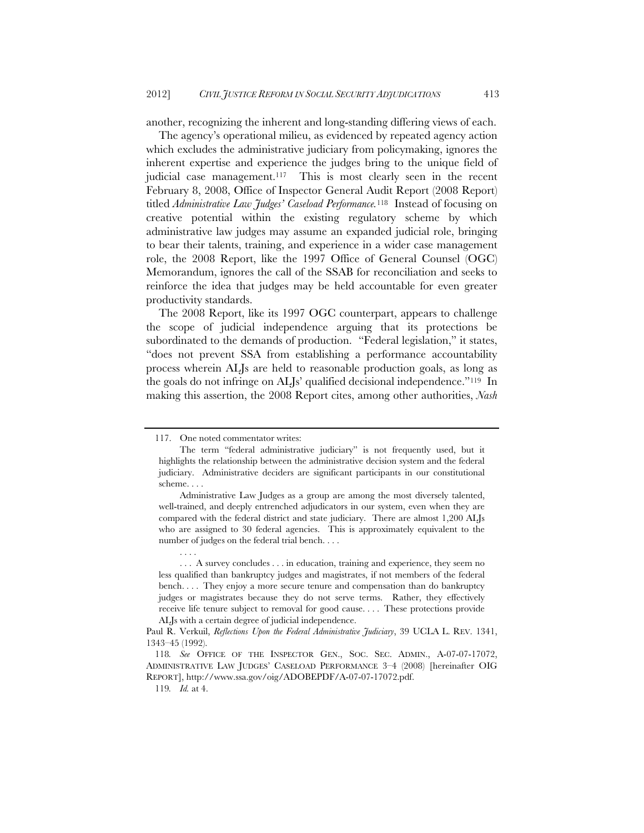another, recognizing the inherent and long-standing differing views of each.

The agency's operational milieu, as evidenced by repeated agency action which excludes the administrative judiciary from policymaking, ignores the inherent expertise and experience the judges bring to the unique field of judicial case management.<sup>117</sup> This is most clearly seen in the recent February 8, 2008, Office of Inspector General Audit Report (2008 Report) titled *Administrative Law Judges' Caseload Performance.*<sup>118</sup>Instead of focusing on creative potential within the existing regulatory scheme by which administrative law judges may assume an expanded judicial role, bringing to bear their talents, training, and experience in a wider case management role, the 2008 Report, like the 1997 Office of General Counsel (OGC) Memorandum, ignores the call of the SSAB for reconciliation and seeks to reinforce the idea that judges may be held accountable for even greater productivity standards.

The 2008 Report, like its 1997 OGC counterpart, appears to challenge the scope of judicial independence arguing that its protections be subordinated to the demands of production. "Federal legislation," it states, "does not prevent SSA from establishing a performance accountability process wherein ALJs are held to reasonable production goals, as long as the goals do not infringe on ALJs' qualified decisional independence."119 In making this assertion, the 2008 Report cites, among other authorities, *Nash* 

. . . .

 <sup>117.</sup> One noted commentator writes:

The term "federal administrative judiciary" is not frequently used, but it highlights the relationship between the administrative decision system and the federal judiciary. Administrative deciders are significant participants in our constitutional scheme. . . .

Administrative Law Judges as a group are among the most diversely talented, well-trained, and deeply entrenched adjudicators in our system, even when they are compared with the federal district and state judiciary. There are almost 1,200 ALJs who are assigned to 30 federal agencies. This is approximately equivalent to the number of judges on the federal trial bench...

 <sup>. . .</sup> A survey concludes . . . in education, training and experience, they seem no less qualified than bankruptcy judges and magistrates, if not members of the federal bench. . . . They enjoy a more secure tenure and compensation than do bankruptcy judges or magistrates because they do not serve terms. Rather, they effectively receive life tenure subject to removal for good cause. . . . These protections provide ALJs with a certain degree of judicial independence.

Paul R. Verkuil, *Reflections Upon the Federal Administrative Judiciary*, 39 UCLA L. REV. 1341, 1343–45 (1992).

<sup>118</sup>*. See* OFFICE OF THE INSPECTOR GEN., SOC. SEC. ADMIN., A-07-07-17072, ADMINISTRATIVE LAW JUDGES' CASELOAD PERFORMANCE 3–4 (2008) [hereinafter OIG REPORT], http://www.ssa.gov/oig/ADOBEPDF/A-07-07-17072.pdf.

<sup>119</sup>*. Id.* at 4.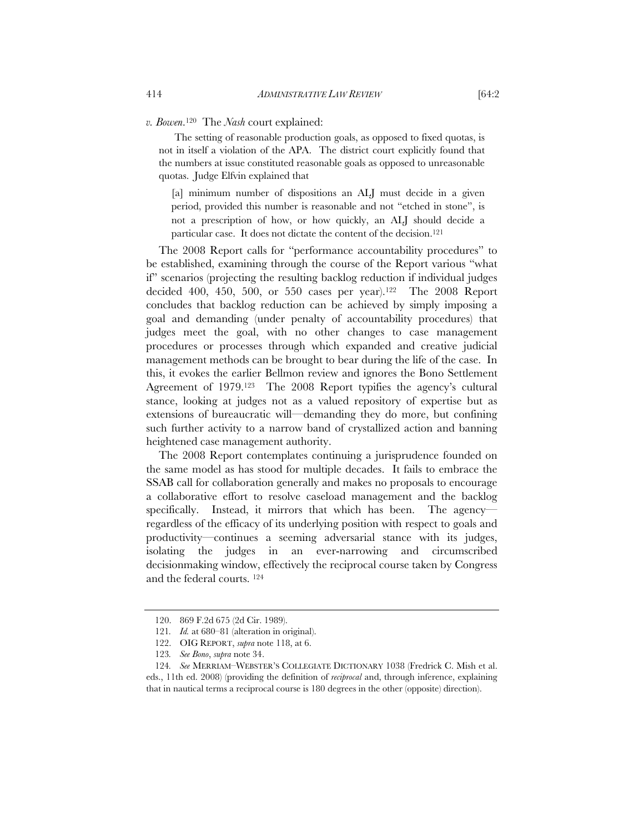### *v. Bowen*.120 The *Nash* court explained:

The setting of reasonable production goals, as opposed to fixed quotas, is not in itself a violation of the APA. The district court explicitly found that the numbers at issue constituted reasonable goals as opposed to unreasonable quotas. Judge Elfvin explained that

[a] minimum number of dispositions an ALJ must decide in a given period, provided this number is reasonable and not "etched in stone", is not a prescription of how, or how quickly, an ALJ should decide a particular case. It does not dictate the content of the decision.121

The 2008 Report calls for "performance accountability procedures" to be established, examining through the course of the Report various "what if" scenarios (projecting the resulting backlog reduction if individual judges decided 400, 450, 500, or 550 cases per year).<sup>122</sup> The 2008 Report concludes that backlog reduction can be achieved by simply imposing a goal and demanding (under penalty of accountability procedures) that judges meet the goal, with no other changes to case management procedures or processes through which expanded and creative judicial management methods can be brought to bear during the life of the case. In this, it evokes the earlier Bellmon review and ignores the Bono Settlement Agreement of 1979.123 The 2008 Report typifies the agency's cultural stance, looking at judges not as a valued repository of expertise but as extensions of bureaucratic will—demanding they do more, but confining such further activity to a narrow band of crystallized action and banning heightened case management authority.

The 2008 Report contemplates continuing a jurisprudence founded on the same model as has stood for multiple decades. It fails to embrace the SSAB call for collaboration generally and makes no proposals to encourage a collaborative effort to resolve caseload management and the backlog specifically. Instead, it mirrors that which has been. The agencyregardless of the efficacy of its underlying position with respect to goals and productivity—continues a seeming adversarial stance with its judges, isolating the judges in an ever-narrowing and circumscribed decisionmaking window, effectively the reciprocal course taken by Congress and the federal courts. 124

 <sup>120. 869</sup> F.2d 675 (2d Cir. 1989).

<sup>121</sup>*. Id.* at 680–81 (alteration in original).

 <sup>122.</sup> OIG REPORT, *supra* note 118, at 6.

<sup>123</sup>*. See Bono*, *supra* note 34.

<sup>124</sup>*. See* MERRIAM–WEBSTER'S COLLEGIATE DICTIONARY 1038 (Fredrick C. Mish et al. eds., 11th ed. 2008) (providing the definition of *reciprocal* and, through inference, explaining that in nautical terms a reciprocal course is 180 degrees in the other (opposite) direction).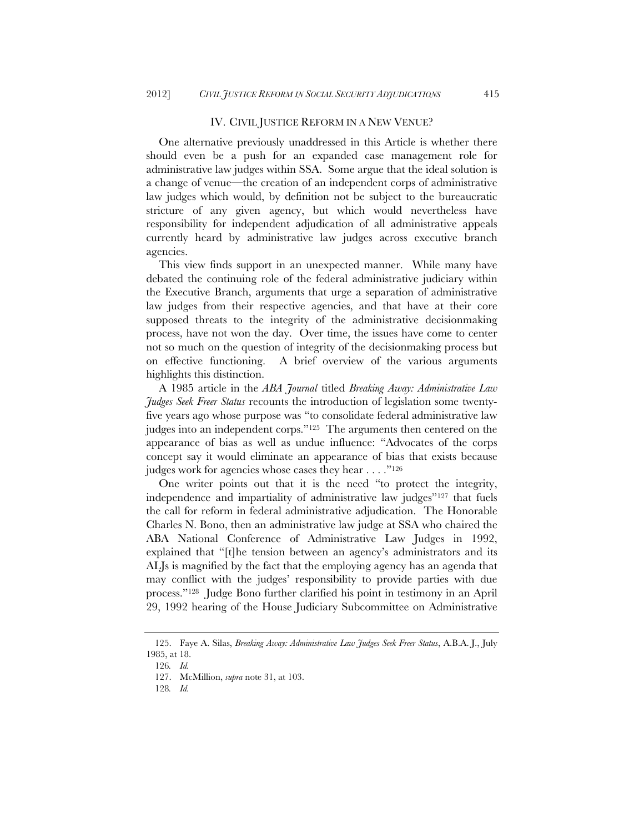#### IV. CIVIL JUSTICE REFORM IN A NEW VENUE?

One alternative previously unaddressed in this Article is whether there should even be a push for an expanded case management role for administrative law judges within SSA. Some argue that the ideal solution is a change of venue—the creation of an independent corps of administrative law judges which would, by definition not be subject to the bureaucratic stricture of any given agency, but which would nevertheless have responsibility for independent adjudication of all administrative appeals currently heard by administrative law judges across executive branch agencies.

This view finds support in an unexpected manner. While many have debated the continuing role of the federal administrative judiciary within the Executive Branch, arguments that urge a separation of administrative law judges from their respective agencies, and that have at their core supposed threats to the integrity of the administrative decisionmaking process, have not won the day. Over time, the issues have come to center not so much on the question of integrity of the decisionmaking process but on effective functioning. A brief overview of the various arguments highlights this distinction.

A 1985 article in the *ABA Journal* titled *Breaking Away: Administrative Law Judges Seek Freer Status* recounts the introduction of legislation some twentyfive years ago whose purpose was "to consolidate federal administrative law judges into an independent corps."125 The arguments then centered on the appearance of bias as well as undue influence: "Advocates of the corps concept say it would eliminate an appearance of bias that exists because judges work for agencies whose cases they hear . . . . . "<sup>126</sup>

One writer points out that it is the need "to protect the integrity, independence and impartiality of administrative law judges"127 that fuels the call for reform in federal administrative adjudication. The Honorable Charles N. Bono, then an administrative law judge at SSA who chaired the ABA National Conference of Administrative Law Judges in 1992, explained that "[t]he tension between an agency's administrators and its ALJs is magnified by the fact that the employing agency has an agenda that may conflict with the judges' responsibility to provide parties with due process."128 Judge Bono further clarified his point in testimony in an April 29, 1992 hearing of the House Judiciary Subcommittee on Administrative

 <sup>125.</sup> Faye A. Silas, *Breaking Away: Administrative Law Judges Seek Freer Status*, A.B.A. J., July 1985, at 18.

<sup>126</sup>*. Id.*

 <sup>127.</sup> McMillion, *supra* note 31, at 103.

<sup>128</sup>*. Id.*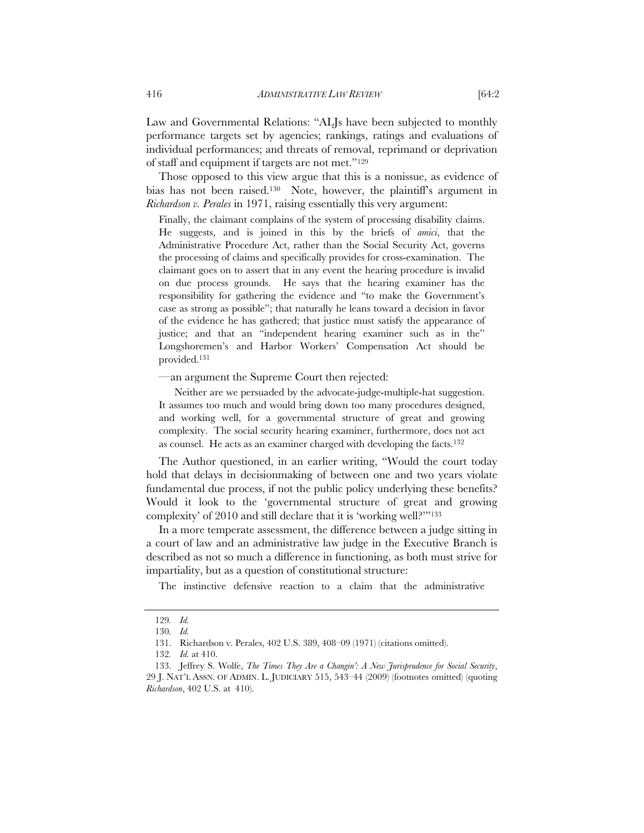Law and Governmental Relations: "ALJs have been subjected to monthly performance targets set by agencies; rankings, ratings and evaluations of individual performances; and threats of removal, reprimand or deprivation of staff and equipment if targets are not met."129

Those opposed to this view argue that this is a nonissue, as evidence of bias has not been raised.<sup>130</sup> Note, however, the plaintiff's argument in *Richardson v. Perales* in 1971, raising essentially this very argument:

Finally, the claimant complains of the system of processing disability claims. He suggests, and is joined in this by the briefs of *amici*, that the Administrative Procedure Act, rather than the Social Security Act, governs the processing of claims and specifically provides for cross-examination. The claimant goes on to assert that in any event the hearing procedure is invalid on due process grounds. He says that the hearing examiner has the responsibility for gathering the evidence and "to make the Government's case as strong as possible"; that naturally he leans toward a decision in favor of the evidence he has gathered; that justice must satisfy the appearance of justice; and that an "independent hearing examiner such as in the" Longshoremen's and Harbor Workers' Compensation Act should be provided.131

—an argument the Supreme Court then rejected:

Neither are we persuaded by the advocate-judge-multiple-hat suggestion. It assumes too much and would bring down too many procedures designed, and working well, for a governmental structure of great and growing complexity. The social security hearing examiner, furthermore, does not act as counsel. He acts as an examiner charged with developing the facts.132

The Author questioned, in an earlier writing, "Would the court today hold that delays in decisionmaking of between one and two years violate fundamental due process, if not the public policy underlying these benefits? Would it look to the 'governmental structure of great and growing complexity' of 2010 and still declare that it is 'working well?'"133

In a more temperate assessment, the difference between a judge sitting in a court of law and an administrative law judge in the Executive Branch is described as not so much a difference in functioning, as both must strive for impartiality, but as a question of constitutional structure:

The instinctive defensive reaction to a claim that the administrative

<sup>129</sup>*. Id.*

<sup>130</sup>*. Id.*

 <sup>131.</sup> Richardson v. Perales, 402 U.S. 389, 408–09 (1971) (citations omitted).

<sup>132</sup>*. Id.* at 410.

 <sup>133.</sup> Jeffrey S. Wolfe, *The Times They Are a Changin': A New Jurisprudence for Social Security*, 29 J. NAT'L ASSN. OF ADMIN. L. JUDICIARY 515, 543–44 (2009) (footnotes omitted) (quoting *Richardson*, 402 U.S. at 410).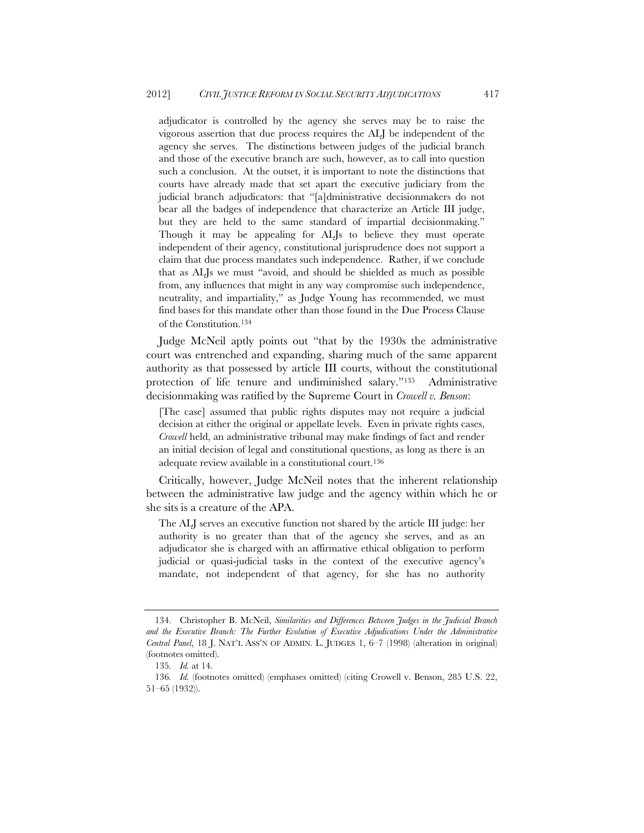adjudicator is controlled by the agency she serves may be to raise the vigorous assertion that due process requires the ALJ be independent of the agency she serves. The distinctions between judges of the judicial branch and those of the executive branch are such, however, as to call into question such a conclusion. At the outset, it is important to note the distinctions that courts have already made that set apart the executive judiciary from the judicial branch adjudicators: that "[a]dministrative decisionmakers do not bear all the badges of independence that characterize an Article III judge, but they are held to the same standard of impartial decisionmaking." Though it may be appealing for ALJs to believe they must operate independent of their agency, constitutional jurisprudence does not support a claim that due process mandates such independence. Rather, if we conclude that as ALJs we must "avoid, and should be shielded as much as possible from, any influences that might in any way compromise such independence, neutrality, and impartiality," as Judge Young has recommended, we must find bases for this mandate other than those found in the Due Process Clause of the Constitution.134

Judge McNeil aptly points out "that by the 1930s the administrative court was entrenched and expanding, sharing much of the same apparent authority as that possessed by article III courts, without the constitutional protection of life tenure and undiminished salary."135 Administrative decisionmaking was ratified by the Supreme Court in *Crowell v. Benson*:

[The case] assumed that public rights disputes may not require a judicial decision at either the original or appellate levels. Even in private rights cases, *Crowell* held, an administrative tribunal may make findings of fact and render an initial decision of legal and constitutional questions, as long as there is an adequate review available in a constitutional court.<sup>136</sup>

Critically, however, Judge McNeil notes that the inherent relationship between the administrative law judge and the agency within which he or she sits is a creature of the APA.

The ALJ serves an executive function not shared by the article III judge: her authority is no greater than that of the agency she serves, and as an adjudicator she is charged with an affirmative ethical obligation to perform judicial or quasi-judicial tasks in the context of the executive agency's mandate, not independent of that agency, for she has no authority

 <sup>134.</sup> Christopher B. McNeil, *Similarities and Differences Between Judges in the Judicial Branch*  and the Executive Branch: The Further Evolution of Executive Adjudications Under the Administrative *Central Panel*, 18 J. NAT'L ASS'N OF ADMIN. L. JUDGES 1, 6–7 (1998) (alteration in original) (footnotes omitted).

<sup>135</sup>*. Id.* at 14.

<sup>136</sup>*. Id.* (footnotes omitted) (emphases omitted) (citing Crowell v. Benson, 285 U.S. 22, 51–65 (1932)).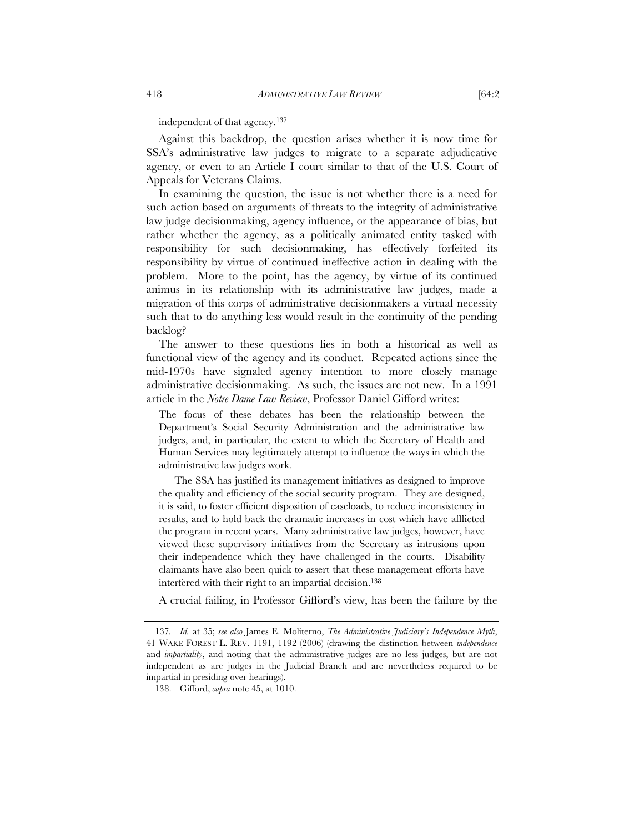independent of that agency.137

Against this backdrop, the question arises whether it is now time for SSA's administrative law judges to migrate to a separate adjudicative agency, or even to an Article I court similar to that of the U.S. Court of Appeals for Veterans Claims.

In examining the question, the issue is not whether there is a need for such action based on arguments of threats to the integrity of administrative law judge decisionmaking, agency influence, or the appearance of bias, but rather whether the agency, as a politically animated entity tasked with responsibility for such decisionmaking, has effectively forfeited its responsibility by virtue of continued ineffective action in dealing with the problem. More to the point, has the agency, by virtue of its continued animus in its relationship with its administrative law judges, made a migration of this corps of administrative decisionmakers a virtual necessity such that to do anything less would result in the continuity of the pending backlog?

The answer to these questions lies in both a historical as well as functional view of the agency and its conduct. Repeated actions since the mid-1970s have signaled agency intention to more closely manage administrative decisionmaking. As such, the issues are not new. In a 1991 article in the *Notre Dame Law Review*, Professor Daniel Gifford writes:

The focus of these debates has been the relationship between the Department's Social Security Administration and the administrative law judges, and, in particular, the extent to which the Secretary of Health and Human Services may legitimately attempt to influence the ways in which the administrative law judges work.

The SSA has justified its management initiatives as designed to improve the quality and efficiency of the social security program. They are designed, it is said, to foster efficient disposition of caseloads, to reduce inconsistency in results, and to hold back the dramatic increases in cost which have afflicted the program in recent years. Many administrative law judges, however, have viewed these supervisory initiatives from the Secretary as intrusions upon their independence which they have challenged in the courts. Disability claimants have also been quick to assert that these management efforts have interfered with their right to an impartial decision.138

A crucial failing, in Professor Gifford's view, has been the failure by the

<sup>137</sup>*. Id.* at 35; *see also* James E. Moliterno, *The Administrative Judiciary's Independence Myth*, 41 WAKE FOREST L. REV. 1191, 1192 (2006) (drawing the distinction between *independence* and *impartiality*, and noting that the administrative judges are no less judges, but are not independent as are judges in the Judicial Branch and are nevertheless required to be impartial in presiding over hearings).

 <sup>138.</sup> Gifford, *supra* note 45, at 1010.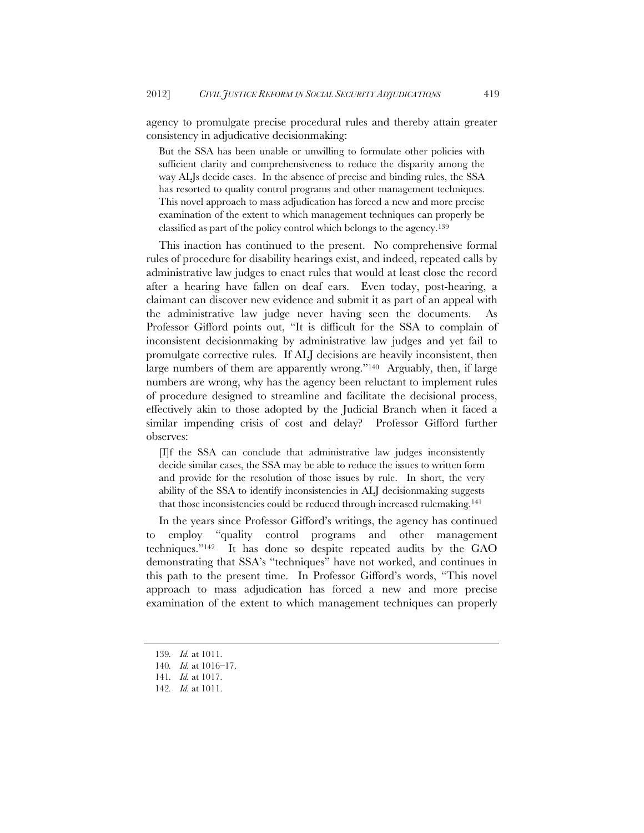agency to promulgate precise procedural rules and thereby attain greater consistency in adjudicative decisionmaking:

But the SSA has been unable or unwilling to formulate other policies with sufficient clarity and comprehensiveness to reduce the disparity among the way ALJs decide cases. In the absence of precise and binding rules, the SSA has resorted to quality control programs and other management techniques. This novel approach to mass adjudication has forced a new and more precise examination of the extent to which management techniques can properly be classified as part of the policy control which belongs to the agency.139

This inaction has continued to the present. No comprehensive formal rules of procedure for disability hearings exist, and indeed, repeated calls by administrative law judges to enact rules that would at least close the record after a hearing have fallen on deaf ears. Even today, post-hearing, a claimant can discover new evidence and submit it as part of an appeal with the administrative law judge never having seen the documents. As Professor Gifford points out, "It is difficult for the SSA to complain of inconsistent decisionmaking by administrative law judges and yet fail to promulgate corrective rules. If ALJ decisions are heavily inconsistent, then large numbers of them are apparently wrong."<sup>140</sup> Arguably, then, if large numbers are wrong, why has the agency been reluctant to implement rules of procedure designed to streamline and facilitate the decisional process, effectively akin to those adopted by the Judicial Branch when it faced a similar impending crisis of cost and delay? Professor Gifford further observes:

[I]f the SSA can conclude that administrative law judges inconsistently decide similar cases, the SSA may be able to reduce the issues to written form and provide for the resolution of those issues by rule. In short, the very ability of the SSA to identify inconsistencies in ALJ decisionmaking suggests that those inconsistencies could be reduced through increased rulemaking.141

In the years since Professor Gifford's writings, the agency has continued to employ "quality control programs and other management techniques."142 It has done so despite repeated audits by the GAO demonstrating that SSA's "techniques" have not worked, and continues in this path to the present time. In Professor Gifford's words, "This novel approach to mass adjudication has forced a new and more precise examination of the extent to which management techniques can properly

<sup>139</sup>*. Id.* at 1011.

<sup>140</sup>*. Id.* at 1016–17.

<sup>141</sup>*. Id.* at 1017.

<sup>142</sup>*. Id.* at 1011.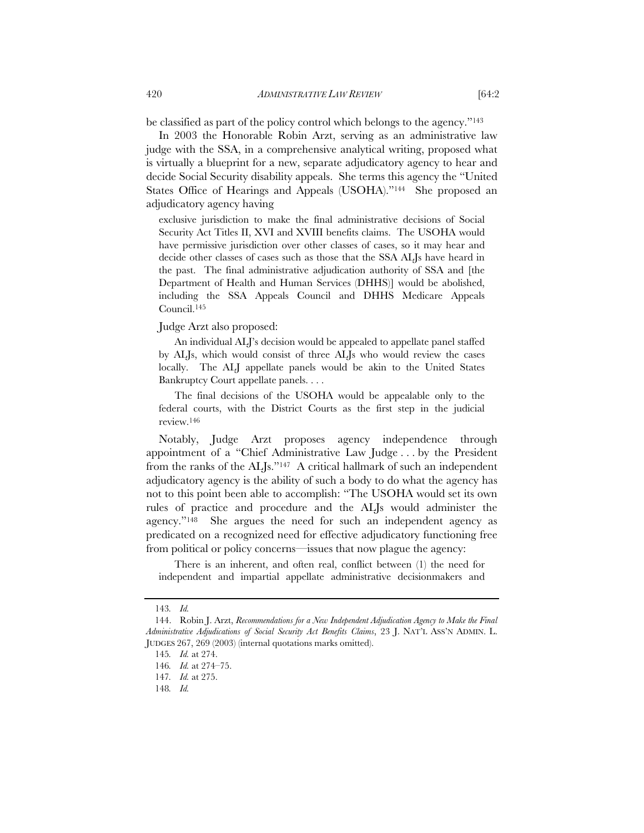be classified as part of the policy control which belongs to the agency."143

In 2003 the Honorable Robin Arzt, serving as an administrative law judge with the SSA, in a comprehensive analytical writing, proposed what is virtually a blueprint for a new, separate adjudicatory agency to hear and decide Social Security disability appeals. She terms this agency the "United States Office of Hearings and Appeals (USOHA)."<sup>144</sup> She proposed an adjudicatory agency having

exclusive jurisdiction to make the final administrative decisions of Social Security Act Titles II, XVI and XVIII benefits claims. The USOHA would have permissive jurisdiction over other classes of cases, so it may hear and decide other classes of cases such as those that the SSA ALJs have heard in the past. The final administrative adjudication authority of SSA and [the Department of Health and Human Services (DHHS)] would be abolished, including the SSA Appeals Council and DHHS Medicare Appeals Council.145

### Judge Arzt also proposed:

An individual ALJ's decision would be appealed to appellate panel staffed by ALJs, which would consist of three ALJs who would review the cases locally. The ALJ appellate panels would be akin to the United States Bankruptcy Court appellate panels. . . .

The final decisions of the USOHA would be appealable only to the federal courts, with the District Courts as the first step in the judicial review.146

Notably, Judge Arzt proposes agency independence through appointment of a "Chief Administrative Law Judge . . . by the President from the ranks of the ALJs."147 A critical hallmark of such an independent adjudicatory agency is the ability of such a body to do what the agency has not to this point been able to accomplish: "The USOHA would set its own rules of practice and procedure and the ALJs would administer the agency."148 She argues the need for such an independent agency as predicated on a recognized need for effective adjudicatory functioning free from political or policy concerns—issues that now plague the agency:

There is an inherent, and often real, conflict between (1) the need for independent and impartial appellate administrative decisionmakers and

<sup>143</sup>*. Id.*

 <sup>144.</sup> Robin J. Arzt, *Recommendations for a New Independent Adjudication Agency to Make the Final Administrative Adjudications of Social Security Act Benefits Claims*, 23 J. NAT'L ASS'N ADMIN. L. JUDGES 267, 269 (2003) (internal quotations marks omitted).

<sup>145</sup>*. Id.* at 274.

<sup>146</sup>*. Id.* at 274–75.

<sup>147</sup>*. Id.* at 275.

<sup>148</sup>*. Id.*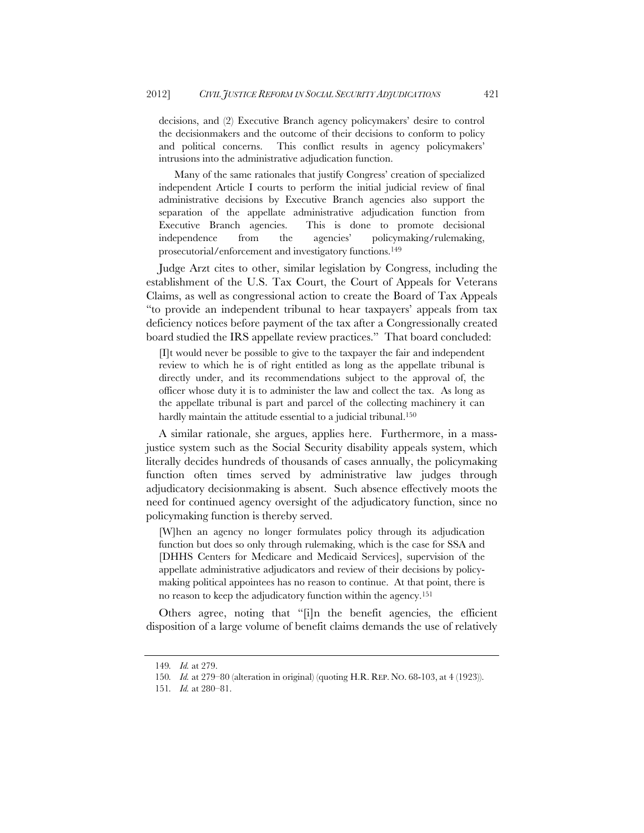decisions, and (2) Executive Branch agency policymakers' desire to control the decisionmakers and the outcome of their decisions to conform to policy and political concerns. This conflict results in agency policymakers' intrusions into the administrative adjudication function.

Many of the same rationales that justify Congress' creation of specialized independent Article I courts to perform the initial judicial review of final administrative decisions by Executive Branch agencies also support the separation of the appellate administrative adjudication function from Executive Branch agencies. This is done to promote decisional independence from the agencies' policymaking/rulemaking, prosecutorial/enforcement and investigatory functions.149

Judge Arzt cites to other, similar legislation by Congress, including the establishment of the U.S. Tax Court, the Court of Appeals for Veterans Claims, as well as congressional action to create the Board of Tax Appeals "to provide an independent tribunal to hear taxpayers' appeals from tax deficiency notices before payment of the tax after a Congressionally created board studied the IRS appellate review practices." That board concluded:

[I]t would never be possible to give to the taxpayer the fair and independent review to which he is of right entitled as long as the appellate tribunal is directly under, and its recommendations subject to the approval of, the officer whose duty it is to administer the law and collect the tax. As long as the appellate tribunal is part and parcel of the collecting machinery it can hardly maintain the attitude essential to a judicial tribunal.<sup>150</sup>

A similar rationale, she argues, applies here. Furthermore, in a massjustice system such as the Social Security disability appeals system, which literally decides hundreds of thousands of cases annually, the policymaking function often times served by administrative law judges through adjudicatory decisionmaking is absent. Such absence effectively moots the need for continued agency oversight of the adjudicatory function, since no policymaking function is thereby served.

[W]hen an agency no longer formulates policy through its adjudication function but does so only through rulemaking, which is the case for SSA and [DHHS Centers for Medicare and Medicaid Services], supervision of the appellate administrative adjudicators and review of their decisions by policymaking political appointees has no reason to continue. At that point, there is no reason to keep the adjudicatory function within the agency.151

Others agree, noting that "[i]n the benefit agencies, the efficient disposition of a large volume of benefit claims demands the use of relatively

<sup>149</sup>*. Id.* at 279.

<sup>150</sup>*. Id.* at 279–80 (alteration in original) (quoting H.R. REP. NO. 68-103, at 4 (1923)).

<sup>151</sup>*. Id.* at 280–81.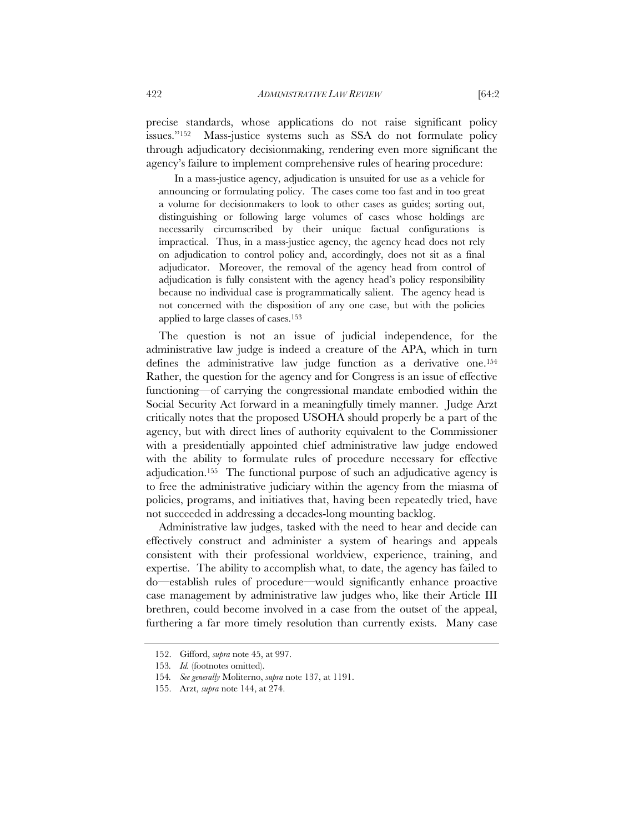precise standards, whose applications do not raise significant policy issues."152 Mass-justice systems such as SSA do not formulate policy through adjudicatory decisionmaking, rendering even more significant the agency's failure to implement comprehensive rules of hearing procedure:

In a mass-justice agency, adjudication is unsuited for use as a vehicle for announcing or formulating policy. The cases come too fast and in too great a volume for decisionmakers to look to other cases as guides; sorting out, distinguishing or following large volumes of cases whose holdings are necessarily circumscribed by their unique factual configurations is impractical. Thus, in a mass-justice agency, the agency head does not rely on adjudication to control policy and, accordingly, does not sit as a final adjudicator. Moreover, the removal of the agency head from control of adjudication is fully consistent with the agency head's policy responsibility because no individual case is programmatically salient. The agency head is not concerned with the disposition of any one case, but with the policies applied to large classes of cases.153

The question is not an issue of judicial independence, for the administrative law judge is indeed a creature of the APA, which in turn defines the administrative law judge function as a derivative one.154 Rather, the question for the agency and for Congress is an issue of effective functioning—of carrying the congressional mandate embodied within the Social Security Act forward in a meaningfully timely manner. Judge Arzt critically notes that the proposed USOHA should properly be a part of the agency, but with direct lines of authority equivalent to the Commissioner with a presidentially appointed chief administrative law judge endowed with the ability to formulate rules of procedure necessary for effective adjudication.155 The functional purpose of such an adjudicative agency is to free the administrative judiciary within the agency from the miasma of policies, programs, and initiatives that, having been repeatedly tried, have not succeeded in addressing a decades-long mounting backlog.

Administrative law judges, tasked with the need to hear and decide can effectively construct and administer a system of hearings and appeals consistent with their professional worldview, experience, training, and expertise. The ability to accomplish what, to date, the agency has failed to do—establish rules of procedure—would significantly enhance proactive case management by administrative law judges who, like their Article III brethren, could become involved in a case from the outset of the appeal, furthering a far more timely resolution than currently exists. Many case

 <sup>152.</sup> Gifford, *supra* note 45, at 997.

<sup>153</sup>*. Id.* (footnotes omitted).

<sup>154</sup>*. See generally* Moliterno, *supra* note 137, at 1191.

 <sup>155.</sup> Arzt, *supra* note 144, at 274.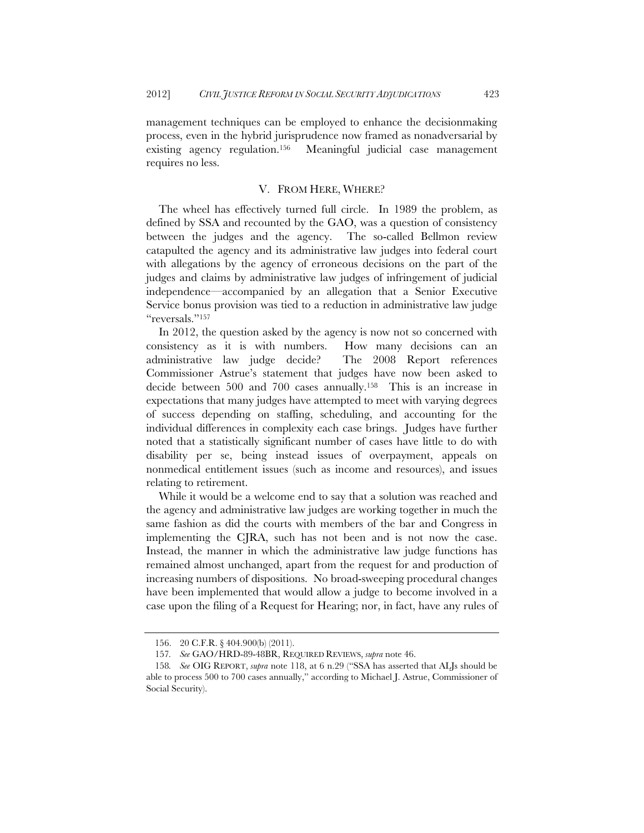management techniques can be employed to enhance the decisionmaking process, even in the hybrid jurisprudence now framed as nonadversarial by existing agency regulation.156 Meaningful judicial case management requires no less.

#### V. FROM HERE, WHERE?

The wheel has effectively turned full circle. In 1989 the problem, as defined by SSA and recounted by the GAO, was a question of consistency between the judges and the agency. The so-called Bellmon review catapulted the agency and its administrative law judges into federal court with allegations by the agency of erroneous decisions on the part of the judges and claims by administrative law judges of infringement of judicial independence—accompanied by an allegation that a Senior Executive Service bonus provision was tied to a reduction in administrative law judge "reversals."<sup>157</sup>

In 2012, the question asked by the agency is now not so concerned with consistency as it is with numbers. How many decisions can an administrative law judge decide? The 2008 Report references Commissioner Astrue's statement that judges have now been asked to decide between 500 and 700 cases annually.158 This is an increase in expectations that many judges have attempted to meet with varying degrees of success depending on staffing, scheduling, and accounting for the individual differences in complexity each case brings. Judges have further noted that a statistically significant number of cases have little to do with disability per se, being instead issues of overpayment, appeals on nonmedical entitlement issues (such as income and resources), and issues relating to retirement.

While it would be a welcome end to say that a solution was reached and the agency and administrative law judges are working together in much the same fashion as did the courts with members of the bar and Congress in implementing the CJRA, such has not been and is not now the case. Instead, the manner in which the administrative law judge functions has remained almost unchanged, apart from the request for and production of increasing numbers of dispositions. No broad-sweeping procedural changes have been implemented that would allow a judge to become involved in a case upon the filing of a Request for Hearing; nor, in fact, have any rules of

 <sup>156. 20</sup> C.F.R. § 404.900(b) (2011).

<sup>157</sup>*. See* GAO/HRD-89-48BR, REQUIRED REVIEWS, *supra* note 46.

<sup>158</sup>*. See* OIG REPORT, *supra* note 118, at 6 n.29 ("SSA has asserted that ALJs should be able to process 500 to 700 cases annually," according to Michael J. Astrue, Commissioner of Social Security).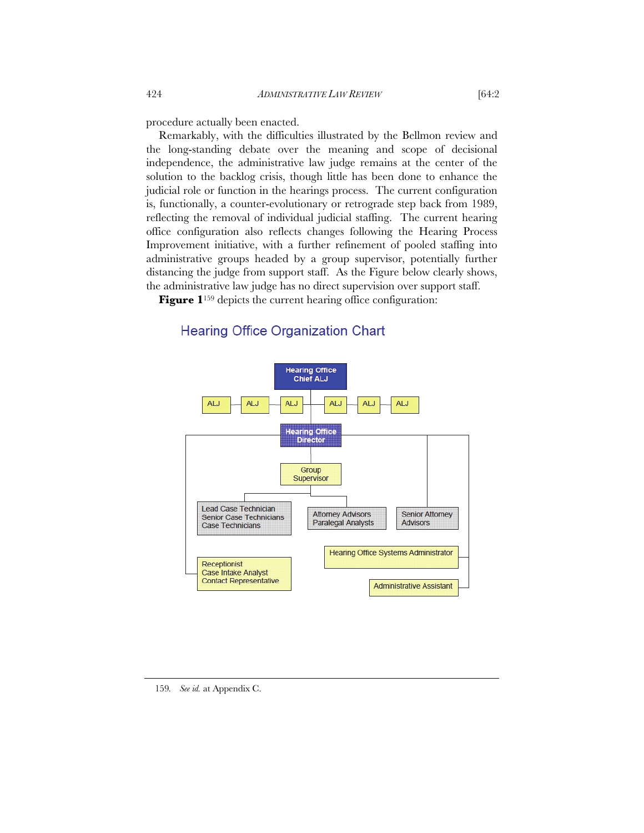procedure actually been enacted.

Remarkably, with the difficulties illustrated by the Bellmon review and the long-standing debate over the meaning and scope of decisional independence, the administrative law judge remains at the center of the solution to the backlog crisis, though little has been done to enhance the judicial role or function in the hearings process. The current configuration is, functionally, a counter-evolutionary or retrograde step back from 1989, reflecting the removal of individual judicial staffing. The current hearing office configuration also reflects changes following the Hearing Process Improvement initiative, with a further refinement of pooled staffing into administrative groups headed by a group supervisor, potentially further distancing the judge from support staff. As the Figure below clearly shows, the administrative law judge has no direct supervision over support staff.

**Figure 1**<sup>159</sup> depicts the current hearing office configuration:



# **Hearing Office Organization Chart**

<sup>159</sup>*. See id.* at Appendix C.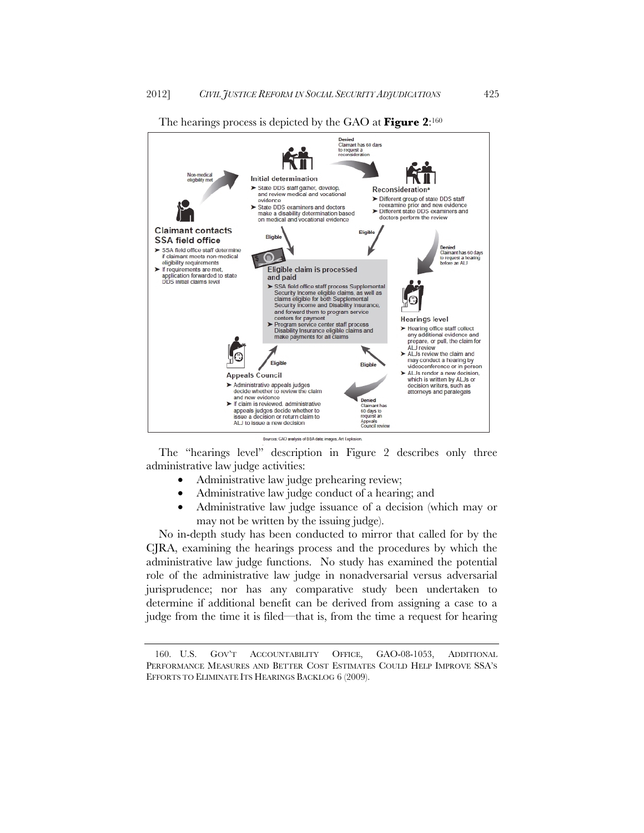The hearings process is depicted by the GAO at **Figure 2**:160



The "hearings level" description in Figure 2 describes only three administrative law judge activities:

- Administrative law judge prehearing review;
- Administrative law judge conduct of a hearing; and
- Administrative law judge issuance of a decision (which may or may not be written by the issuing judge).

No in-depth study has been conducted to mirror that called for by the CJRA, examining the hearings process and the procedures by which the administrative law judge functions. No study has examined the potential role of the administrative law judge in nonadversarial versus adversarial jurisprudence; nor has any comparative study been undertaken to determine if additional benefit can be derived from assigning a case to a judge from the time it is filed—that is, from the time a request for hearing

 <sup>160.</sup> U.S. GOV'T ACCOUNTABILITY OFFICE, GAO-08-1053, ADDITIONAL PERFORMANCE MEASURES AND BETTER COST ESTIMATES COULD HELP IMPROVE SSA'S EFFORTS TO ELIMINATE ITS HEARINGS BACKLOG 6 (2009).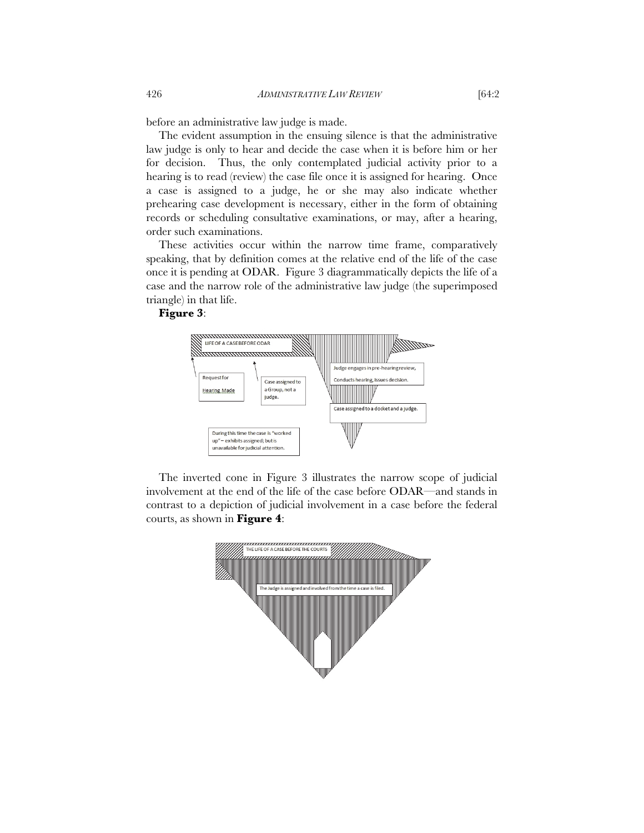before an administrative law judge is made.

The evident assumption in the ensuing silence is that the administrative law judge is only to hear and decide the case when it is before him or her for decision. Thus, the only contemplated judicial activity prior to a hearing is to read (review) the case file once it is assigned for hearing. Once a case is assigned to a judge, he or she may also indicate whether prehearing case development is necessary, either in the form of obtaining records or scheduling consultative examinations, or may, after a hearing, order such examinations.

These activities occur within the narrow time frame, comparatively speaking, that by definition comes at the relative end of the life of the case once it is pending at ODAR. Figure 3 diagrammatically depicts the life of a case and the narrow role of the administrative law judge (the superimposed triangle) in that life.

### **Figure 3**:



The inverted cone in Figure 3 illustrates the narrow scope of judicial involvement at the end of the life of the case before ODAR—and stands in contrast to a depiction of judicial involvement in a case before the federal courts, as shown in **Figure 4**:

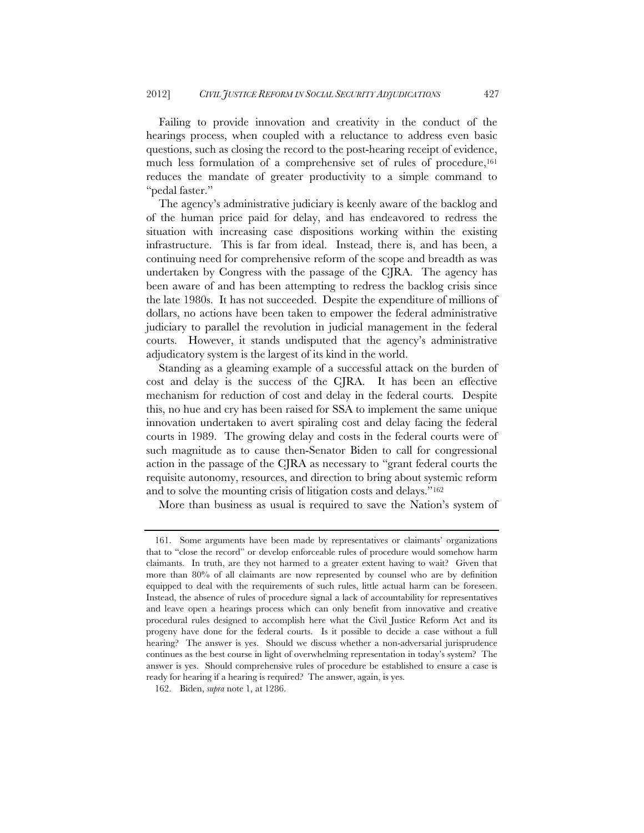Failing to provide innovation and creativity in the conduct of the hearings process, when coupled with a reluctance to address even basic questions, such as closing the record to the post-hearing receipt of evidence, much less formulation of a comprehensive set of rules of procedure,161 reduces the mandate of greater productivity to a simple command to "pedal faster."

The agency's administrative judiciary is keenly aware of the backlog and of the human price paid for delay, and has endeavored to redress the situation with increasing case dispositions working within the existing infrastructure. This is far from ideal. Instead, there is, and has been, a continuing need for comprehensive reform of the scope and breadth as was undertaken by Congress with the passage of the CJRA. The agency has been aware of and has been attempting to redress the backlog crisis since the late 1980s. It has not succeeded. Despite the expenditure of millions of dollars, no actions have been taken to empower the federal administrative judiciary to parallel the revolution in judicial management in the federal courts. However, it stands undisputed that the agency's administrative adjudicatory system is the largest of its kind in the world.

Standing as a gleaming example of a successful attack on the burden of cost and delay is the success of the CJRA. It has been an effective mechanism for reduction of cost and delay in the federal courts. Despite this, no hue and cry has been raised for SSA to implement the same unique innovation undertaken to avert spiraling cost and delay facing the federal courts in 1989. The growing delay and costs in the federal courts were of such magnitude as to cause then-Senator Biden to call for congressional action in the passage of the CJRA as necessary to "grant federal courts the requisite autonomy, resources, and direction to bring about systemic reform and to solve the mounting crisis of litigation costs and delays."162

More than business as usual is required to save the Nation's system of

 <sup>161.</sup> Some arguments have been made by representatives or claimants' organizations that to "close the record" or develop enforceable rules of procedure would somehow harm claimants. In truth, are they not harmed to a greater extent having to wait? Given that more than 80% of all claimants are now represented by counsel who are by definition equipped to deal with the requirements of such rules, little actual harm can be foreseen. Instead, the absence of rules of procedure signal a lack of accountability for representatives and leave open a hearings process which can only benefit from innovative and creative procedural rules designed to accomplish here what the Civil Justice Reform Act and its progeny have done for the federal courts. Is it possible to decide a case without a full hearing? The answer is yes. Should we discuss whether a non-adversarial jurisprudence continues as the best course in light of overwhelming representation in today's system? The answer is yes. Should comprehensive rules of procedure be established to ensure a case is ready for hearing if a hearing is required? The answer, again, is yes.

 <sup>162.</sup> Biden, *supra* note 1, at 1286.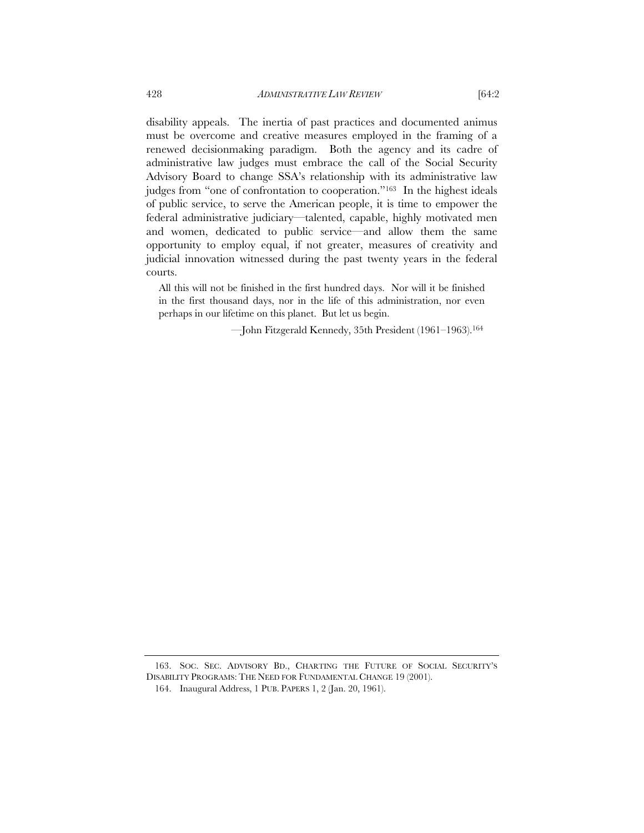disability appeals. The inertia of past practices and documented animus must be overcome and creative measures employed in the framing of a renewed decisionmaking paradigm. Both the agency and its cadre of administrative law judges must embrace the call of the Social Security Advisory Board to change SSA's relationship with its administrative law judges from "one of confrontation to cooperation."163 In the highest ideals of public service, to serve the American people, it is time to empower the federal administrative judiciary—talented, capable, highly motivated men and women, dedicated to public service—and allow them the same opportunity to employ equal, if not greater, measures of creativity and judicial innovation witnessed during the past twenty years in the federal courts.

All this will not be finished in the first hundred days. Nor will it be finished in the first thousand days, nor in the life of this administration, nor even perhaps in our lifetime on this planet. But let us begin.

—John Fitzgerald Kennedy, 35th President (1961–1963).164

 <sup>163.</sup> SOC. SEC. ADVISORY BD., CHARTING THE FUTURE OF SOCIAL SECURITY'S DISABILITY PROGRAMS: THE NEED FOR FUNDAMENTAL CHANGE 19 (2001).

 <sup>164.</sup> Inaugural Address, 1 PUB. PAPERS 1, 2 (Jan. 20, 1961).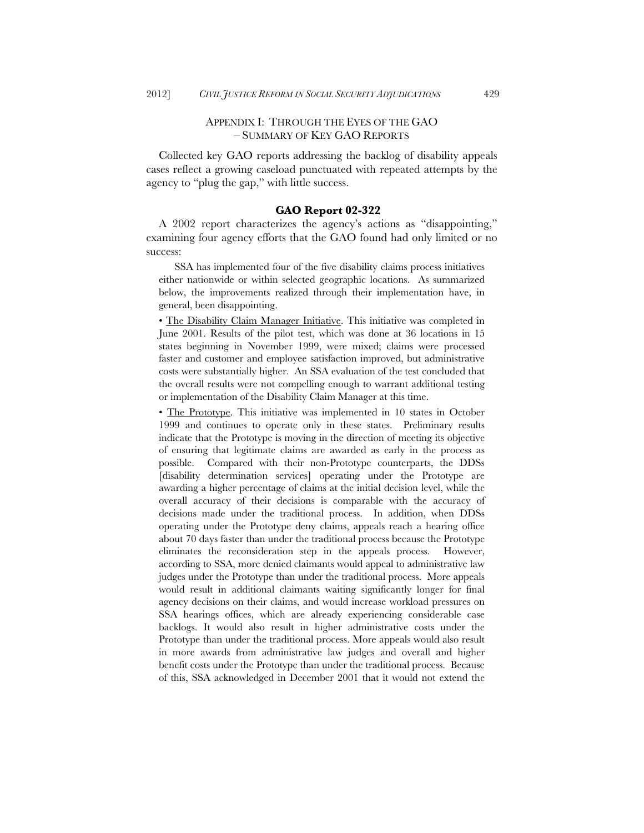### APPENDIX I: THROUGH THE EYES OF THE GAO – SUMMARY OF KEY GAO REPORTS

Collected key GAO reports addressing the backlog of disability appeals cases reflect a growing caseload punctuated with repeated attempts by the agency to "plug the gap," with little success.

#### **GAO Report 02-322**

A 2002 report characterizes the agency's actions as "disappointing," examining four agency efforts that the GAO found had only limited or no success:

SSA has implemented four of the five disability claims process initiatives either nationwide or within selected geographic locations. As summarized below, the improvements realized through their implementation have, in general, been disappointing.

• The Disability Claim Manager Initiative. This initiative was completed in June 2001. Results of the pilot test, which was done at 36 locations in 15 states beginning in November 1999, were mixed; claims were processed faster and customer and employee satisfaction improved, but administrative costs were substantially higher. An SSA evaluation of the test concluded that the overall results were not compelling enough to warrant additional testing or implementation of the Disability Claim Manager at this time.

• The Prototype. This initiative was implemented in 10 states in October 1999 and continues to operate only in these states. Preliminary results indicate that the Prototype is moving in the direction of meeting its objective of ensuring that legitimate claims are awarded as early in the process as possible. Compared with their non-Prototype counterparts, the DDSs [disability determination services] operating under the Prototype are awarding a higher percentage of claims at the initial decision level, while the overall accuracy of their decisions is comparable with the accuracy of decisions made under the traditional process. In addition, when DDSs operating under the Prototype deny claims, appeals reach a hearing office about 70 days faster than under the traditional process because the Prototype eliminates the reconsideration step in the appeals process. However, according to SSA, more denied claimants would appeal to administrative law judges under the Prototype than under the traditional process. More appeals would result in additional claimants waiting significantly longer for final agency decisions on their claims, and would increase workload pressures on SSA hearings offices, which are already experiencing considerable case backlogs. It would also result in higher administrative costs under the Prototype than under the traditional process. More appeals would also result in more awards from administrative law judges and overall and higher benefit costs under the Prototype than under the traditional process. Because of this, SSA acknowledged in December 2001 that it would not extend the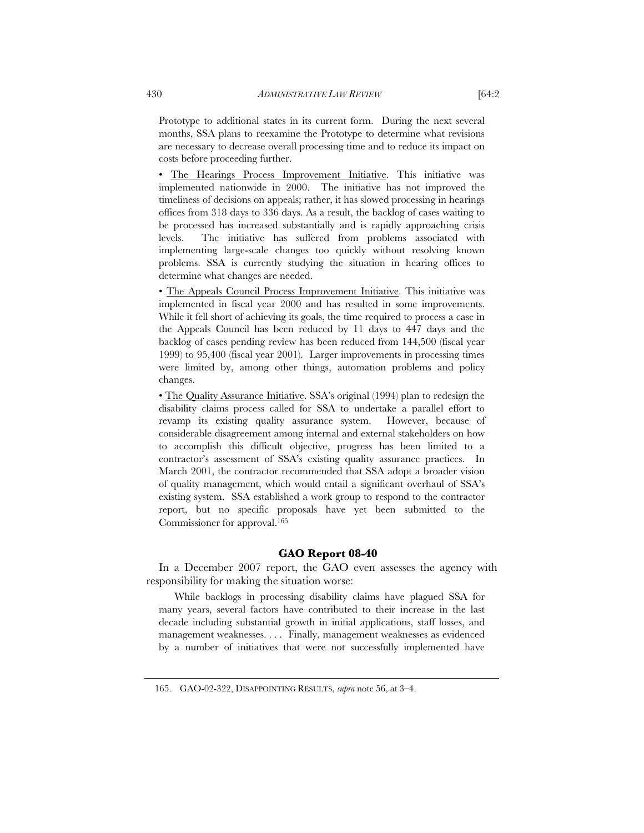Prototype to additional states in its current form. During the next several months, SSA plans to reexamine the Prototype to determine what revisions are necessary to decrease overall processing time and to reduce its impact on costs before proceeding further.

• The Hearings Process Improvement Initiative. This initiative was implemented nationwide in 2000. The initiative has not improved the timeliness of decisions on appeals; rather, it has slowed processing in hearings offices from 318 days to 336 days. As a result, the backlog of cases waiting to be processed has increased substantially and is rapidly approaching crisis levels. The initiative has suffered from problems associated with implementing large-scale changes too quickly without resolving known problems. SSA is currently studying the situation in hearing offices to determine what changes are needed.

• The Appeals Council Process Improvement Initiative. This initiative was implemented in fiscal year 2000 and has resulted in some improvements. While it fell short of achieving its goals, the time required to process a case in the Appeals Council has been reduced by 11 days to 447 days and the backlog of cases pending review has been reduced from 144,500 (fiscal year 1999) to 95,400 (fiscal year 2001). Larger improvements in processing times were limited by, among other things, automation problems and policy changes.

• The Quality Assurance Initiative. SSA's original (1994) plan to redesign the disability claims process called for SSA to undertake a parallel effort to revamp its existing quality assurance system. However, because of considerable disagreement among internal and external stakeholders on how to accomplish this difficult objective, progress has been limited to a contractor's assessment of SSA's existing quality assurance practices. In March 2001, the contractor recommended that SSA adopt a broader vision of quality management, which would entail a significant overhaul of SSA's existing system. SSA established a work group to respond to the contractor report, but no specific proposals have yet been submitted to the Commissioner for approval.165

#### **GAO Report 08-40**

In a December 2007 report, the GAO even assesses the agency with responsibility for making the situation worse:

While backlogs in processing disability claims have plagued SSA for many years, several factors have contributed to their increase in the last decade including substantial growth in initial applications, staff losses, and management weaknesses. . . . Finally, management weaknesses as evidenced by a number of initiatives that were not successfully implemented have

 <sup>165.</sup> GAO-02-322, DISAPPOINTING RESULTS, *supra* note 56, at 3–4.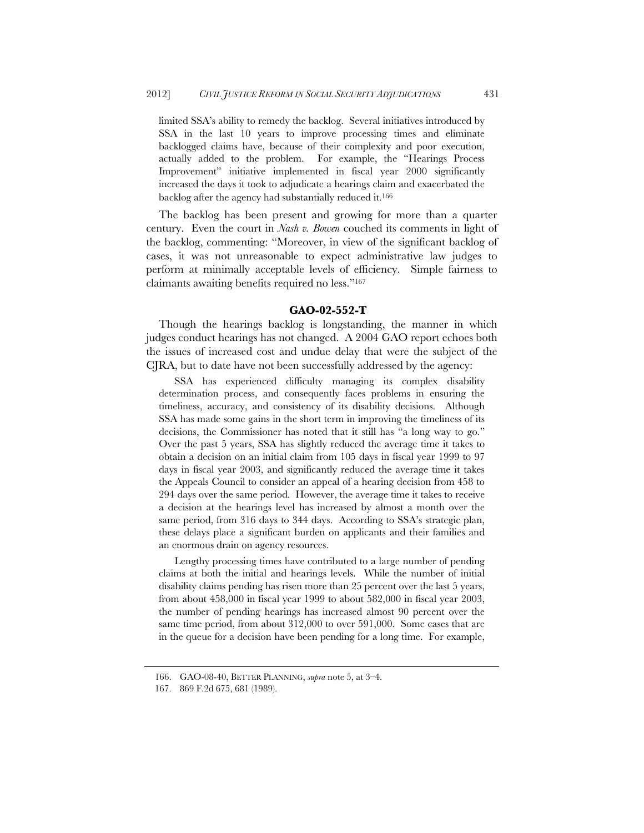limited SSA's ability to remedy the backlog. Several initiatives introduced by SSA in the last 10 years to improve processing times and eliminate backlogged claims have, because of their complexity and poor execution, actually added to the problem. For example, the "Hearings Process Improvement" initiative implemented in fiscal year 2000 significantly increased the days it took to adjudicate a hearings claim and exacerbated the backlog after the agency had substantially reduced it.166

The backlog has been present and growing for more than a quarter century. Even the court in *Nash v. Bowen* couched its comments in light of the backlog, commenting: "Moreover, in view of the significant backlog of cases, it was not unreasonable to expect administrative law judges to perform at minimally acceptable levels of efficiency. Simple fairness to claimants awaiting benefits required no less."167

#### **GAO-02-552-T**

Though the hearings backlog is longstanding, the manner in which judges conduct hearings has not changed. A 2004 GAO report echoes both the issues of increased cost and undue delay that were the subject of the CJRA, but to date have not been successfully addressed by the agency:

SSA has experienced difficulty managing its complex disability determination process, and consequently faces problems in ensuring the timeliness, accuracy, and consistency of its disability decisions. Although SSA has made some gains in the short term in improving the timeliness of its decisions, the Commissioner has noted that it still has "a long way to go." Over the past 5 years, SSA has slightly reduced the average time it takes to obtain a decision on an initial claim from 105 days in fiscal year 1999 to 97 days in fiscal year 2003, and significantly reduced the average time it takes the Appeals Council to consider an appeal of a hearing decision from 458 to 294 days over the same period. However, the average time it takes to receive a decision at the hearings level has increased by almost a month over the same period, from 316 days to 344 days. According to SSA's strategic plan, these delays place a significant burden on applicants and their families and an enormous drain on agency resources.

Lengthy processing times have contributed to a large number of pending claims at both the initial and hearings levels. While the number of initial disability claims pending has risen more than 25 percent over the last 5 years, from about 458,000 in fiscal year 1999 to about 582,000 in fiscal year 2003, the number of pending hearings has increased almost 90 percent over the same time period, from about 312,000 to over 591,000. Some cases that are in the queue for a decision have been pending for a long time. For example,

 <sup>166.</sup> GAO-08-40, BETTER PLANNING, *supra* note 5, at 3–4.

 <sup>167. 869</sup> F.2d 675, 681 (1989).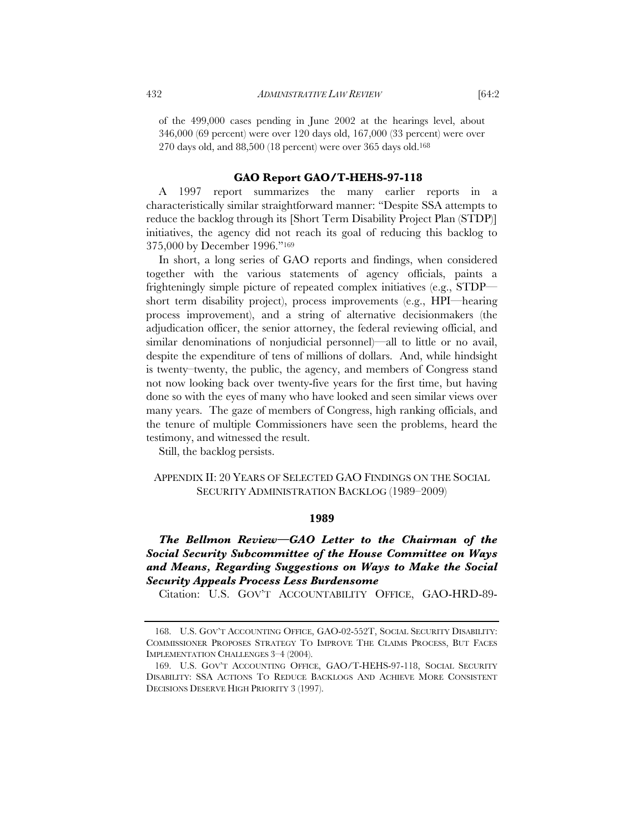of the 499,000 cases pending in June 2002 at the hearings level, about 346,000 (69 percent) were over 120 days old, 167,000 (33 percent) were over 270 days old, and 88,500 (18 percent) were over 365 days old.168

#### **GAO Report GAO/T-HEHS-97-118**

A 1997 report summarizes the many earlier reports in a characteristically similar straightforward manner: "Despite SSA attempts to reduce the backlog through its [Short Term Disability Project Plan (STDP)] initiatives, the agency did not reach its goal of reducing this backlog to 375,000 by December 1996."169

In short, a long series of GAO reports and findings, when considered together with the various statements of agency officials, paints a frighteningly simple picture of repeated complex initiatives (e.g., STDP short term disability project), process improvements (e.g., HPI—hearing process improvement), and a string of alternative decisionmakers (the adjudication officer, the senior attorney, the federal reviewing official, and similar denominations of nonjudicial personnel)—all to little or no avail, despite the expenditure of tens of millions of dollars. And, while hindsight is twenty–twenty, the public, the agency, and members of Congress stand not now looking back over twenty-five years for the first time, but having done so with the eyes of many who have looked and seen similar views over many years. The gaze of members of Congress, high ranking officials, and the tenure of multiple Commissioners have seen the problems, heard the testimony, and witnessed the result.

Still, the backlog persists.

# APPENDIX II: 20 YEARS OF SELECTED GAO FINDINGS ON THE SOCIAL SECURITY ADMINISTRATION BACKLOG (1989–2009)

#### **1989**

# *The Bellmon Review—GAO Letter to the Chairman of the Social Security Subcommittee of the House Committee on Ways and Means, Regarding Suggestions on Ways to Make the Social Security Appeals Process Less Burdensome*

Citation: U.S. GOV'T ACCOUNTABILITY OFFICE, GAO-HRD-89-

 <sup>168.</sup> U.S. GOV'T ACCOUNTING OFFICE, GAO-02-552T, SOCIAL SECURITY DISABILITY: COMMISSIONER PROPOSES STRATEGY TO IMPROVE THE CLAIMS PROCESS, BUT FACES IMPLEMENTATION CHALLENGES 3–4 (2004).

 <sup>169.</sup> U.S. GOV'T ACCOUNTING OFFICE, GAO/T-HEHS-97-118, SOCIAL SECURITY DISABILITY: SSA ACTIONS TO REDUCE BACKLOGS AND ACHIEVE MORE CONSISTENT DECISIONS DESERVE HIGH PRIORITY 3 (1997).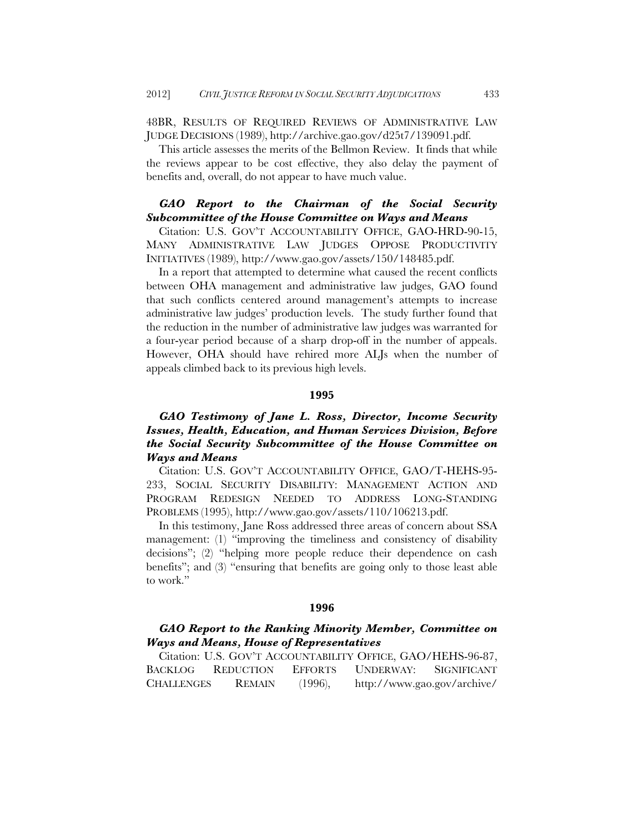48BR, RESULTS OF REQUIRED REVIEWS OF ADMINISTRATIVE LAW JUDGE DECISIONS (1989), http://archive.gao.gov/d25t7/139091.pdf.

This article assesses the merits of the Bellmon Review. It finds that while the reviews appear to be cost effective, they also delay the payment of benefits and, overall, do not appear to have much value.

# *GAO Report to the Chairman of the Social Security Subcommittee of the House Committee on Ways and Means*

Citation: U.S. GOV'T ACCOUNTABILITY OFFICE, GAO-HRD-90-15, MANY ADMINISTRATIVE LAW JUDGES OPPOSE PRODUCTIVITY INITIATIVES (1989), http://www.gao.gov/assets/150/148485.pdf.

In a report that attempted to determine what caused the recent conflicts between OHA management and administrative law judges, GAO found that such conflicts centered around management's attempts to increase administrative law judges' production levels. The study further found that the reduction in the number of administrative law judges was warranted for a four-year period because of a sharp drop-off in the number of appeals. However, OHA should have rehired more ALJs when the number of appeals climbed back to its previous high levels.

### **1995**

# *GAO Testimony of Jane L. Ross, Director, Income Security Issues, Health, Education, and Human Services Division, Before the Social Security Subcommittee of the House Committee on Ways and Means*

Citation: U.S. GOV'T ACCOUNTABILITY OFFICE, GAO/T-HEHS-95- 233, SOCIAL SECURITY DISABILITY: MANAGEMENT ACTION AND PROGRAM REDESIGN NEEDED TO ADDRESS LONG-STANDING PROBLEMS (1995), http://www.gao.gov/assets/110/106213.pdf.

In this testimony, Jane Ross addressed three areas of concern about SSA management: (1) "improving the timeliness and consistency of disability decisions"; (2) "helping more people reduce their dependence on cash benefits"; and (3) "ensuring that benefits are going only to those least able to work."

### **1996**

# *GAO Report to the Ranking Minority Member, Committee on Ways and Means, House of Representatives*

|                   |                   |            | Citation: U.S. GOV'T ACCOUNTABILITY OFFICE, GAO/HEHS-96-87, |  |
|-------------------|-------------------|------------|-------------------------------------------------------------|--|
|                   | BACKLOG REDUCTION |            | EFFORTS UNDERWAY: SIGNIFICANT                               |  |
| <b>CHALLENGES</b> | REMAIN            | $(1996)$ , | http://www.gao.gov/archive/                                 |  |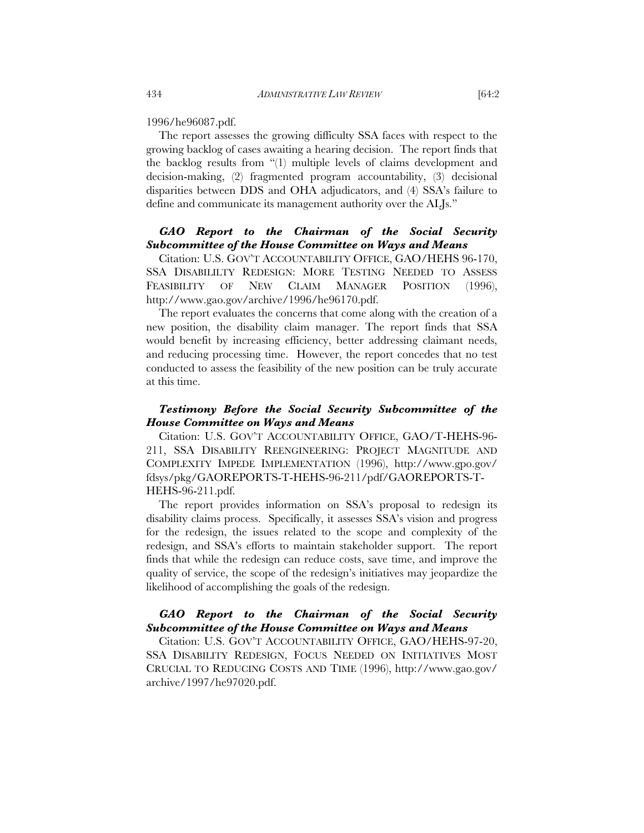1996/he96087.pdf.

The report assesses the growing difficulty SSA faces with respect to the growing backlog of cases awaiting a hearing decision. The report finds that the backlog results from "(1) multiple levels of claims development and decision-making, (2) fragmented program accountability, (3) decisional disparities between DDS and OHA adjudicators, and (4) SSA's failure to define and communicate its management authority over the ALJs."

# *GAO Report to the Chairman of the Social Security Subcommittee of the House Committee on Ways and Means*

Citation: U.S. GOV'T ACCOUNTABILITY OFFICE, GAO/HEHS 96-170, SSA DISABILILTY REDESIGN: MORE TESTING NEEDED TO ASSESS FEASIBILITY OF NEW CLAIM MANAGER POSITION (1996), http://www.gao.gov/archive/1996/he96170.pdf.

The report evaluates the concerns that come along with the creation of a new position, the disability claim manager. The report finds that SSA would benefit by increasing efficiency, better addressing claimant needs, and reducing processing time. However, the report concedes that no test conducted to assess the feasibility of the new position can be truly accurate at this time.

# *Testimony Before the Social Security Subcommittee of the House Committee on Ways and Means*

Citation: U.S. GOV'T ACCOUNTABILITY OFFICE, GAO/T-HEHS-96- 211, SSA DISABILITY REENGINEERING: PROJECT MAGNITUDE AND COMPLEXITY IMPEDE IMPLEMENTATION (1996), http://www.gpo.gov/ fdsys/pkg/GAOREPORTS-T-HEHS-96-211/pdf/GAOREPORTS-T-HEHS-96-211.pdf.

The report provides information on SSA's proposal to redesign its disability claims process. Specifically, it assesses SSA's vision and progress for the redesign, the issues related to the scope and complexity of the redesign, and SSA's efforts to maintain stakeholder support. The report finds that while the redesign can reduce costs, save time, and improve the quality of service, the scope of the redesign's initiatives may jeopardize the likelihood of accomplishing the goals of the redesign.

# *GAO Report to the Chairman of the Social Security Subcommittee of the House Committee on Ways and Means*

Citation: U.S. GOV'T ACCOUNTABILITY OFFICE, GAO/HEHS-97-20, SSA DISABILITY REDESIGN, FOCUS NEEDED ON INITIATIVES MOST CRUCIAL TO REDUCING COSTS AND TIME (1996), http://www.gao.gov/ archive/1997/he97020.pdf.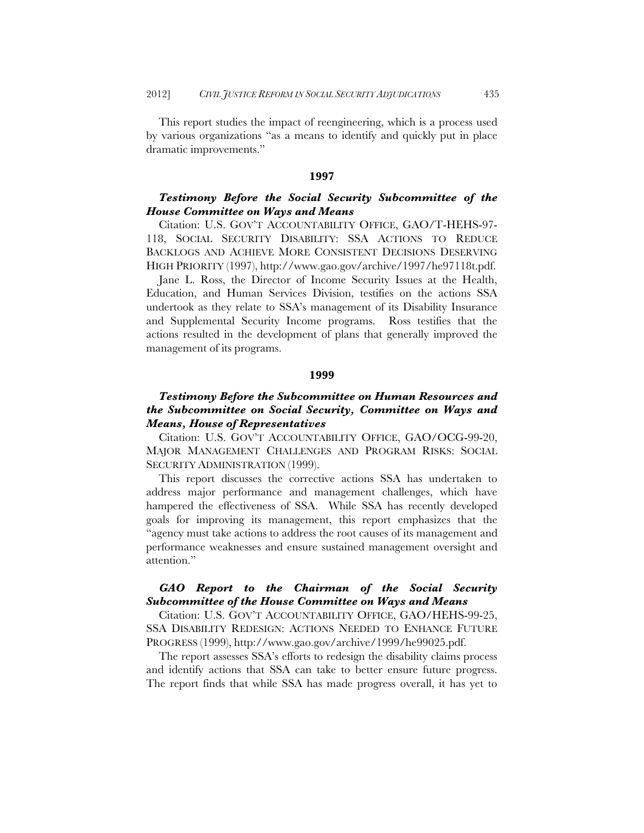This report studies the impact of reengineering, which is a process used by various organizations "as a means to identify and quickly put in place dramatic improvements."

#### **1997**

# *Testimony Before the Social Security Subcommittee of the House Committee on Ways and Means*

Citation: U.S. GOV'T ACCOUNTABILITY OFFICE, GAO/T-HEHS-97- 118, SOCIAL SECURITY DISABILITY: SSA ACTIONS TO REDUCE BACKLOGS AND ACHIEVE MORE CONSISTENT DECISIONS DESERVING HIGH PRIORITY (1997), http://www.gao.gov/archive/1997/he97118t.pdf.

Jane L. Ross, the Director of Income Security Issues at the Health, Education, and Human Services Division, testifies on the actions SSA undertook as they relate to SSA's management of its Disability Insurance and Supplemental Security Income programs. Ross testifies that the actions resulted in the development of plans that generally improved the management of its programs.

### **1999**

# *Testimony Before the Subcommittee on Human Resources and the Subcommittee on Social Security, Committee on Ways and Means, House of Representatives*

Citation: U.S. GOV'T ACCOUNTABILITY OFFICE, GAO/OCG-99-20, MAJOR MANAGEMENT CHALLENGES AND PROGRAM RISKS: SOCIAL SECURITY ADMINISTRATION (1999).

This report discusses the corrective actions SSA has undertaken to address major performance and management challenges, which have hampered the effectiveness of SSA. While SSA has recently developed goals for improving its management, this report emphasizes that the "agency must take actions to address the root causes of its management and performance weaknesses and ensure sustained management oversight and attention."

# *GAO Report to the Chairman of the Social Security Subcommittee of the House Committee on Ways and Means*

Citation: U.S. GOV'T ACCOUNTABILITY OFFICE, GAO/HEHS-99-25, SSA DISABILITY REDESIGN: ACTIONS NEEDED TO ENHANCE FUTURE PROGRESS (1999), http://www.gao.gov/archive/1999/he99025.pdf.

The report assesses SSA's efforts to redesign the disability claims process and identify actions that SSA can take to better ensure future progress. The report finds that while SSA has made progress overall, it has yet to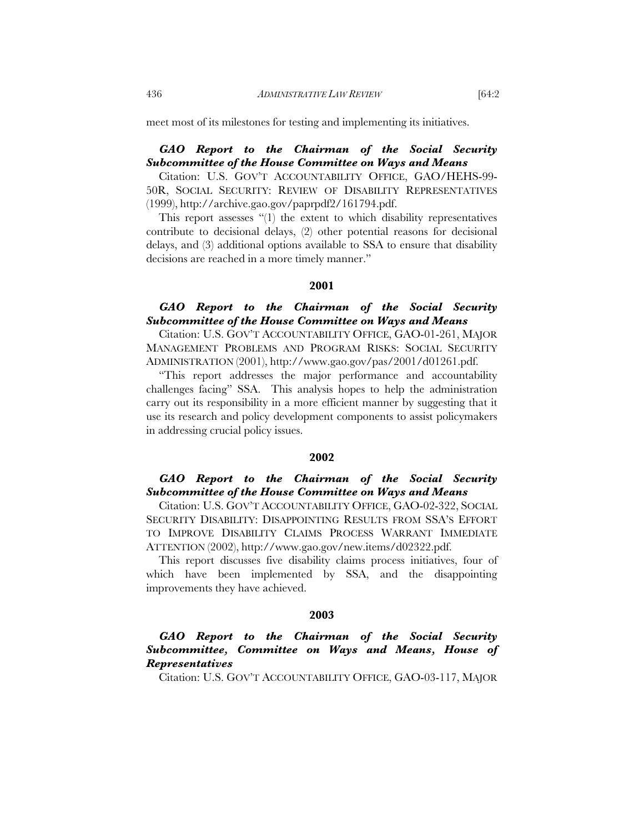meet most of its milestones for testing and implementing its initiatives.

# *GAO Report to the Chairman of the Social Security Subcommittee of the House Committee on Ways and Means*

Citation: U.S. GOV'T ACCOUNTABILITY OFFICE, GAO/HEHS-99- 50R, SOCIAL SECURITY: REVIEW OF DISABILITY REPRESENTATIVES (1999), http://archive.gao.gov/paprpdf2/161794.pdf.

This report assesses "(1) the extent to which disability representatives contribute to decisional delays, (2) other potential reasons for decisional delays, and (3) additional options available to SSA to ensure that disability decisions are reached in a more timely manner."

#### **2001**

# *GAO Report to the Chairman of the Social Security Subcommittee of the House Committee on Ways and Means*

Citation: U.S. GOV'T ACCOUNTABILITY OFFICE, GAO-01-261, MAJOR MANAGEMENT PROBLEMS AND PROGRAM RISKS: SOCIAL SECURITY ADMINISTRATION (2001), http://www.gao.gov/pas/2001/d01261.pdf.

"This report addresses the major performance and accountability challenges facing" SSA. This analysis hopes to help the administration carry out its responsibility in a more efficient manner by suggesting that it use its research and policy development components to assist policymakers in addressing crucial policy issues.

### **2002**

# *GAO Report to the Chairman of the Social Security Subcommittee of the House Committee on Ways and Means*

Citation: U.S. GOV'T ACCOUNTABILITY OFFICE, GAO-02-322, SOCIAL SECURITY DISABILITY: DISAPPOINTING RESULTS FROM SSA'S EFFORT TO IMPROVE DISABILITY CLAIMS PROCESS WARRANT IMMEDIATE ATTENTION (2002), http://www.gao.gov/new.items/d02322.pdf.

This report discusses five disability claims process initiatives, four of which have been implemented by SSA, and the disappointing improvements they have achieved.

### **2003**

# *GAO Report to the Chairman of the Social Security Subcommittee, Committee on Ways and Means, House of Representatives*

Citation: U.S. GOV'T ACCOUNTABILITY OFFICE, GAO-03-117, MAJOR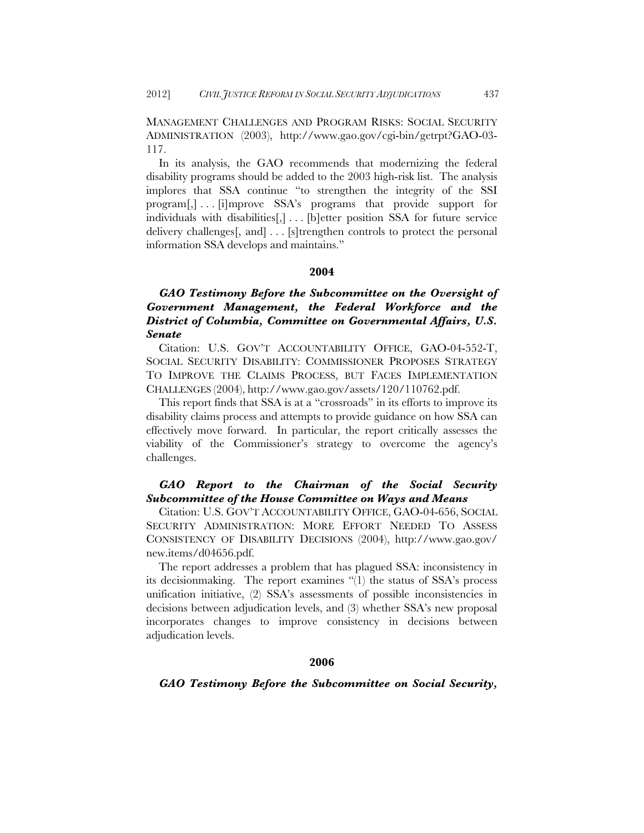MANAGEMENT CHALLENGES AND PROGRAM RISKS: SOCIAL SECURITY ADMINISTRATION (2003), http://www.gao.gov/cgi-bin/getrpt?GAO-03- 117.

In its analysis, the GAO recommends that modernizing the federal disability programs should be added to the 2003 high-risk list. The analysis implores that SSA continue "to strengthen the integrity of the SSI program[,] . . . [i]mprove SSA's programs that provide support for individuals with disabilities[,] . . . [b]etter position SSA for future service delivery challenges[, and] . . . [s]trengthen controls to protect the personal information SSA develops and maintains."

### **2004**

*GAO Testimony Before the Subcommittee on the Oversight of Government Management, the Federal Workforce and the District of Columbia, Committee on Governmental Affairs, U.S. Senate* 

Citation: U.S. GOV'T ACCOUNTABILITY OFFICE, GAO-04-552-T, SOCIAL SECURITY DISABILITY: COMMISSIONER PROPOSES STRATEGY TO IMPROVE THE CLAIMS PROCESS, BUT FACES IMPLEMENTATION CHALLENGES (2004), http://www.gao.gov/assets/120/110762.pdf.

This report finds that SSA is at a "crossroads" in its efforts to improve its disability claims process and attempts to provide guidance on how SSA can effectively move forward. In particular, the report critically assesses the viability of the Commissioner's strategy to overcome the agency's challenges.

# *GAO Report to the Chairman of the Social Security Subcommittee of the House Committee on Ways and Means*

Citation: U.S. GOV'T ACCOUNTABILITY OFFICE, GAO-04-656, SOCIAL SECURITY ADMINISTRATION: MORE EFFORT NEEDED TO ASSESS CONSISTENCY OF DISABILITY DECISIONS (2004), http://www.gao.gov/ new.items/d04656.pdf.

The report addresses a problem that has plagued SSA: inconsistency in its decisionmaking. The report examines "(1) the status of SSA's process unification initiative, (2) SSA's assessments of possible inconsistencies in decisions between adjudication levels, and (3) whether SSA's new proposal incorporates changes to improve consistency in decisions between adjudication levels.

### **2006**

### *GAO Testimony Before the Subcommittee on Social Security,*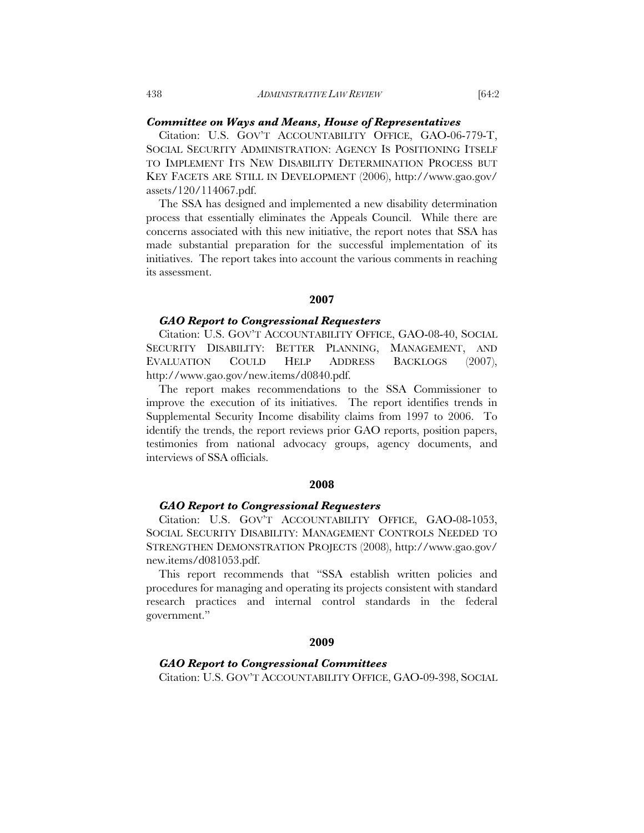#### *Committee on Ways and Means, House of Representatives*

Citation: U.S. GOV'T ACCOUNTABILITY OFFICE, GAO-06-779-T, SOCIAL SECURITY ADMINISTRATION: AGENCY IS POSITIONING ITSELF TO IMPLEMENT ITS NEW DISABILITY DETERMINATION PROCESS BUT KEY FACETS ARE STILL IN DEVELOPMENT (2006), http://www.gao.gov/ assets/120/114067.pdf.

The SSA has designed and implemented a new disability determination process that essentially eliminates the Appeals Council. While there are concerns associated with this new initiative, the report notes that SSA has made substantial preparation for the successful implementation of its initiatives. The report takes into account the various comments in reaching its assessment.

### **2007**

#### *GAO Report to Congressional Requesters*

Citation: U.S. GOV'T ACCOUNTABILITY OFFICE, GAO-08-40, SOCIAL SECURITY DISABILITY: BETTER PLANNING, MANAGEMENT, AND EVALUATION COULD HELP ADDRESS BACKLOGS (2007), http://www.gao.gov/new.items/d0840.pdf.

The report makes recommendations to the SSA Commissioner to improve the execution of its initiatives. The report identifies trends in Supplemental Security Income disability claims from 1997 to 2006. To identify the trends, the report reviews prior GAO reports, position papers, testimonies from national advocacy groups, agency documents, and interviews of SSA officials.

### **2008**

#### *GAO Report to Congressional Requesters*

Citation: U.S. GOV'T ACCOUNTABILITY OFFICE, GAO-08-1053, SOCIAL SECURITY DISABILITY: MANAGEMENT CONTROLS NEEDED TO STRENGTHEN DEMONSTRATION PROJECTS (2008), http://www.gao.gov/ new.items/d081053.pdf.

This report recommends that "SSA establish written policies and procedures for managing and operating its projects consistent with standard research practices and internal control standards in the federal government."

# **2009**

#### *GAO Report to Congressional Committees*

Citation: U.S. GOV'T ACCOUNTABILITY OFFICE, GAO-09-398, SOCIAL